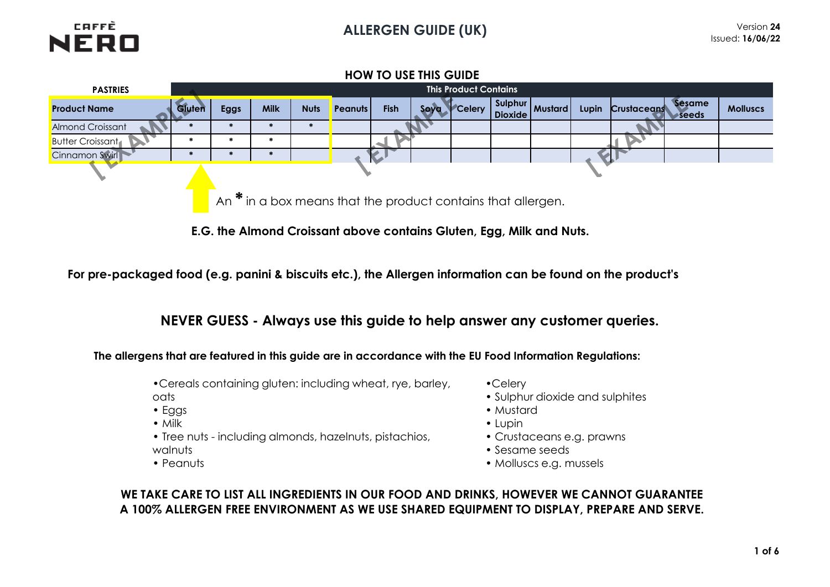

# **PASTRIES Product Name Gluten Eggs Milk Nuts Peanuts Fish Soya Celery Sulphur Dioxide Mustard Lupin Crustaceans Sesame seeds Molluscs** Almond Croissant **\* \* \* \*** Butter Croissant **\* \* \*** Cinnamon Swirl **\* \* \* HOW TO USE THIS GUIDE This Product Contains**  An **\*** in a box means that the product contains that allergen.

**E.G. the Almond Croissant above contains Gluten, Egg, Milk and Nuts.** 

**For pre-packaged food (e.g. panini & biscuits etc.), the Allergen information can be found on the product's** 

**NEVER GUESS - Always use this guide to help answer any customer queries.**

**The allergens that are featured in this guide are in accordance with the EU Food Information Regulations:**

•Cereals containing gluten: including wheat, rye, barley,

- oats
- Eggs
- Milk
- Tree nuts including almonds, hazelnuts, pistachios, walnuts
- Peanuts
- •Celery
- Sulphur dioxide and sulphites
- Mustard
- Lupin
- Crustaceans e.g. prawns
- Sesame seeds
- Molluscs e.g. mussels

# **WE TAKE CARE TO LIST ALL INGREDIENTS IN OUR FOOD AND DRINKS, HOWEVER WE CANNOT GUARANTEE A 100% ALLERGEN FREE ENVIRONMENT AS WE USE SHARED EQUIPMENT TO DISPLAY, PREPARE AND SERVE.**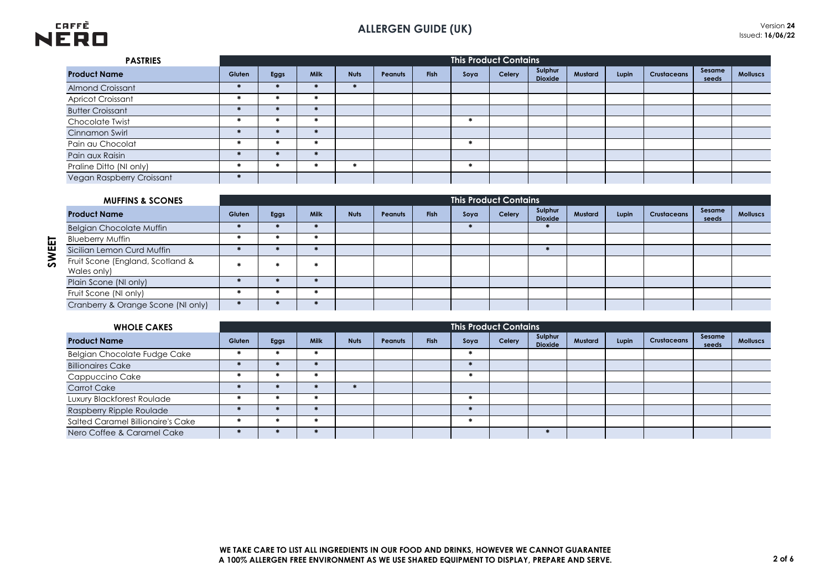

# **ALLERGEN GUIDE (UK)** Version **<sup>24</sup>**

| <b>PASTRIES</b>           |        |               |      |             |         |             |      | <b>This Product Contains</b> |                           |         |       |                    |                 |                 |
|---------------------------|--------|---------------|------|-------------|---------|-------------|------|------------------------------|---------------------------|---------|-------|--------------------|-----------------|-----------------|
| <b>Product Name</b>       | Gluten | Eggs          | Milk | <b>Nuts</b> | Peanuts | <b>Fish</b> | Soya | Celery                       | Sulphur<br><b>Dioxide</b> | Mustard | Lupin | <b>Crustaceans</b> | Sesame<br>seeds | <b>Molluscs</b> |
| <b>Almond Croissant</b>   |        |               |      |             |         |             |      |                              |                           |         |       |                    |                 |                 |
| <b>Apricot Croissant</b>  |        | 来             |      |             |         |             |      |                              |                           |         |       |                    |                 |                 |
| <b>Butter Croissant</b>   |        |               |      |             |         |             |      |                              |                           |         |       |                    |                 |                 |
| Chocolate Twist           |        | 来             |      |             |         |             |      |                              |                           |         |       |                    |                 |                 |
| Cinnamon Swirl            |        | $\frac{1}{2}$ |      |             |         |             |      |                              |                           |         |       |                    |                 |                 |
| Pain au Chocolat          |        | 来             |      |             |         |             |      |                              |                           |         |       |                    |                 |                 |
| Pain aux Raisin           |        | $\frac{1}{2}$ |      |             |         |             |      |                              |                           |         |       |                    |                 |                 |
| Praline Ditto (NI only)   |        | 来             |      |             |         |             |      |                              |                           |         |       |                    |                 |                 |
| Vegan Raspberry Croissant |        |               |      |             |         |             |      |                              |                           |         |       |                    |                 |                 |

| <b>MUFFINS &amp; SCONES</b>                     |        |             |             |             |                |      |      | <b>This Product Contains</b> |                           |         |       |             |                 |                 |
|-------------------------------------------------|--------|-------------|-------------|-------------|----------------|------|------|------------------------------|---------------------------|---------|-------|-------------|-----------------|-----------------|
| <b>Product Name</b>                             | Gluten | <b>Eggs</b> | <b>Milk</b> | <b>Nuts</b> | <b>Peanuts</b> | Fish | Soya | Celery                       | Sulphur<br><b>Dioxide</b> | Mustard | Lupin | Crustaceans | Sesame<br>seeds | <b>Molluscs</b> |
| <b>Belgian Chocolate Muffin</b>                 |        |             |             |             |                |      |      |                              |                           |         |       |             |                 |                 |
| <b>Blueberry Muffin</b>                         |        |             |             |             |                |      |      |                              |                           |         |       |             |                 |                 |
| Sicilian Lemon Curd Muffin                      |        |             |             |             |                |      |      |                              |                           |         |       |             |                 |                 |
| Fruit Scone (England, Scotland &<br>Wales only) |        |             |             |             |                |      |      |                              |                           |         |       |             |                 |                 |
| Plain Scone (NI only)                           |        |             |             |             |                |      |      |                              |                           |         |       |             |                 |                 |
| Fruit Scone (NI only)                           |        |             |             |             |                |      |      |                              |                           |         |       |             |                 |                 |
| Cranberry & Orange Scone (NI only)              |        |             |             |             |                |      |      |                              |                           |         |       |             |                 |                 |

| <b>WHOLE CAKES</b>                |        |      |      |               |         |      |      | <b>This Product Contains</b> |                           |         |       |                    |                 |                 |
|-----------------------------------|--------|------|------|---------------|---------|------|------|------------------------------|---------------------------|---------|-------|--------------------|-----------------|-----------------|
| <b>Product Name</b>               | Gluten | Eggs | Milk | <b>Nuts</b>   | Peanuts | Fish | Soya | Celery                       | Sulphur<br><b>Dioxide</b> | Mustard | Lupin | <b>Crustaceans</b> | Sesame<br>seeds | <b>Molluscs</b> |
| Belgian Chocolate Fudge Cake      |        |      |      |               |         |      |      |                              |                           |         |       |                    |                 |                 |
| <b>Billionaires Cake</b>          |        |      |      |               |         |      |      |                              |                           |         |       |                    |                 |                 |
| Cappuccino Cake                   |        |      |      |               |         |      |      |                              |                           |         |       |                    |                 |                 |
| Carrot Cake                       |        |      |      | $\frac{1}{2}$ |         |      |      |                              |                           |         |       |                    |                 |                 |
| Luxury Blackforest Roulade        |        |      |      |               |         |      |      |                              |                           |         |       |                    |                 |                 |
| Raspberry Ripple Roulade          |        |      |      |               |         |      |      |                              |                           |         |       |                    |                 |                 |
| Salted Caramel Billionaire's Cake |        |      |      |               |         |      |      |                              |                           |         |       |                    |                 |                 |
| Nero Coffee & Caramel Cake        |        |      |      |               |         |      |      |                              |                           |         |       |                    |                 |                 |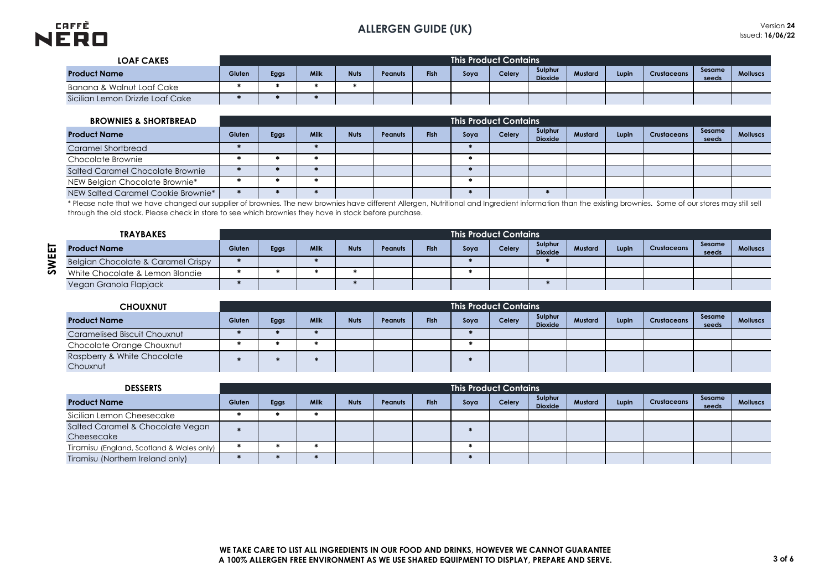

| <b>LOAF CAKES</b>                |        |                                                                                                                                         |  |  |  |  | <b>This Product Contains</b> |  |  |  |  |  |                 |                 |
|----------------------------------|--------|-----------------------------------------------------------------------------------------------------------------------------------------|--|--|--|--|------------------------------|--|--|--|--|--|-----------------|-----------------|
| <b>Product Name</b>              | Gluten | Sulphur<br><b>Milk</b><br>Fish<br><b>Nuts</b><br>Mustard<br>Celery<br>Eggs<br>Lupin<br>Soya<br>Crustaceans<br>Peanuts<br><b>Dioxide</b> |  |  |  |  |                              |  |  |  |  |  | Sesame<br>seeds | <b>Molluscs</b> |
| Banana & Walnut Loaf Cake        |        |                                                                                                                                         |  |  |  |  |                              |  |  |  |  |  |                 |                 |
| Sicilian Lemon Drizzle Loaf Cake |        |                                                                                                                                         |  |  |  |  |                              |  |  |  |  |  |                 |                 |

| <b>BROWNIES &amp; SHORTBREAD</b>   |        |      |             |             |         |             | <b>This Product Contains</b> |        |                           |         |       |                    |                 |                 |
|------------------------------------|--------|------|-------------|-------------|---------|-------------|------------------------------|--------|---------------------------|---------|-------|--------------------|-----------------|-----------------|
| <b>Product Name</b>                | Gluten | Eggs | <b>Milk</b> | <b>Nuts</b> | Peanuts | <b>Fish</b> | Soya                         | Celery | Sulphur<br><b>Dioxide</b> | Mustard | Lupin | <b>Crustaceans</b> | Sesame<br>seeds | <b>Molluscs</b> |
| Caramel Shortbread                 |        |      |             |             |         |             |                              |        |                           |         |       |                    |                 |                 |
| Chocolate Brownie                  |        |      |             |             |         |             |                              |        |                           |         |       |                    |                 |                 |
| Salted Caramel Chocolate Brownie   |        |      |             |             |         |             |                              |        |                           |         |       |                    |                 |                 |
| NEW Belgian Chocolate Brownie*     |        |      |             |             |         |             |                              |        |                           |         |       |                    |                 |                 |
| NEW Salted Caramel Cookie Brownie* |        |      |             |             |         |             |                              |        |                           |         |       |                    |                 |                 |

\* Please note that we have changed our supplier of brownies. The new brownies have different Allergen, Nutritional and Ingredient information than the existing brownies. Some of our stores may still sell through the old stock. Please check in store to see which brownies they have in stock before purchase.

| <b>TRAYBAKES</b>                   |        |      |      |             |                |      |      | <b>This Product Contains</b> |                           |         |       |                    |                 |                 |
|------------------------------------|--------|------|------|-------------|----------------|------|------|------------------------------|---------------------------|---------|-------|--------------------|-----------------|-----------------|
| <b>Product Name</b>                | Gluten | Eggs | Milk | <b>Nuts</b> | <b>Peanuts</b> | Fish | Soya | Celery                       | Sulphur<br><b>Dioxide</b> | Mustard | Lupin | <b>Crustaceans</b> | Sesame<br>seeds | <b>Molluscs</b> |
| Belgian Chocolate & Caramel Crispy |        |      |      |             |                |      |      |                              |                           |         |       |                    |                 |                 |
| White Chocolate & Lemon Blondie    |        |      |      |             |                |      |      |                              |                           |         |       |                    |                 |                 |
| Vegan Granola Flapjack             |        |      |      |             |                |      |      |                              |                           |         |       |                    |                 |                 |

| <b>CHOUXNUT</b>                         |        |      |             |             |                |      |      | l This Product Contains ' |                           |         |       |                    |                 |                 |
|-----------------------------------------|--------|------|-------------|-------------|----------------|------|------|---------------------------|---------------------------|---------|-------|--------------------|-----------------|-----------------|
| <b>Product Name</b>                     | Gluten | Eggs | <b>Milk</b> | <b>Nuts</b> | <b>Peanuts</b> | Fish | Soya | Celery                    | Sulphur<br><b>Dioxide</b> | Mustard | Lupin | <b>Crustaceans</b> | Sesame<br>seeds | <b>Molluscs</b> |
| Caramelised Biscuit Chouxnut            |        |      |             |             |                |      |      |                           |                           |         |       |                    |                 |                 |
| Chocolate Orange Chouxnut               |        |      |             |             |                |      |      |                           |                           |         |       |                    |                 |                 |
| Raspberry & White Chocolate<br>Chouxnut |        |      |             |             |                |      |      |                           |                           |         |       |                    |                 |                 |

| <b>DESSERTS</b>                                |        |      |      |             |         |      | <b>This Product Contains</b> |        |                           |         |       |             |                 |                 |
|------------------------------------------------|--------|------|------|-------------|---------|------|------------------------------|--------|---------------------------|---------|-------|-------------|-----------------|-----------------|
| <b>Product Name</b>                            | Gluten | Eggs | Milk | <b>Nuts</b> | Peanuts | Fish | Soya                         | Celery | Sulphur<br><b>Dioxide</b> | Mustard | Lupin | Crustaceans | Sesame<br>seeds | <b>Molluscs</b> |
| Sicilian Lemon Cheesecake                      |        |      |      |             |         |      |                              |        |                           |         |       |             |                 |                 |
| Salted Caramel & Chocolate Vegan<br>Cheesecake |        |      |      |             |         |      |                              |        |                           |         |       |             |                 |                 |
| Tiramisu (England, Scotland & Wales only)      |        |      |      |             |         |      |                              |        |                           |         |       |             |                 |                 |
| Tiramisu (Northern Ireland only)               |        |      |      |             |         |      |                              |        |                           |         |       |             |                 |                 |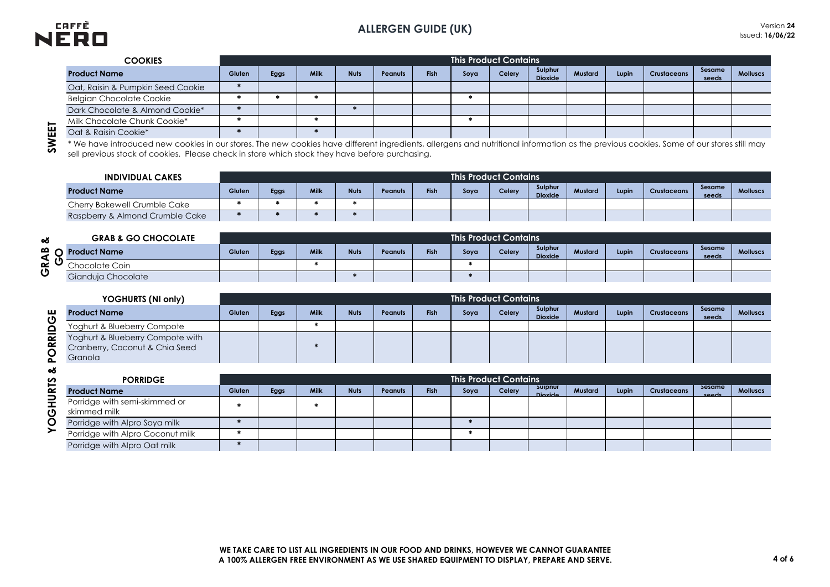

| Gluten | Eggs | Milk | <b>Nuts</b> | Peanuts | <b>Fish</b> | Soya | Celery | Sulphur<br><b>Dioxide</b> | Mustard                 | Lupin | <b>Crustaceans</b> | Sesame<br>seeds | <b>Molluscs</b> |
|--------|------|------|-------------|---------|-------------|------|--------|---------------------------|-------------------------|-------|--------------------|-----------------|-----------------|
|        |      |      |             |         |             |      |        |                           |                         |       |                    |                 |                 |
|        |      |      |             |         |             |      |        |                           |                         |       |                    |                 |                 |
|        |      |      |             |         |             |      |        |                           |                         |       |                    |                 |                 |
|        |      |      |             |         |             |      |        |                           |                         |       |                    |                 |                 |
|        |      |      |             |         |             |      |        |                           |                         |       |                    |                 |                 |
|        |      |      |             |         |             |      |        |                           | This Product Contains ' |       |                    |                 |                 |

SWEET

| <b>INDIVIDUAL CAKES</b>         |        |      |      |             |         |      | <b>This Product Contains</b> |        |                           |         |       |                    |                 |                 |
|---------------------------------|--------|------|------|-------------|---------|------|------------------------------|--------|---------------------------|---------|-------|--------------------|-----------------|-----------------|
| <b>Product Name</b>             | Gluten | Eggs | Milk | <b>Nuts</b> | Peanuts | Fish | Sova                         | Celery | Sulphur<br><b>Dioxide</b> | Mustard | Lupin | <b>Crustaceans</b> | Sesame<br>seeds | <b>Molluscs</b> |
| Cherry Bakewell Crumble Cake    |        |      |      |             |         |      |                              |        |                           |         |       |                    |                 |                 |
| Raspberry & Almond Crumble Cake |        |      |      |             |         |      |                              |        |                           |         |       |                    |                 |                 |

| min Chocoluid Chorin Coorio     |        |      |             |             |                |             |                                                                                                |        |                           |                                                              |       |             |                 |                                                                                                                                                                                         |
|---------------------------------|--------|------|-------------|-------------|----------------|-------------|------------------------------------------------------------------------------------------------|--------|---------------------------|--------------------------------------------------------------|-------|-------------|-----------------|-----------------------------------------------------------------------------------------------------------------------------------------------------------------------------------------|
| Oat & Raisin Cookie*            |        |      |             |             |                |             |                                                                                                |        |                           |                                                              |       |             |                 |                                                                                                                                                                                         |
|                                 |        |      |             |             |                |             |                                                                                                |        |                           |                                                              |       |             |                 |                                                                                                                                                                                         |
|                                 |        |      |             |             |                |             |                                                                                                |        |                           |                                                              |       |             |                 |                                                                                                                                                                                         |
|                                 |        |      |             |             |                |             |                                                                                                |        |                           |                                                              |       |             |                 |                                                                                                                                                                                         |
| <b>INDIVIDUAL CAKES</b>         |        |      |             |             |                |             |                                                                                                |        |                           |                                                              |       |             |                 |                                                                                                                                                                                         |
| <b>Product Name</b>             | Gluten | Eggs | <b>Milk</b> | <b>Nuts</b> | <b>Peanuts</b> | <b>Fish</b> | Soya                                                                                           | Celery | Sulphur<br><b>Dioxide</b> | Mustard                                                      | Lupin | Crustaceans | Sesame<br>seeds | <b>Molluscs</b>                                                                                                                                                                         |
| Cherry Bakewell Crumble Cake    |        |      |             |             |                |             |                                                                                                |        |                           |                                                              |       |             |                 |                                                                                                                                                                                         |
| Raspberry & Almond Crumble Cake |        |      |             |             |                |             |                                                                                                |        |                           |                                                              |       |             |                 |                                                                                                                                                                                         |
|                                 |        |      |             |             |                |             |                                                                                                |        |                           |                                                              |       |             |                 |                                                                                                                                                                                         |
| <b>GRAB &amp; GO CHOCOLATE</b>  |        |      |             |             |                |             |                                                                                                |        |                           |                                                              |       |             |                 |                                                                                                                                                                                         |
| <b>Product Name</b>             | Gluten | Eggs | <b>Milk</b> | <b>Nuts</b> | <b>Peanuts</b> | <b>Fish</b> | Soya                                                                                           | Celery | Sulphur<br><b>Dioxide</b> | Mustard                                                      | Lupin | Crustaceans | Sesame<br>seeds | <b>Molluscs</b>                                                                                                                                                                         |
| Chocolate Coin                  |        |      |             |             |                |             |                                                                                                |        |                           |                                                              |       |             |                 |                                                                                                                                                                                         |
| Gianduja Chocolate              |        |      |             |             |                |             |                                                                                                |        |                           |                                                              |       |             |                 |                                                                                                                                                                                         |
|                                 |        |      |             |             |                |             | sell previous stock of cookies. Please check in store which stock they have before purchasing. |        |                           | <b>This Product Contains</b><br><b>This Product Contains</b> |       |             |                 | * We have introduced new cookies in our stores. The new cookies have different ingredients, allergens and nutritional information as the previous cookies. Some of our stores still may |

|                              | YOGHURTS (NI only)                                                            |        |      |             |             |                |             | <b>This Product Contains</b> |        |                           |         |       |                    |                 |                 |
|------------------------------|-------------------------------------------------------------------------------|--------|------|-------------|-------------|----------------|-------------|------------------------------|--------|---------------------------|---------|-------|--------------------|-----------------|-----------------|
| ш<br>$\overline{\mathbf{O}}$ | <b>Product Name</b>                                                           | Gluten | Eggs | <b>Milk</b> | <b>Nuts</b> | <b>Peanuts</b> | Fish        | Soya                         | Celery | Sulphur<br><b>Dioxide</b> | Mustard | Lupin | <b>Crustaceans</b> | Sesame<br>seeds | <b>Molluscs</b> |
|                              | Yoghurt & Blueberry Compote                                                   |        |      |             |             |                |             |                              |        |                           |         |       |                    |                 |                 |
| ORRID<br>Δ.                  | Yoghurt & Blueberry Compote with<br>Cranberry, Coconut & Chia Seed<br>Granola |        |      |             |             |                |             |                              |        |                           |         |       |                    |                 |                 |
| త                            | <b>PORRIDGE</b>                                                               |        |      |             |             |                |             | <b>This Product Contains</b> |        |                           |         |       |                    |                 |                 |
|                              | <b>Product Name</b>                                                           | Gluten | Eggs | <b>Milk</b> | <b>Nuts</b> | <b>Peanuts</b> | <b>Fish</b> | Soya                         | Celery | <b>Sulphur</b><br>Diovide | Mustard | Lupin | Crustaceans        | sesame<br>space | <b>Molluscs</b> |
| <b>HURTS</b><br>ပ            | Porridge with semi-skimmed or<br>skimmed milk                                 |        |      |             |             |                |             |                              |        |                           |         |       |                    |                 |                 |
| O                            | Porridge with Alpro Soya milk                                                 |        |      |             |             |                |             |                              |        |                           |         |       |                    |                 |                 |
|                              | Demisiers with Almse Connectivelly                                            |        |      |             |             |                |             |                              |        |                           |         |       |                    |                 |                 |

| య          |                                               |        |      |             |             |                |      |      |                              |                    |         |       |             |                 |                 |
|------------|-----------------------------------------------|--------|------|-------------|-------------|----------------|------|------|------------------------------|--------------------|---------|-------|-------------|-----------------|-----------------|
|            | <b>PORRIDGE</b>                               |        |      |             |             |                |      |      | <b>This Product Contains</b> |                    |         |       |             |                 |                 |
| <b>RTS</b> | Product Name                                  | Gluten | Eggs | <b>Milk</b> | <b>Nuts</b> | <b>Peanuts</b> | Fish | Soya | Celery                       | Sulphur<br>Dioxide | Mustard | Lupin | Crustaceans | Sesame<br>spoor | <b>Molluscs</b> |
| 긒<br>ტ     | Porridge with semi-skimmed or<br>skimmed milk |        |      |             |             |                |      |      |                              |                    |         |       |             |                 |                 |
| C          | Porridge with Alpro Soya milk                 |        |      |             |             |                |      |      |                              |                    |         |       |             |                 |                 |
|            | Porridge with Alpro Coconut milk              |        |      |             |             |                |      |      |                              |                    |         |       |             |                 |                 |
|            | Porridge with Alpro Oat milk                  |        |      |             |             |                |      |      |                              |                    |         |       |             |                 |                 |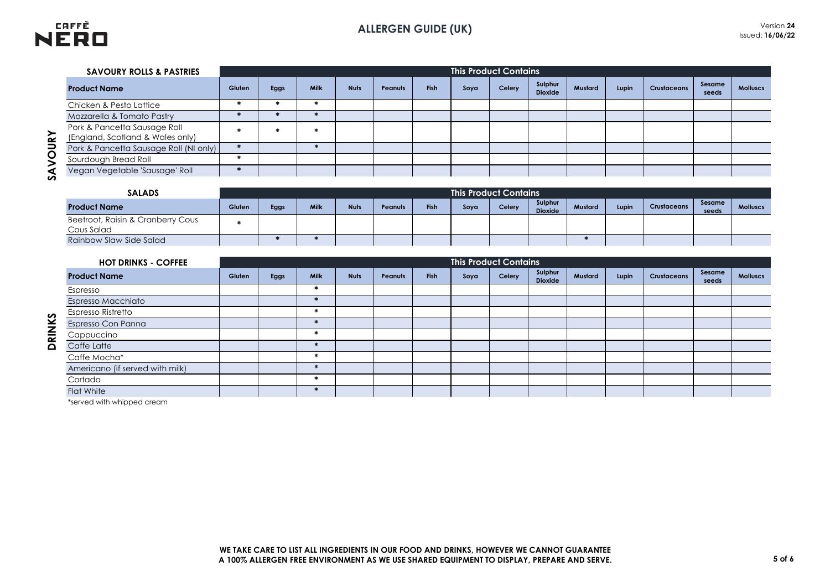

| <b>SAVOURY ROLLS &amp; PASTRIES</b>                              |        |      |             |             |                |             | <b>This Product Contains</b> |        |                           |         |       |                    |                 |                 |
|------------------------------------------------------------------|--------|------|-------------|-------------|----------------|-------------|------------------------------|--------|---------------------------|---------|-------|--------------------|-----------------|-----------------|
| <b>Product Name</b>                                              | Gluten | Eggs | <b>Milk</b> | <b>Nuts</b> | <b>Peanuts</b> | <b>Fish</b> | Soya                         | Celery | Sulphur<br><b>Dioxide</b> | Mustard | Lupin | <b>Crustaceans</b> | Sesame<br>seeds | <b>Molluscs</b> |
| Chicken & Pesto Lattice                                          |        |      |             |             |                |             |                              |        |                           |         |       |                    |                 |                 |
| Mozzarella & Tomato Pastry                                       |        |      |             |             |                |             |                              |        |                           |         |       |                    |                 |                 |
| Pork & Pancetta Sausage Roll<br>(England, Scotland & Wales only) |        |      |             |             |                |             |                              |        |                           |         |       |                    |                 |                 |
| Pork & Pancetta Sausage Roll (NI only)                           |        |      |             |             |                |             |                              |        |                           |         |       |                    |                 |                 |
| Sourdough Bread Roll                                             |        |      |             |             |                |             |                              |        |                           |         |       |                    |                 |                 |
| Vegan Vegetable 'Sausage' Roll                                   |        |      |             |             |                |             |                              |        |                           |         |       |                    |                 |                 |

**DRINKS** 

| <b>SALADS</b>                                   |        | <b>This Product Contains</b> |      |             |         |             |      |        |                           |         |       |                    |                 |                 |
|-------------------------------------------------|--------|------------------------------|------|-------------|---------|-------------|------|--------|---------------------------|---------|-------|--------------------|-----------------|-----------------|
| <b>Product Name</b>                             | Gluten | Eggs                         | Milk | <b>Nuts</b> | Peanuts | <b>Fish</b> | Soya | Celery | Sulphur<br><b>Dioxide</b> | Mustard | Lupin | <b>Crustaceans</b> | Sesame<br>seeds | <b>Molluscs</b> |
| Beetroot, Raisin & Cranberry Cous<br>Cous Salad |        |                              |      |             |         |             |      |        |                           |         |       |                    |                 |                 |
| Rainbow Slaw Side Salad                         |        |                              |      |             |         |             |      |        |                           |         |       |                    |                 |                 |

| <b>HOT DRINKS - COFFEE</b>      | <b>This Product Contains</b> |      |               |             |                |             |      |        |                           |         |       |             |                 |                 |
|---------------------------------|------------------------------|------|---------------|-------------|----------------|-------------|------|--------|---------------------------|---------|-------|-------------|-----------------|-----------------|
| <b>Product Name</b>             | Gluten                       | Eggs | <b>Milk</b>   | <b>Nuts</b> | <b>Peanuts</b> | <b>Fish</b> | Soya | Celery | Sulphur<br><b>Dioxide</b> | Mustard | Lupin | Crustaceans | Sesame<br>seeds | <b>Molluscs</b> |
| Espresso                        |                              |      |               |             |                |             |      |        |                           |         |       |             |                 |                 |
| Espresso Macchiato              |                              |      |               |             |                |             |      |        |                           |         |       |             |                 |                 |
| Espresso Ristretto              |                              |      |               |             |                |             |      |        |                           |         |       |             |                 |                 |
| Espresso Con Panna              |                              |      |               |             |                |             |      |        |                           |         |       |             |                 |                 |
| Cappuccino                      |                              |      |               |             |                |             |      |        |                           |         |       |             |                 |                 |
| Caffe Latte                     |                              |      |               |             |                |             |      |        |                           |         |       |             |                 |                 |
| Caffe Mocha*                    |                              |      |               |             |                |             |      |        |                           |         |       |             |                 |                 |
| Americano (if served with milk) |                              |      |               |             |                |             |      |        |                           |         |       |             |                 |                 |
| Cortado                         |                              |      |               |             |                |             |      |        |                           |         |       |             |                 |                 |
| <b>Flat White</b>               |                              |      | $\frac{1}{2}$ |             |                |             |      |        |                           |         |       |             |                 |                 |

\*served with whipped cream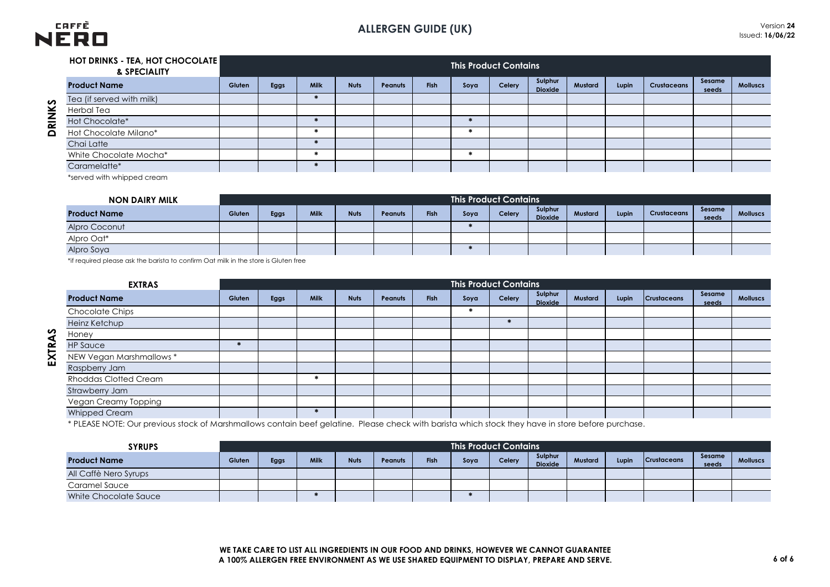

|          | <b>HOT DRINKS - TEA, HOT CHOCOLATE</b><br>& SPECIALITY |        |      |      |             |                |             |      | <b>This Product Contains</b> |                           |         |       |                    |                 |                 |
|----------|--------------------------------------------------------|--------|------|------|-------------|----------------|-------------|------|------------------------------|---------------------------|---------|-------|--------------------|-----------------|-----------------|
|          | <b>Product Name</b>                                    | Gluten | Eggs | Milk | <b>Nuts</b> | <b>Peanuts</b> | <b>Fish</b> | Soya | Celery                       | Sulphur<br><b>Dioxide</b> | Mustard | Lupin | <b>Crustaceans</b> | Sesame<br>seeds | <b>Molluscs</b> |
|          | Tea (if served with milk)                              |        |      |      |             |                |             |      |                              |                           |         |       |                    |                 |                 |
| RINKS    | Herbal Tea                                             |        |      |      |             |                |             |      |                              |                           |         |       |                    |                 |                 |
|          | Hot Chocolate*                                         |        |      |      |             |                |             |      |                              |                           |         |       |                    |                 |                 |
| $\Omega$ | Hot Chocolate Milano*                                  |        |      |      |             |                |             |      |                              |                           |         |       |                    |                 |                 |
|          | Chai Latte                                             |        |      |      |             |                |             |      |                              |                           |         |       |                    |                 |                 |
|          | White Chocolate Mocha*                                 |        |      |      |             |                |             |      |                              |                           |         |       |                    |                 |                 |
|          | Caramelatte*                                           |        |      |      |             |                |             |      |                              |                           |         |       |                    |                 |                 |

\*served with whipped cream

| <b>NON DAIRY MILK</b> | . This Product Contains <sup>1</sup> |      |             |             |         |      |      |        |                           |         |       |                    |                 |                 |
|-----------------------|--------------------------------------|------|-------------|-------------|---------|------|------|--------|---------------------------|---------|-------|--------------------|-----------------|-----------------|
| <b>Product Name</b>   | Gluten                               | Eggs | <b>Milk</b> | <b>Nuts</b> | Peanuts | Fish | Soya | Celery | Sulphur<br><b>Dioxide</b> | Mustard | Lupin | <b>Crustaceans</b> | Sesame<br>seeds | <b>Molluscs</b> |
| Alpro Coconut         |                                      |      |             |             |         |      |      |        |                           |         |       |                    |                 |                 |
| Alpro Oat*            |                                      |      |             |             |         |      |      |        |                           |         |       |                    |                 |                 |
| Alpro Soya            |                                      |      |             |             |         |      |      |        |                           |         |       |                    |                 |                 |

\*if required please ask the barista to confirm Oat milk in the store is Gluten free

| <b>EXTRAS</b>                | <b>This Product Contains</b> |      |      |             |                |      |      |        |                    |         |       |                    |                 |                 |
|------------------------------|------------------------------|------|------|-------------|----------------|------|------|--------|--------------------|---------|-------|--------------------|-----------------|-----------------|
| <b>Product Name</b>          | Gluten                       | Eggs | Milk | <b>Nuts</b> | <b>Peanuts</b> | Fish | Soya | Celery | Sulphur<br>Dioxide | Mustard | Lupin | <b>Crustaceans</b> | Sesame<br>seeds | <b>Molluscs</b> |
| <b>Chocolate Chips</b>       |                              |      |      |             |                |      |      |        |                    |         |       |                    |                 |                 |
| Heinz Ketchup                |                              |      |      |             |                |      |      |        |                    |         |       |                    |                 |                 |
| Honey                        |                              |      |      |             |                |      |      |        |                    |         |       |                    |                 |                 |
| <b>HP Sauce</b>              |                              |      |      |             |                |      |      |        |                    |         |       |                    |                 |                 |
| NEW Vegan Marshmallows *     |                              |      |      |             |                |      |      |        |                    |         |       |                    |                 |                 |
| Raspberry Jam                |                              |      |      |             |                |      |      |        |                    |         |       |                    |                 |                 |
| <b>Rhoddas Clotted Cream</b> |                              |      |      |             |                |      |      |        |                    |         |       |                    |                 |                 |
| Strawberry Jam               |                              |      |      |             |                |      |      |        |                    |         |       |                    |                 |                 |
| Vegan Creamy Topping         |                              |      |      |             |                |      |      |        |                    |         |       |                    |                 |                 |
| Whipped Cream                |                              |      | 瑞    |             |                |      |      |        |                    |         |       |                    |                 |                 |

\* PLEASE NOTE: Our previous stock of Marshmallows contain beef gelatine. Please check with barista which stock they have in store before purchase.

| <b>SYRUPS</b>         |        | <b>This Product Contains</b> |      |             |         |             |      |        |                           |         |       |                    |                 |                 |
|-----------------------|--------|------------------------------|------|-------------|---------|-------------|------|--------|---------------------------|---------|-------|--------------------|-----------------|-----------------|
| <b>Product Name</b>   | Gluten | Eggs                         | Milk | <b>Nuts</b> | Peanuts | <b>Fish</b> | Sova | Celery | Sulphur<br><b>Dioxide</b> | Mustard | Lupin | <b>Crustaceans</b> | Sesame<br>seeds | <b>Molluscs</b> |
| All Caffè Nero Syrups |        |                              |      |             |         |             |      |        |                           |         |       |                    |                 |                 |
| Caramel Sauce         |        |                              |      |             |         |             |      |        |                           |         |       |                    |                 |                 |
| White Chocolate Sauce |        |                              |      |             |         |             |      |        |                           |         |       |                    |                 |                 |

EXTRAS

**EXTRAS DRINKS**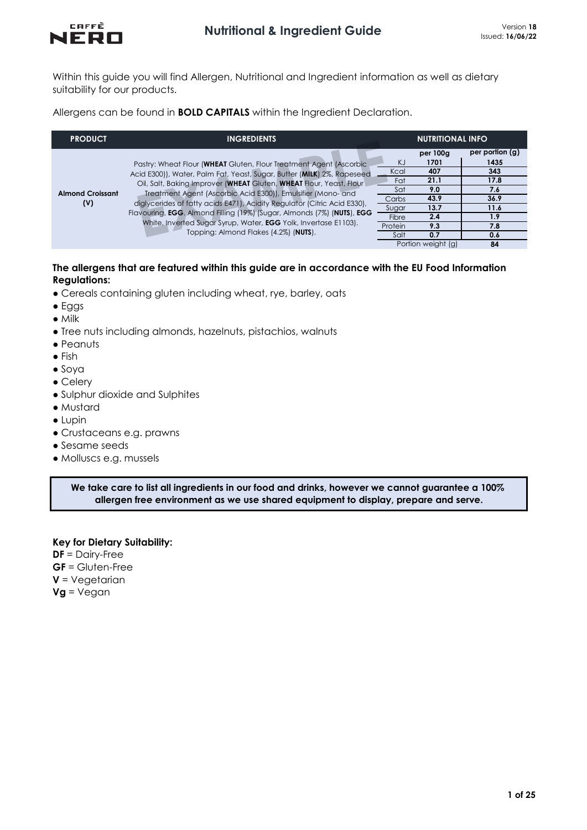

Within this guide you will find Allergen, Nutritional and Ingredient information as well as dietary suitability for our products.

Allergens can be found in **BOLD CAPITALS** within the Ingredient Declaration.

| <b>PRODUCT</b>                 | <b>INGREDIENTS</b>                                                                                                                                                                                                                                                                                                                                              |                                            | <b>NUTRITIONAL INFO</b>                                |                                                               |
|--------------------------------|-----------------------------------------------------------------------------------------------------------------------------------------------------------------------------------------------------------------------------------------------------------------------------------------------------------------------------------------------------------------|--------------------------------------------|--------------------------------------------------------|---------------------------------------------------------------|
| <b>Almond Croissant</b><br>(V) | Pastry: Wheat Flour (WHEAT Gluten, Flour Treatment Agent (Ascorbic<br>Acid E300)), Water, Palm Fat, Yeast, Sugar, Butter (MILK) 2%, Rapeseed<br>Oil, Salt, Baking Improver (WHEAT Gluten, WHEAT Flour, Yeast, Flour<br>Treatment Agent (Ascorbic Acid E300)), Emulsifier (Mono- and<br>diglycerides of fatty acids E471), Acidity Regulator (Citric Acid E330), | KJ<br>Kcal<br>Fat<br>Sat<br>Carbs<br>Sugar | per 100g<br>1701<br>407<br>21.1<br>9.0<br>43.9<br>13.7 | per portion (g)<br>1435<br>343<br>17.8<br>7.6<br>36.9<br>11.6 |
|                                | Flavouring, EGG. Almond Filling (19%) (Sugar, Almonds (7%) (NUTS), EGG<br>White, Inverted Sugar Syrup, Water, <b>EGG</b> Yolk, Invertase E1103).                                                                                                                                                                                                                | Fibre                                      | 2.4                                                    | 1.9                                                           |
|                                | Topping: Almond Flakes (4.2%) (NUTS).                                                                                                                                                                                                                                                                                                                           | Protein<br>Salt                            | 9.3<br>0.7                                             | 7.8<br>0.6                                                    |
|                                |                                                                                                                                                                                                                                                                                                                                                                 |                                            | Portion weight (g)                                     | 84                                                            |

## **The allergens that are featured within this guide are in accordance with the EU Food Information Regulations:**

- Cereals containing gluten including wheat, rye, barley, oats
- Eggs
- Milk
- Tree nuts including almonds, hazelnuts, pistachios, walnuts
- Peanuts
- Fish
- Soya
- Celery
- Sulphur dioxide and Sulphites
- Mustard
- Lupin
- Crustaceans e.g. prawns
- Sesame seeds
- Molluscs e.g. mussels

**We take care to list all ingredients in our food and drinks, however we cannot guarantee a 100% allergen free environment as we use shared equipment to display, prepare and serve.**

**Key for Dietary Suitability: DF** = Dairy-Free **GF** = Gluten-Free **V** = Vegetarian **Vg** = Vegan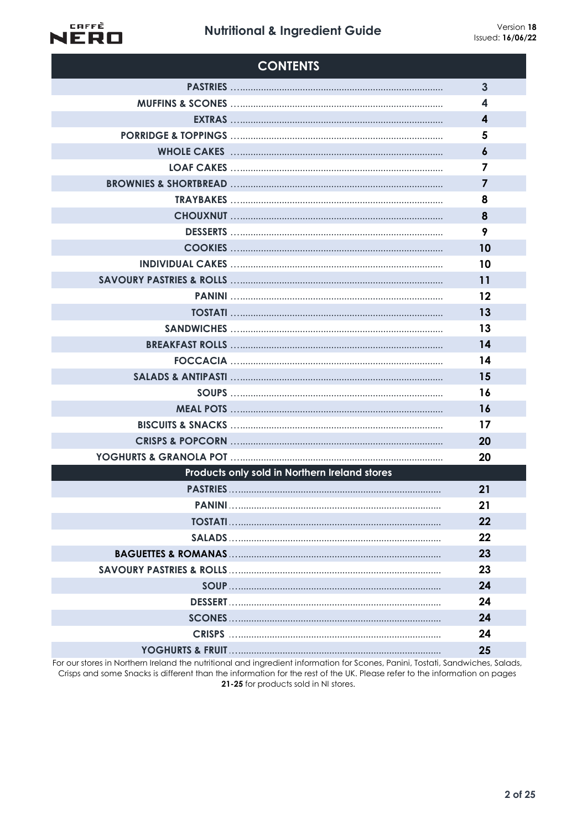# **Nutritional & Ingredient Guide**



| <b>CONTENTS</b>                               |                         |
|-----------------------------------------------|-------------------------|
|                                               | $\overline{3}$          |
|                                               | 4                       |
|                                               | $\overline{\mathbf{4}}$ |
|                                               | 5                       |
|                                               | $\boldsymbol{6}$        |
|                                               | 7                       |
|                                               | $\overline{7}$          |
|                                               | 8                       |
|                                               | 8                       |
|                                               | 9                       |
|                                               | 10                      |
|                                               | 10                      |
|                                               | 11                      |
|                                               | 12                      |
|                                               | 13                      |
|                                               | 13                      |
|                                               | 14                      |
|                                               | 14                      |
|                                               | 15                      |
|                                               | 16                      |
|                                               | 16                      |
|                                               | 17                      |
|                                               | 20                      |
|                                               | 20                      |
| Products only sold in Northern Ireland stores |                         |
|                                               | 21                      |
|                                               | 21                      |
|                                               | 22                      |
|                                               | 22                      |
|                                               | 23                      |
|                                               | 23                      |
|                                               | 24                      |
|                                               | 24                      |
|                                               | 24                      |
|                                               | 24                      |
|                                               | 25                      |

For our stores in Northern Ireland the nutritional and ingredient information for Scones, Panini, Tostati, Sandwiches, Salads, Crisps and some Snacks is different than the information for the rest of the UK. Please refer to the information on pages 21-25 for products sold in NI stores.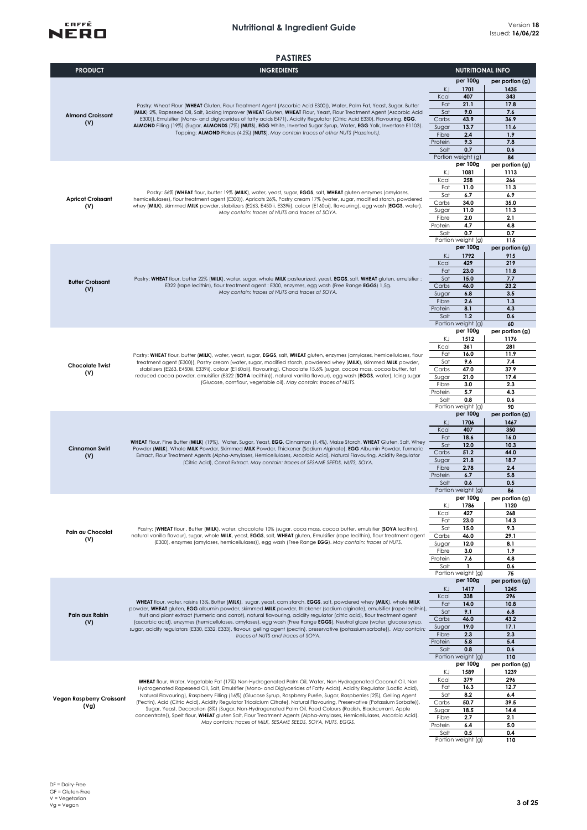

|                                  | <b>PASTIRES</b>                                                                                                                                                                                                                                      |                  |                                |                         |
|----------------------------------|------------------------------------------------------------------------------------------------------------------------------------------------------------------------------------------------------------------------------------------------------|------------------|--------------------------------|-------------------------|
| <b>PRODUCT</b>                   | <b>INGREDIENTS</b>                                                                                                                                                                                                                                   |                  | <b>NUTRITIONAL INFO</b>        |                         |
|                                  |                                                                                                                                                                                                                                                      |                  | per 100g                       | per portion (g)         |
|                                  |                                                                                                                                                                                                                                                      | KJ               | 1701                           | 1435                    |
|                                  |                                                                                                                                                                                                                                                      | Kcal             | 407                            | 343                     |
|                                  | Pastry: Wheat Flour (WHEAT Gluten, Flour Treatment Agent (Ascorbic Acid E300)), Water, Palm Fat, Yeast, Sugar, Butter                                                                                                                                | Fat              | 21.1                           | 17.8                    |
| <b>Almond Croissant</b>          | (MILK) 2%, Rapeseed Oil, Salt, Baking Improver (WHEAT Gluten, WHEAT Flour, Yeast, Flour Treatment Agent (Ascorbic Acid<br>E300)), Emulsifier (Mono- and diglycerides of fatty acids E471), Acidity Regulator (Citric Acid E330), Flavouring, EGG.    | Sat              | 9.0<br>43.9                    | 7.6                     |
| (V)                              | ALMOND Filling (19%) (Sugar, ALMONDS (7%) (NUTS), EGG White, Inverted Sugar Syrup, Water, EGG Yolk, Invertase E1103).                                                                                                                                | Carbs<br>Sugar   | 13.7                           | 36.9<br>11.6            |
|                                  | Topping: ALMOND Flakes (4.2%) (NUTS). May contain traces of other NUTS (Hazelnuts).                                                                                                                                                                  | Fibre            | 2.4                            | 1.9                     |
|                                  |                                                                                                                                                                                                                                                      | Protein          | 9.3                            | 7.8                     |
|                                  |                                                                                                                                                                                                                                                      | Salt             | 0.7                            | 0.6                     |
|                                  |                                                                                                                                                                                                                                                      |                  | Portion weight (g)<br>per 100g | 84                      |
|                                  |                                                                                                                                                                                                                                                      | KJ               | 1081                           | per portion (g)<br>1113 |
|                                  |                                                                                                                                                                                                                                                      | Kcal             | 258                            | 266                     |
|                                  |                                                                                                                                                                                                                                                      | Fat              | 11.0                           | 11.3                    |
| <b>Apricot Croissant</b>         | Pastry: 56% (WHEAT flour, butter 19% (MILK), water, yeast, sugar, EGGS, salt, WHEAT gluten enzymes (amylases,<br>hemicellulases), flour treatment agent (E300)), Apricots 26%, Pastry cream 17% (water, sugar, modified starch, powdered             | Sat              | 6.7                            | 6.9                     |
| (V)                              | whey (MILK), skimmed MILK powder, stabilizers (E263, E450iii, E339ii), colour (E160ai), flavouring), egg wash (EGGS, water).                                                                                                                         | Carbs            | 34.0                           | 35.0                    |
|                                  | May contain: traces of NUTS and traces of SOYA.                                                                                                                                                                                                      | Sugar            | 11.0<br>2.0                    | 11.3<br>2.1             |
|                                  |                                                                                                                                                                                                                                                      | Fibre<br>Protein | 4.7                            | 4.8                     |
|                                  |                                                                                                                                                                                                                                                      | Salt             | 0.7                            | 0.7                     |
|                                  |                                                                                                                                                                                                                                                      |                  | Portion weight (g)             | 115                     |
|                                  |                                                                                                                                                                                                                                                      |                  | per 100g                       | per portion (g)         |
|                                  |                                                                                                                                                                                                                                                      | KJ               | 1792                           | 915                     |
|                                  |                                                                                                                                                                                                                                                      | Kcal             | 429                            | 219                     |
|                                  | Pastry: WHEAT flour, butter 22% (MILK), water, sugar, whole MILK pasteurized, yeast, EGGS, salt, WHEAT gluten, emulsifier:                                                                                                                           | Fat<br>Sat       | 23.0<br>15.0                   | 11.8<br>7.7             |
| <b>Butter Croissant</b>          | E322 (rape lecithin), flour treatment agent : E300, enzymes, egg wash (Free Range EGGS) 1,5g.                                                                                                                                                        | Carbs            | 46.0                           | 23.2                    |
| (V)                              | May contain: traces of NUTS and traces of SOYA.                                                                                                                                                                                                      | Sugar            | 6.8                            | 3.5                     |
|                                  |                                                                                                                                                                                                                                                      | Fibre            | 2.6                            | 1.3                     |
|                                  |                                                                                                                                                                                                                                                      | Protein          | 8.1                            | 4.3                     |
|                                  |                                                                                                                                                                                                                                                      | Salt             | 1.2                            | 0.6                     |
|                                  |                                                                                                                                                                                                                                                      |                  | Portion weight (g)<br>per 100g | 60<br>per portion (g)   |
|                                  |                                                                                                                                                                                                                                                      | KJ               | 1512                           | 1176                    |
|                                  |                                                                                                                                                                                                                                                      | Kcal             | 361                            | 281                     |
|                                  | Pastry: WHEAT flour, butter (MILK), water, yeast, sugar, EGGS, salt, WHEAT gluten, enzymes (amylases, hemicellulases, flour                                                                                                                          | Fat              | 16.0                           | 11.9                    |
| <b>Chocolate Twist</b>           | treatment agent (E300)), Pastry cream (water, sugar, modified starch, powdered whey (MILK), skimmed MILK powder,                                                                                                                                     | Sat              | 9.6                            | 7.4                     |
| (V)                              | stabilizers (E263, E450iii, E339ii), colour (E160aii), flavouring), Chocolate 15.6% (sugar, cocoa mass, cocoa butter, fat                                                                                                                            | Carbs            | 47.0                           | 37.9                    |
|                                  | reduced cocoa powder, emulsifier (E322 (SOYA lecithin)), natural vanilla flavour), egg wash (EGGS, water), lcing sugar<br>(Glucose, cornflour, vegetable oil). May contain: traces of NUTS.                                                          | Sugar            | 21.0                           | 17.4                    |
|                                  |                                                                                                                                                                                                                                                      | Fibre<br>Protein | 3.0<br>5.7                     | 2.3<br>4.3              |
|                                  |                                                                                                                                                                                                                                                      | Salt             | 0.8                            | 0.6                     |
|                                  |                                                                                                                                                                                                                                                      |                  | Portion weight (g)             | 90                      |
|                                  |                                                                                                                                                                                                                                                      |                  | per 100g                       | per portion (g)         |
|                                  |                                                                                                                                                                                                                                                      | KJ               | 1706                           | 1467                    |
|                                  |                                                                                                                                                                                                                                                      | Kcal<br>Fat      | 407<br>18.6                    | 350                     |
|                                  | WHEAT Flour, Fine Butter (MILK) (19%), Water, Sugar, Yeast, EGG, Cinnamon (1.4%), Maize Starch, WHEAT Gluten, Salt, Whey                                                                                                                             |                  |                                | 16.0<br>10.3            |
| <b>Cinnamon Swirl</b>            | Powder (MILK), Whole MILK Powder, Skimmed MILK Powder, Thickener (Sodium Alginate), EGG Albumin Powder, Turmeric                                                                                                                                     | Sat<br>Carbs     | 12.0<br>51.2                   | 44.0                    |
| (V)                              | Extract, Flour Treatment Agents (Alpha-Amylases, Hemicellulases, Ascorbic Acid), Natural Flavouring, Acidity Regulator<br>(Citric Acid), Carrot Extract. May contain: traces of SESAME SEEDS, NUTS, SOYA.                                            | Sugar            | 21.8                           | 18.7                    |
|                                  |                                                                                                                                                                                                                                                      | Fibre            | 2.78                           | 2.4                     |
|                                  |                                                                                                                                                                                                                                                      | Protein          | 6.7                            | 5.8                     |
|                                  |                                                                                                                                                                                                                                                      | Salt             | 0.6<br>Portion weight (g)      | 0.5<br>86               |
|                                  |                                                                                                                                                                                                                                                      |                  | per Tuug                       | per portion (g)         |
|                                  |                                                                                                                                                                                                                                                      | ΚJ               | 1786                           | 1120                    |
|                                  |                                                                                                                                                                                                                                                      | Kcal             | 427                            | 268                     |
|                                  |                                                                                                                                                                                                                                                      | Fat              | 23.0                           | 14.3                    |
| Pain au Chocolat                 | Pastry: (WHEAT flour, Butter (MILK), water, chocolate 10% (sugar, coca mass, cocoa butter, emulsifier (SOYA lecithin),                                                                                                                               | Sat              | 15.0                           | 9.3                     |
| (V)                              | natural vanilla flavour), sugar, whole MILK, yeast, EGGS, salt, WHEAT gluten, Emulsifier (rape lecithin), flour treatment agent<br>(E300), enzymes (amylases, hemicellulases)), egg wash (Free Range EGG). May contain: traces of NUTS.              | Carbs<br>Sugar   | 46.0<br>12.0                   | 29.1<br>8.1             |
|                                  |                                                                                                                                                                                                                                                      | Fibre            | 3.0                            | 1.9                     |
|                                  |                                                                                                                                                                                                                                                      | Protein          | 7.6                            | 4.8                     |
|                                  |                                                                                                                                                                                                                                                      | Salt             | $\mathbf{1}$                   | 0.6                     |
|                                  |                                                                                                                                                                                                                                                      |                  | Portion weight (g)             | 75                      |
|                                  |                                                                                                                                                                                                                                                      | KJ               | per 100g<br>1417               | per portion (g)<br>1245 |
|                                  |                                                                                                                                                                                                                                                      | Kcal             | 338                            | 296                     |
|                                  | WHEAT flour, water, raisins 13%, Butter (MILK), sugar, yeast, corn starch, EGGS, salt, powdered whey (MILK), whole MILK                                                                                                                              | Fat              | 14.0                           | 10.8                    |
| Pain aux Raisin                  | powder, WHEAT gluten, EGG albumin powder, skimmed MILK powder, thickener (sodium alginate), emulsifier (rape lecithin),<br>fruit and plant extract (turmeric and carrot), natural flavouring, acidity regulator (citric acid), flour treatment agent | Sat              | 9.1                            | 6.8                     |
| (V)                              | (ascorbic acid), enzymes (hemicellulases, amylases), egg wash (Free Range EGGS), Neutral glaze (water, glucose syrup,                                                                                                                                | Carbs            | 46.0                           | 43.2                    |
|                                  | sugar, acidity regulators (E330, E332, E333), flavour, gelling agent (pectin), preservative (potassium sorbate)). May contain:                                                                                                                       | Sugar            | 19.0                           | 17.1                    |
|                                  | traces of NUTS and traces of SOYA.                                                                                                                                                                                                                   | Fibre<br>Protein | 2.3<br>5.8                     | 2.3<br>5.4              |
|                                  |                                                                                                                                                                                                                                                      | Salt             | 0.8                            | 0.6                     |
|                                  |                                                                                                                                                                                                                                                      |                  | Portion weight (g)             | 110                     |
|                                  |                                                                                                                                                                                                                                                      |                  | per 100g                       | per portion (g)         |
|                                  |                                                                                                                                                                                                                                                      | ΚJ               | 1589                           | 1239                    |
|                                  | WHEAT flour, Water, Vegetable Fat (17%) Non-Hydrogenated Palm Oil, Water, Non Hydrogenated Coconut Oil, Non                                                                                                                                          | Kcal             | 379                            | 296                     |
|                                  | Hydrogenated Rapeseed Oil, Salt, Emulsifier (Mono- and Diglycerides of Fatty Acids), Acidity Regulator (Lactic Acid),                                                                                                                                | Fat<br>Sat       | 16.3<br>8.2                    | 12.7<br>6.4             |
| <b>Vegan Raspberry Croissant</b> | Natural Flavouring), Raspberry Filling (16%) (Glucose Syrup, Raspberry Purée, Sugar, Raspberries (2%), Gelling Agent<br>(Pectin), Acid (Citric Acid), Acidity Regulator Tricalcium Citrate), Natural Flavouring, Preservative (Potassium Sorbate)),  | Carbs            | 50.7                           | 39.5                    |
| (Vg)                             | Sugar, Yeast, Decoration (3%) (Sugar, Non-Hydrogenated Palm Oil, Food Colours (Radish, Blackcurrant, Apple                                                                                                                                           | Sugar            | 18.5                           | 14.4                    |
|                                  | concentrate)), Spelt flour, WHEAT gluten Salt, Flour Treatment Agents (Alpha-Amylases, Hemicellulases, Ascorbic Acid).                                                                                                                               | Fibre            | 2.7                            | 2.1                     |
|                                  | May contain: traces of MILK, SESAME SEEDS, SOYA, NUTS, EGGS.                                                                                                                                                                                         | Protein          | 6.4                            | 5.0                     |
|                                  |                                                                                                                                                                                                                                                      | Salt             | 0.5                            | 0.4                     |
|                                  |                                                                                                                                                                                                                                                      |                  | Portion weight (g)             | 110                     |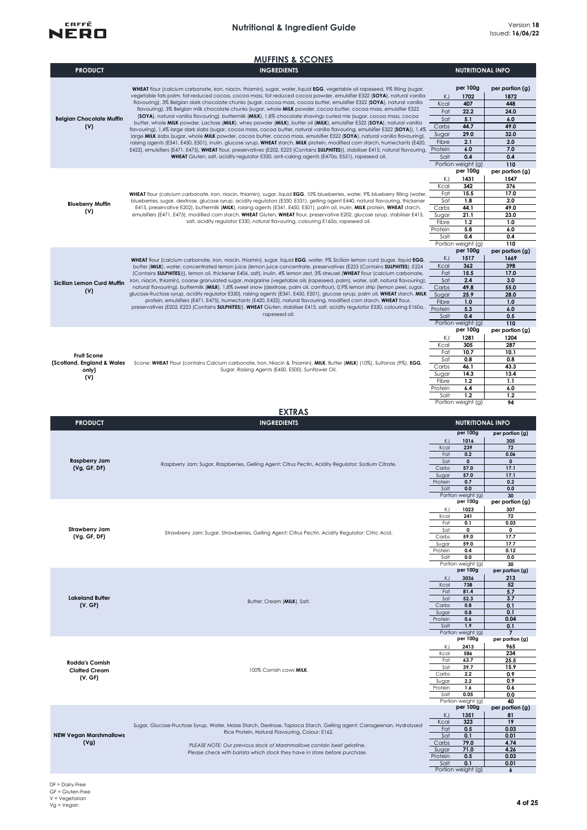

|                                                                  | <b>MUFFINS &amp; SCONES</b>                                                                                                                                                                                                                                                                                                                                                                                                                                                                                                                                                                                                                                                                                                                                                                                                                                                                                                                                                                                                                                                                                                                                                                                                                                                                                                                                                                                |                                                                        |                                                                                                              |                                                                                           |
|------------------------------------------------------------------|------------------------------------------------------------------------------------------------------------------------------------------------------------------------------------------------------------------------------------------------------------------------------------------------------------------------------------------------------------------------------------------------------------------------------------------------------------------------------------------------------------------------------------------------------------------------------------------------------------------------------------------------------------------------------------------------------------------------------------------------------------------------------------------------------------------------------------------------------------------------------------------------------------------------------------------------------------------------------------------------------------------------------------------------------------------------------------------------------------------------------------------------------------------------------------------------------------------------------------------------------------------------------------------------------------------------------------------------------------------------------------------------------------|------------------------------------------------------------------------|--------------------------------------------------------------------------------------------------------------|-------------------------------------------------------------------------------------------|
| <b>PRODUCT</b>                                                   | <b>INGREDIENTS</b>                                                                                                                                                                                                                                                                                                                                                                                                                                                                                                                                                                                                                                                                                                                                                                                                                                                                                                                                                                                                                                                                                                                                                                                                                                                                                                                                                                                         |                                                                        | <b>NUTRITIONAL INFO</b>                                                                                      |                                                                                           |
| <b>Belgian Chocolate Muffin</b><br>(V)                           | WHEAT flour (calcium carbonate, iron, niacin, thiamin), sugar, water, liquid EGG, vegetable oil rapeseed, 9% filling (sugar,<br>vegetable fats palm, fat-reduced cocoa, cocoa mass, fat reduced cocoa powder, emulsifier E322 (SOYA), natural vanilla<br>flavouring), 3% Belgian dark chocolate chunks (sugar, cocoa mass, cocoa butter, emulsifier E322 (SOYA), natural vanilla<br>flavouring), 3% Belgian milk chocolate chunks (sugar, whole MILK powder, cocoa butter, cocoa mass, emulsifier E322<br>(SOYA), natural vanilla flavouring), buttermilk (MILK), 1,8% chocolate shavings curled mix (sugar, cocoa mass, cocoa<br>butter, whole MILK powder, Lactose (MILK), whey powder (MILK), butter oil (MILK), emulsifier E322 (SOYA), natural vanilla<br>flavouring), 1,4% large dark slabs (sugar, cocoa mass, cocoa butter, natural vanilla flavouring, emulsifier E322 (SOYA)), 1,4%<br>large MILK slabs (sugar, whole MILK powder, cocoa butter, cocoa mass, emulsifier E322 (SOYA), natural vanilla flavouring),<br>raising agents (E341, E450, E501), inulin, glucose syrup, WHEAT starch, MILK protein, modified corn starch, humectants (E420,<br>E422), emulsifiers (E471, E475), WHEAT flour, preservatives (E202, E223 (Contains SULPHITES)), stabiliser E415, natural flavouring, Protein<br>WHEAT Gluten, salt, acidity regulator E330, anti-caking agents (E470a, E551), rapeseed oil. | KJ<br>Kcal<br>Fat<br>Sat<br>Carbs<br>Sugar<br>Fibre<br>Salt            | per 100g<br>1702<br>407<br>22.2<br>5.1<br>44.7<br>29.0<br>2.1<br>6.0<br>0.4<br>Portion weight (g)            | per portion (g)<br>1872<br>448<br>24.0<br>6.0<br>49.0<br>32.0<br>2.0<br>7.0<br>0.4<br>110 |
| <b>Blueberry Muffin</b><br>(V)                                   | WHEAT flour (calcium carbonate, iron, niacin, thiamin), sugar, liquid EGG, 10% blueberries, water, 9% blueberry filling (water,<br>blueberries, sugar, dextrose, glucose syrup, acidity regulators (E330, E331), gelling agent E440, natural flavouring, thickener<br>E415, preservative E202), buttermilk (MILK), raising agents (E341, E450, E501), palm oil, inulin, MILK protein, WHEAT starch,<br>emulsifiers (E471, E475), modified corn starch, WHEAT Gluten, WHEAT flour, preservative E202, glucose syrup, stabiliser E415,<br>salt, acidity regulator E330, natural flavouring, colouring E160a, rapeseed oil.                                                                                                                                                                                                                                                                                                                                                                                                                                                                                                                                                                                                                                                                                                                                                                                   | ΚJ<br>Kcal<br>Fat<br>Sat<br>Carbs<br>Sugar<br>Fibre<br>Protein<br>Salt | per 100g<br>1431<br>342<br>15.5<br>1.8<br>44.1<br>21.1<br>1,2<br>5.8<br>0.4<br>Portion weight (g)            | per portion (g)<br>1547<br>376<br>17.0<br>2.0<br>49.0<br>23.0<br>1.0<br>6.0<br>0.4<br>110 |
| Sicilian Lemon Curd Muffin<br>(V)                                | WHEAT flour (calcium carbonate, iron, niacin, thiamin), sugar, liquid EGG, water, 9% Sicilian lemon curd (sugar, liquid EGG,<br>butter (MILK), water, concentrated lemon juice (lemon juice concentrate, preservatives (E223 (Contains SULPHITES), E224<br>(Contains SULPHITES))), lemon oil, thickener E406, salt), inulin, 4% lemon zest, 3% streusel (WHEAT flour (calcium carbonate,<br>iron, niacin, thiamin), coarse granulated sugar, margarine (vegetable oils (rapeseed, palm), water, salt, natural flavouring),<br>natural flavouring), buttermilk (MILK), 1,8% sweet snow (dextrose, palm oil, cornflour), 0,9% lemon strip (lemon peel, sugar,<br>glucose-fructose syrup, acidity regulator E330), raising agents (E341, E450, E501), glucose syrup, palm oil, WHEAT starch, MILK<br>protein, emulsifiers (E471, E475), humectants (E420, E422), natural flavouring, modified corn starch, WHEAT flour,<br>preservatives (E202, E223 (Contains SULPHITES)), WHEAT Gluten, stabiliser E415, salt, acidity regulator E330, colouring E160a, Protein<br>rapeseed oil.                                                                                                                                                                                                                                                                                                                            | KJ<br>Kcal<br>Fat<br>Sat<br>Carbs<br>Sugar<br>Fibre<br>Salt            | per 100g<br>1517<br>362<br>15.5<br>2.4<br>49.8<br>25.9<br>1.0<br>5.3<br>0.4<br>Portion weight (g)            | per portion (g)<br>1669<br>398<br>17.0<br>3.0<br>55.0<br>28.0<br>1.0<br>6.0<br>0.5<br>110 |
| <b>Fruit Scone</b><br>(Scotland, England & Wales<br>only)<br>(V) | Scone: WHEAT Flour (contains Calcium carbonate, Iron, Niacin & Thiamin), MILK, Butter (MILK) (10%), Sultanas (9%), EGG,<br>Sugar, Raising Agents (E450, E500), Sunflower Oil.                                                                                                                                                                                                                                                                                                                                                                                                                                                                                                                                                                                                                                                                                                                                                                                                                                                                                                                                                                                                                                                                                                                                                                                                                              | ΚJ<br>Kcal<br>Fat<br>Sat<br>Carbs<br>Sugar<br>Fibre<br>Protein<br>Salt | per 100g<br>1281<br>305<br>10.7<br>0.8<br>46.1<br>14.3<br>1.2<br>6.4<br>1.2<br>Portion weight (g)            | per portion (g)<br>1204<br>287<br>10.1<br>0.8<br>43.3<br>13.4<br>1.1<br>6.0<br>1.2<br>94  |
|                                                                  | <b>EXTRAS</b>                                                                                                                                                                                                                                                                                                                                                                                                                                                                                                                                                                                                                                                                                                                                                                                                                                                                                                                                                                                                                                                                                                                                                                                                                                                                                                                                                                                              |                                                                        |                                                                                                              |                                                                                           |
| <b>PRODUCT</b>                                                   | <b>INGREDIENTS</b>                                                                                                                                                                                                                                                                                                                                                                                                                                                                                                                                                                                                                                                                                                                                                                                                                                                                                                                                                                                                                                                                                                                                                                                                                                                                                                                                                                                         |                                                                        | <b>NUTRITIONAL INFO</b>                                                                                      |                                                                                           |
| <b>Raspberry Jam</b><br>(Vg, GF, DF)                             | Raspberry Jam: Sugar, Raspberries, Gelling Agent: Citrus Pectin, Acidity Regulator: Sodium Citrate.                                                                                                                                                                                                                                                                                                                                                                                                                                                                                                                                                                                                                                                                                                                                                                                                                                                                                                                                                                                                                                                                                                                                                                                                                                                                                                        | KJ<br>Kcal<br>Fat<br>Sat<br>Carbs<br>Sugar<br>Protein<br>Salt          | per 100g<br>1016<br>239<br>0.2<br>$\mathbf 0$<br>57.0<br>57.0<br>0.7<br>0.0                                  | per portion (g)<br>305<br>72<br>0.06<br>$\mathbf 0$<br>17.1<br>17.1<br>0.2<br>0.0         |
| Strawberry Jam<br>(Vg, GF, DF)                                   | Strawberry Jam: Sugar, Strawberries, Gelling Agent: Citrus Pectin, Acidity Regulator: Citric Acid.                                                                                                                                                                                                                                                                                                                                                                                                                                                                                                                                                                                                                                                                                                                                                                                                                                                                                                                                                                                                                                                                                                                                                                                                                                                                                                         | ΚJ<br>Kcal<br>Fat<br>Sat<br>Carbs<br>Sugar<br>Protein<br>Salt          | ronion weigni (gj<br>per 100g<br>1023<br>241<br>0.1<br>0<br>59.0<br>59.0<br>0.4<br>0.0<br>Portion weight (g) | 3U<br>per portion (g)<br>307<br>72<br>0.03<br>0<br>17.7<br>17.7<br>0.12<br>0.0<br>30      |
| <b>Lakeland Butter</b><br>(V, GF)                                | Butter: Cream (MILK), Salt.                                                                                                                                                                                                                                                                                                                                                                                                                                                                                                                                                                                                                                                                                                                                                                                                                                                                                                                                                                                                                                                                                                                                                                                                                                                                                                                                                                                | KJ<br>Kcal<br>Fat<br>Sat<br>Carbs<br>Sugar<br>Protein<br>Salt          | per 100g<br>3036<br>738<br>81.4<br>52.3<br>0.8<br>0.8<br>0.6<br>1.9<br>Portion weight (g)                    | per portion (g)<br>213<br>52<br>5.7<br>3.7<br>0.1<br>0.1<br>0.04<br>0.1<br>$\overline{7}$ |
| <b>Rodda's Cornish</b><br><b>Clotted Cream</b><br>(V, GF)        | 100% Cornish cows MILK.                                                                                                                                                                                                                                                                                                                                                                                                                                                                                                                                                                                                                                                                                                                                                                                                                                                                                                                                                                                                                                                                                                                                                                                                                                                                                                                                                                                    | ΚJ<br>Kcal<br>Fat<br>Sat<br>Carbs<br>Sugar<br>Protein<br>Salt          | per 100g<br>2413<br>586<br>63.7<br>39.7<br>2.2<br>2.2<br>1.6<br>0.05<br>Portion weight (g)                   | per portion (g)<br>965<br>234<br>25.5<br>15.9<br>0.9<br>0.9<br>0.6<br>0.0<br>40           |
| <b>NEW Vegan Marshmallows</b><br>(Vg)                            | Sugar, Glucose-Fructose Syrup, Water, Maize Starch, Dextrose, Tapioca Starch, Gelling agent: Carrageenan, Hydrolysed<br>Rice Protein, Natural Flavouring, Colour: E162.<br>PLEASE NOTE: Our previous stock of Marshmallows contain beef gelatine.<br>Please check with barista which stock they have in store before purchase.                                                                                                                                                                                                                                                                                                                                                                                                                                                                                                                                                                                                                                                                                                                                                                                                                                                                                                                                                                                                                                                                             | KJ<br>Kcal<br>Fat<br>Sat<br>Carbs<br>Sugar<br>Protein<br>Salt          | per 100g<br>1351<br>323<br>0.5<br>0.1<br>79.0<br>71.0<br>0.5<br>0.1<br>Portion weight (g)                    | per portion (g)<br>81<br>19<br>0.03<br>0.01<br>4.74<br>4.26<br>0.03<br>0.01<br>6          |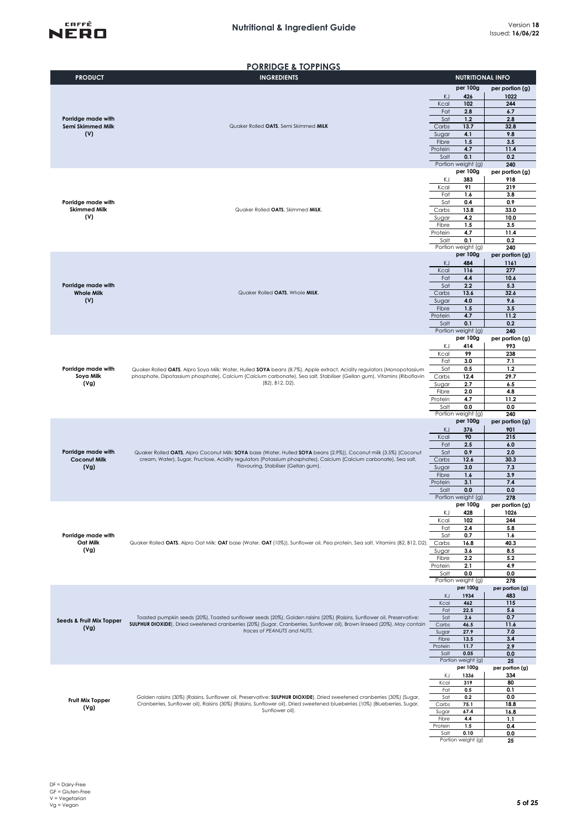

#### **PORRIDGE & TOPPINGS**

| <b>PRODUCT</b>                            | $\sim$<br>.<br><b>INGREDIENTS</b>                                                                                                                                                                                                                    | <b>NUTRITIONAL INFO</b>           |                        |  |  |  |
|-------------------------------------------|------------------------------------------------------------------------------------------------------------------------------------------------------------------------------------------------------------------------------------------------------|-----------------------------------|------------------------|--|--|--|
|                                           |                                                                                                                                                                                                                                                      | per 100g                          | per portion (g)        |  |  |  |
|                                           |                                                                                                                                                                                                                                                      | KJ<br>426                         | 1022                   |  |  |  |
|                                           |                                                                                                                                                                                                                                                      | 102<br>Kcal                       | 244                    |  |  |  |
| Porridge made with<br>Semi Skimmed Milk   |                                                                                                                                                                                                                                                      | 2.8<br>Fat                        | 6.7                    |  |  |  |
|                                           | Sat<br>1.2<br>Quaker Rolled OATS, Semi Skimmed MILK<br>13.7<br>Carbs<br>4.1<br>Sugar                                                                                                                                                                 |                                   | 2.8<br>32.8            |  |  |  |
| (V)                                       |                                                                                                                                                                                                                                                      | 9.8                               |                        |  |  |  |
|                                           |                                                                                                                                                                                                                                                      | 1.5<br>Fibre                      | 3.5                    |  |  |  |
|                                           |                                                                                                                                                                                                                                                      | 4.7<br>Protein                    | 11.4                   |  |  |  |
|                                           |                                                                                                                                                                                                                                                      | Salt<br>0.1<br>Portion weight (g) | 0.2<br>240             |  |  |  |
|                                           |                                                                                                                                                                                                                                                      | per 100g                          | per portion (g)        |  |  |  |
|                                           |                                                                                                                                                                                                                                                      | ΚJ<br>383                         | 918                    |  |  |  |
|                                           |                                                                                                                                                                                                                                                      | 91<br>Kcal                        | 219                    |  |  |  |
|                                           |                                                                                                                                                                                                                                                      | 1.6<br>Fat<br>0.4<br>Sat          | 3.8<br>0.9             |  |  |  |
| Porridge made with<br><b>Skimmed Milk</b> | Quaker Rolled OATS, Skimmed MILK.                                                                                                                                                                                                                    | Carbs<br>13.8                     | 33.0                   |  |  |  |
| (V)                                       |                                                                                                                                                                                                                                                      | Sugar<br>4.2                      | 10.0                   |  |  |  |
|                                           |                                                                                                                                                                                                                                                      | Fibre<br>1.5                      | 3.5                    |  |  |  |
|                                           |                                                                                                                                                                                                                                                      | 4.7<br>Protein                    | 11.4                   |  |  |  |
|                                           |                                                                                                                                                                                                                                                      | Salt<br>0.1<br>Portion weight (g) | 0.2<br>240             |  |  |  |
|                                           |                                                                                                                                                                                                                                                      | per 100g                          | per portion (g)        |  |  |  |
|                                           |                                                                                                                                                                                                                                                      | ΚJ<br>484                         | 1161                   |  |  |  |
|                                           |                                                                                                                                                                                                                                                      | Kcal<br>116                       | 277                    |  |  |  |
| Porridge made with                        |                                                                                                                                                                                                                                                      | 4,4<br>Fat<br>Sat<br>2.2          | 10.6<br>5.3            |  |  |  |
| <b>Whole Milk</b>                         | Quaker Rolled OATS, Whole MILK.                                                                                                                                                                                                                      | Carbs<br>13.6                     | 32.6                   |  |  |  |
| (V)                                       |                                                                                                                                                                                                                                                      | 4.0<br>Sugar                      | 9.6                    |  |  |  |
|                                           |                                                                                                                                                                                                                                                      | 1.5<br>Fibre                      | 3.5                    |  |  |  |
|                                           |                                                                                                                                                                                                                                                      | 4.7<br>Protein<br>0.1<br>Salt     | 11.2<br>0.2            |  |  |  |
|                                           |                                                                                                                                                                                                                                                      | Portion weight (g)                | 240                    |  |  |  |
|                                           |                                                                                                                                                                                                                                                      | per 100g                          | per portion (g)        |  |  |  |
|                                           |                                                                                                                                                                                                                                                      | 414<br>ΚJ                         | 993                    |  |  |  |
|                                           |                                                                                                                                                                                                                                                      | 99<br>Kcal                        | 238                    |  |  |  |
| Porridge made with                        | Quaker Rolled OATS, Alpro Soya Milk: Water, Hulled SOYA beans (8.7%), Apple extract, Acidity regulators (Monopotassium                                                                                                                               | 3.0<br>Fat<br>Sat<br>0.5          | 7.1<br>1,2             |  |  |  |
| Soya Milk                                 | phosphate, Dipotassium phosphate), Calcium (Calcium carbonate), Sea salt, Stabiliser (Gellan gum), Vitamins (Riboflavin                                                                                                                              | 12.4<br>Carbs                     | 29.7                   |  |  |  |
| (Vg)                                      | (B2), B12, D2).                                                                                                                                                                                                                                      | 2.7<br>Sugar                      | 6.5                    |  |  |  |
|                                           |                                                                                                                                                                                                                                                      | 2.0<br>Fibre                      | 4.8                    |  |  |  |
|                                           |                                                                                                                                                                                                                                                      | Protein<br>4.7<br>0.0<br>Salt     | 11.2<br>0.0            |  |  |  |
|                                           |                                                                                                                                                                                                                                                      | Portion weight (g)                | 240                    |  |  |  |
|                                           |                                                                                                                                                                                                                                                      | per 100g                          | per portion (g)        |  |  |  |
|                                           |                                                                                                                                                                                                                                                      | KJ<br>376<br>Kcal<br>90           | 901                    |  |  |  |
|                                           |                                                                                                                                                                                                                                                      | 2.5<br>Fat                        | 215<br>6.0             |  |  |  |
| Porridge made with                        | Quaker Rolled OATS, Alpro Coconut Milk: SOYA base (Water, Hulled SOYA beans (2.9%)), Coconut milk (3.5%) (Coconut                                                                                                                                    | Sat<br>0.9                        | 2.0                    |  |  |  |
| <b>Coconut Milk</b>                       | cream, Water), Sugar, Fructose, Acidity regulators (Potassium phosphates), Calcium (Calcium carbonate), Sea salt,<br>Flavouring, Stabiliser (Gellan gum).                                                                                            | Carbs<br>12.6                     | 30.3                   |  |  |  |
| (Vg)                                      |                                                                                                                                                                                                                                                      | Sugar<br>3.0                      | 7.3                    |  |  |  |
|                                           |                                                                                                                                                                                                                                                      | 1.6<br>Fibre<br>3.1<br>Protein    | 3.9<br>7.4             |  |  |  |
|                                           |                                                                                                                                                                                                                                                      | 0.0<br>Salt                       | 0.0                    |  |  |  |
|                                           |                                                                                                                                                                                                                                                      | Portion weight (g)                | 278                    |  |  |  |
|                                           |                                                                                                                                                                                                                                                      | per 100g                          | per portion (g)        |  |  |  |
|                                           |                                                                                                                                                                                                                                                      | ΚJ<br>428<br>Kcal<br>102          | 1026<br>244            |  |  |  |
|                                           |                                                                                                                                                                                                                                                      | 2.4<br>Fat                        | 5.8                    |  |  |  |
| Porridge made with                        |                                                                                                                                                                                                                                                      | Sat<br>0.7                        | 1.6                    |  |  |  |
| Oat Milk<br>(Vg)                          | Quaker Rolled OATS, Alpro Oat Milk: OAT base (Water, OAT (10%)), Sunflower oil, Pea protein, Sea salt, Vitamins (B2, B12, D2).                                                                                                                       | 16.8<br>Carbs                     | 40.3                   |  |  |  |
|                                           |                                                                                                                                                                                                                                                      | 3.6<br>Sugar<br>2.2<br>Fibre      | 8.5<br>5.2             |  |  |  |
|                                           |                                                                                                                                                                                                                                                      | 2.1<br>Protein                    | 4.9                    |  |  |  |
|                                           |                                                                                                                                                                                                                                                      | 0.0<br>Salt                       | 0.0                    |  |  |  |
|                                           |                                                                                                                                                                                                                                                      | Portion weight (g)<br>per 100g    | 278                    |  |  |  |
|                                           |                                                                                                                                                                                                                                                      | 1934<br>KJ                        | per portion (g)<br>483 |  |  |  |
|                                           |                                                                                                                                                                                                                                                      | Kcal<br>462                       | 115                    |  |  |  |
|                                           |                                                                                                                                                                                                                                                      | 22.5<br>Fat                       | 5.6                    |  |  |  |
| Seeds & Fruit Mix Topper                  | Toasted pumpkin seeds (20%), Toasted sunflower seeds (20%), Golden raisins (20%) (Raisins, Sunflower oil, Preservative:<br>SULPHUR DIOXIDE), Dried sweetened cranberries (20%) (Sugar, Cranberries, Sunflower oil), Brown linseed (20%). May contain | Sat<br>2.6<br>Carbs<br>46.5       | 0.7<br>11.6            |  |  |  |
| (Vg)                                      | traces of PEANUTS and NUTS.                                                                                                                                                                                                                          | 27.9<br>Sugar                     | 7.0                    |  |  |  |
|                                           |                                                                                                                                                                                                                                                      | Fibre<br>13.5                     | 3.4                    |  |  |  |
|                                           |                                                                                                                                                                                                                                                      | Protein<br>11.7<br>Salt<br>0.05   | 2.9                    |  |  |  |
|                                           |                                                                                                                                                                                                                                                      | Portion weight (g)                | 0.0<br>25              |  |  |  |
|                                           |                                                                                                                                                                                                                                                      | per 100g                          | per portion (g)        |  |  |  |
|                                           |                                                                                                                                                                                                                                                      | ΚJ<br>1336                        | 334                    |  |  |  |
|                                           |                                                                                                                                                                                                                                                      | Kcal<br>319<br>Fat<br>0.5         | 80<br>0.1              |  |  |  |
|                                           | Golden raisins (30%) (Raisins, Sunflower oil, Preservative: SULPHUR DIOXIDE), Dried sweetened cranberries (30%) (Sugar,                                                                                                                              | Sat<br>0.2                        | 0.0                    |  |  |  |
| Fruit Mix Topper<br>(Vg)                  | Cranberries, Sunflower oil), Raisins (30%) (Raisins, Sunflower oil), Dried sweetened blueberries (10%) (Blueberries, Sugar,                                                                                                                          | Carbs<br>75.1                     | 18.8                   |  |  |  |
|                                           | Sunflower oil).                                                                                                                                                                                                                                      | 67.4<br>Sugar                     | 16.8                   |  |  |  |
|                                           |                                                                                                                                                                                                                                                      | 4.4<br>Fibre<br>Protein<br>1.5    | 1.1<br>0.4             |  |  |  |
|                                           |                                                                                                                                                                                                                                                      | Salt<br>0.10                      | 0.0                    |  |  |  |
|                                           |                                                                                                                                                                                                                                                      | Portion weight (g)                | 25                     |  |  |  |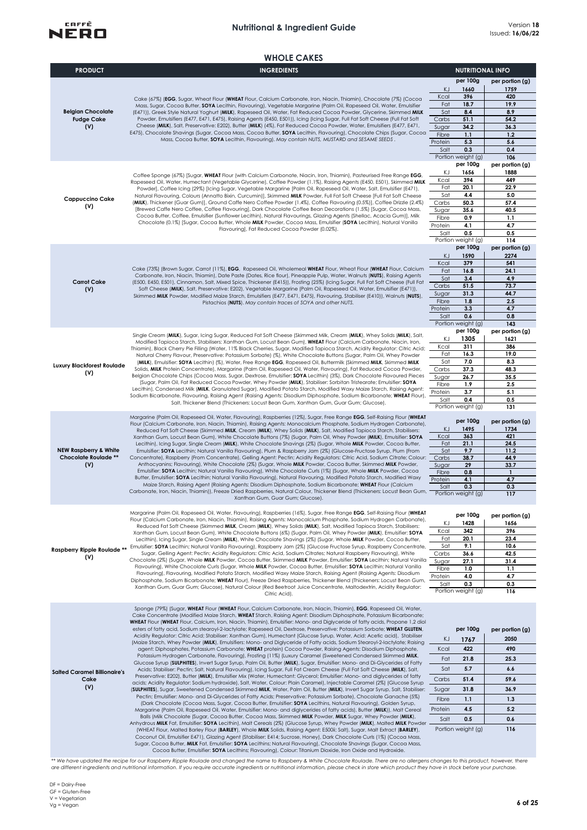### **Nutritional & Ingredient Guide** Version **<sup>18</sup>**



|                                                                 | <b>WHOLE CAKES</b>                                                                                                                                                                                                                                                                                                                                                                                                                                                                                                                                                                                                                                                                                                                                                                                                                                                                                                                                                                                                                                                                                                                                                                                                                                                                                                                                                  |                  |                                |                         |
|-----------------------------------------------------------------|---------------------------------------------------------------------------------------------------------------------------------------------------------------------------------------------------------------------------------------------------------------------------------------------------------------------------------------------------------------------------------------------------------------------------------------------------------------------------------------------------------------------------------------------------------------------------------------------------------------------------------------------------------------------------------------------------------------------------------------------------------------------------------------------------------------------------------------------------------------------------------------------------------------------------------------------------------------------------------------------------------------------------------------------------------------------------------------------------------------------------------------------------------------------------------------------------------------------------------------------------------------------------------------------------------------------------------------------------------------------|------------------|--------------------------------|-------------------------|
| <b>PRODUCT</b>                                                  | <b>INGREDIENTS</b>                                                                                                                                                                                                                                                                                                                                                                                                                                                                                                                                                                                                                                                                                                                                                                                                                                                                                                                                                                                                                                                                                                                                                                                                                                                                                                                                                  |                  | <b>NUTRITIONAL INFO</b>        |                         |
|                                                                 |                                                                                                                                                                                                                                                                                                                                                                                                                                                                                                                                                                                                                                                                                                                                                                                                                                                                                                                                                                                                                                                                                                                                                                                                                                                                                                                                                                     |                  | per 100g                       | per portion (g)         |
|                                                                 |                                                                                                                                                                                                                                                                                                                                                                                                                                                                                                                                                                                                                                                                                                                                                                                                                                                                                                                                                                                                                                                                                                                                                                                                                                                                                                                                                                     | KJ               | 1660                           | 1759                    |
|                                                                 | Cake (67%) (EGG, Sugar, Wheat Flour (WHEAT Flour, Calcium Carbonate, Iron, Niacin, Thiamin), Chocolate (7%) (Cocoa                                                                                                                                                                                                                                                                                                                                                                                                                                                                                                                                                                                                                                                                                                                                                                                                                                                                                                                                                                                                                                                                                                                                                                                                                                                  | Kcal             | 396                            | 420                     |
|                                                                 | Mass, Sugar, Cocoa Butter, SOYA Lecithin, Flavouring), Vegetable Margarine (Palm Oil, Rapeseed Oil, Water, Emulsifier                                                                                                                                                                                                                                                                                                                                                                                                                                                                                                                                                                                                                                                                                                                                                                                                                                                                                                                                                                                                                                                                                                                                                                                                                                               | Fat              | 18.7                           | 19.9                    |
| <b>Belgian Chocolate</b><br><b>Fudge Cake</b>                   | (E471)), Greek Style Natural Yoghurt (MILK), Rapeseed Oil, Water, Fat Reduced Cocoa Powder, Glycerine, Skimmed MILK<br>Powder, Emulsifiers (E477, E471, E475), Raising Agents (E450, E501)), Icing (Icing Sugar, Full Fat Soft Cheese (Full Fat Soft                                                                                                                                                                                                                                                                                                                                                                                                                                                                                                                                                                                                                                                                                                                                                                                                                                                                                                                                                                                                                                                                                                                | Sat<br>Carbs     | 8.4<br>51.1                    | 8.9<br>54.2             |
| (V)                                                             | Cheese (MILK), Salt, Preservative: E202), Butter (MILK) (4%), Fat Reduced Cocoa Powder, Water, Emulsifiers (E477, E471,                                                                                                                                                                                                                                                                                                                                                                                                                                                                                                                                                                                                                                                                                                                                                                                                                                                                                                                                                                                                                                                                                                                                                                                                                                             | Sugar            | 34.2                           | 36.3                    |
|                                                                 | E475), Chocolate Shavings (Sugar, Cocoa Mass, Cocoa Butter, SOYA Lecithin, Flavouring), Chocolate Chips (Sugar, Cocoa                                                                                                                                                                                                                                                                                                                                                                                                                                                                                                                                                                                                                                                                                                                                                                                                                                                                                                                                                                                                                                                                                                                                                                                                                                               | Fibre            | 1.1                            | 1.2                     |
|                                                                 | Mass, Cocoa Butter, SOYA Lecithin, Flavouring). May contain NUTS, MUSTARD and SESAME SEEDS.                                                                                                                                                                                                                                                                                                                                                                                                                                                                                                                                                                                                                                                                                                                                                                                                                                                                                                                                                                                                                                                                                                                                                                                                                                                                         | Protein          | 5.3                            | 5.6                     |
|                                                                 |                                                                                                                                                                                                                                                                                                                                                                                                                                                                                                                                                                                                                                                                                                                                                                                                                                                                                                                                                                                                                                                                                                                                                                                                                                                                                                                                                                     | Salt             | 0.3                            | 0.4                     |
|                                                                 |                                                                                                                                                                                                                                                                                                                                                                                                                                                                                                                                                                                                                                                                                                                                                                                                                                                                                                                                                                                                                                                                                                                                                                                                                                                                                                                                                                     |                  | Portion weight (g)<br>per 100g | 106<br>per portion (g)  |
|                                                                 |                                                                                                                                                                                                                                                                                                                                                                                                                                                                                                                                                                                                                                                                                                                                                                                                                                                                                                                                                                                                                                                                                                                                                                                                                                                                                                                                                                     | ΚJ               | 1656                           | 1888                    |
|                                                                 | Coffee Sponge (67%) [Sugar, WHEAT Flour (with Calcium Carbonate, Niacin, Iron, Thiamin), Pasteurised Free Range EGG,<br>Rapeseed Oil, Water, Humectant (Vegetable Glycerine), Coffee Powder (1.1%), Raising Agents (E450, E501), Skimmed MILK                                                                                                                                                                                                                                                                                                                                                                                                                                                                                                                                                                                                                                                                                                                                                                                                                                                                                                                                                                                                                                                                                                                       | Kcal             | 394                            | 449                     |
|                                                                 | Powder], Coffee Icing (29%) [Icing Sugar, Vegetable Margarine [Palm Oil, Rapeseed Oil, Water, Salt, Emulsifier (E471),                                                                                                                                                                                                                                                                                                                                                                                                                                                                                                                                                                                                                                                                                                                                                                                                                                                                                                                                                                                                                                                                                                                                                                                                                                              | Fat              | 20.1                           | 22.9                    |
| <b>Cappuccino Cake</b>                                          | Natural Flavouring, Colours (Annatto Bixin, Curcumin)], Skimmed MILK Powder, Full Fat Soft Cheese [Full Fat Soft Cheese<br>(MILK), Thickener (Guar Gum)], Ground Caffe Nero Coffee Powder (1.4%), Coffee Flavouring (0.5%)], Coffee Drizzle (2.4%)                                                                                                                                                                                                                                                                                                                                                                                                                                                                                                                                                                                                                                                                                                                                                                                                                                                                                                                                                                                                                                                                                                                  | Sat<br>Carbs     | 4.4<br>50.3                    | 5.0<br>57.4             |
| (V)                                                             | [Brewed Caffe Nero Coffee, Coffee Flavouring], Dark Chocolate Coffee Bean Decorations (1.5%) [Sugar, Cocoa Mass,                                                                                                                                                                                                                                                                                                                                                                                                                                                                                                                                                                                                                                                                                                                                                                                                                                                                                                                                                                                                                                                                                                                                                                                                                                                    | Sugar            | 35.6                           | 40.5                    |
|                                                                 | Cocoa Butter, Coffee, Emulsifier (Sunflower Lecithin), Natural Flavourings, Glazing Agents (Shellac, Acacia Gum)], Milk                                                                                                                                                                                                                                                                                                                                                                                                                                                                                                                                                                                                                                                                                                                                                                                                                                                                                                                                                                                                                                                                                                                                                                                                                                             | Fibre            | 0.9                            | 1.1                     |
|                                                                 | Chocolate (0.1%) [Sugar, Cocoa Butter, Whole MILK Powder, Cocoa Mass, Emulsifier (SOYA Lecithin), Natural Vanilla<br>Flavouring], Fat Reduced Cocoa Powder (0.02%).                                                                                                                                                                                                                                                                                                                                                                                                                                                                                                                                                                                                                                                                                                                                                                                                                                                                                                                                                                                                                                                                                                                                                                                                 | Protein          | 4.1                            | 4.7                     |
|                                                                 |                                                                                                                                                                                                                                                                                                                                                                                                                                                                                                                                                                                                                                                                                                                                                                                                                                                                                                                                                                                                                                                                                                                                                                                                                                                                                                                                                                     | Salt             | 0.5                            | 0.5                     |
|                                                                 |                                                                                                                                                                                                                                                                                                                                                                                                                                                                                                                                                                                                                                                                                                                                                                                                                                                                                                                                                                                                                                                                                                                                                                                                                                                                                                                                                                     |                  | Portion weight (g)<br>per 100g | 114<br>per portion (g)  |
|                                                                 |                                                                                                                                                                                                                                                                                                                                                                                                                                                                                                                                                                                                                                                                                                                                                                                                                                                                                                                                                                                                                                                                                                                                                                                                                                                                                                                                                                     | KJ               | 1590                           | 2274                    |
|                                                                 |                                                                                                                                                                                                                                                                                                                                                                                                                                                                                                                                                                                                                                                                                                                                                                                                                                                                                                                                                                                                                                                                                                                                                                                                                                                                                                                                                                     | Kcal             | 379                            | 541                     |
|                                                                 | Cake (73%) (Brown Sugar, Carrot (11%), EGG, Rapeseed Oil, Wholemeal WHEAT Flour, Wheat Flour (WHEAT Flour, Calcium                                                                                                                                                                                                                                                                                                                                                                                                                                                                                                                                                                                                                                                                                                                                                                                                                                                                                                                                                                                                                                                                                                                                                                                                                                                  | Fat              | 16.8                           | 24.1                    |
| <b>Carrot Cake</b>                                              | Carbonate, Iron, Niacin, Thiamin), Date Paste (Dates, Rice flour), Pineapple Pulp, Water, Walnuts (NUTS), Raising Agents<br>(E500, E450, E501), Cinnamon, Salt, Mixed Spice, Thickener (E415)), Frosting (25%) (Icing Sugar, Full Fat Soft Cheese (Full Fat                                                                                                                                                                                                                                                                                                                                                                                                                                                                                                                                                                                                                                                                                                                                                                                                                                                                                                                                                                                                                                                                                                         | Sat              | 3.4                            | 4.9                     |
| (V)                                                             | Soft Cheese (MILK), Salt, Preservative: E202), Vegetable Margarine (Palm Oil, Rapeseed Oil, Water, Emulsifier (E471)),                                                                                                                                                                                                                                                                                                                                                                                                                                                                                                                                                                                                                                                                                                                                                                                                                                                                                                                                                                                                                                                                                                                                                                                                                                              | Carbs            | 51.5                           | 73.7                    |
|                                                                 | Skimmed MILK Powder, Modified Maize Starch, Emulsifiers (E477, E471, E475), Flavouring, Stabiliser (E410)), Walnuts (NUTS),                                                                                                                                                                                                                                                                                                                                                                                                                                                                                                                                                                                                                                                                                                                                                                                                                                                                                                                                                                                                                                                                                                                                                                                                                                         | Sugar<br>Fibre   | 31.3<br>1.8                    | 44.7<br>2.5             |
|                                                                 | Pistachios (NUTS). May contain traces of SOYA and other NUTS.                                                                                                                                                                                                                                                                                                                                                                                                                                                                                                                                                                                                                                                                                                                                                                                                                                                                                                                                                                                                                                                                                                                                                                                                                                                                                                       | Protein          | 3.3                            | 4.7                     |
|                                                                 |                                                                                                                                                                                                                                                                                                                                                                                                                                                                                                                                                                                                                                                                                                                                                                                                                                                                                                                                                                                                                                                                                                                                                                                                                                                                                                                                                                     | Salt             | 0.6                            | 0.8                     |
|                                                                 |                                                                                                                                                                                                                                                                                                                                                                                                                                                                                                                                                                                                                                                                                                                                                                                                                                                                                                                                                                                                                                                                                                                                                                                                                                                                                                                                                                     |                  | Portion weight (g)             | 143                     |
|                                                                 | Single Cream (MILK), Sugar, Icing Sugar, Reduced Fat Soft Cheese (Skimmed Milk, Cream (MILK), Whey Solids (MILK), Salt,                                                                                                                                                                                                                                                                                                                                                                                                                                                                                                                                                                                                                                                                                                                                                                                                                                                                                                                                                                                                                                                                                                                                                                                                                                             | ΚJ               | per 100g<br>1305               | per portion (g)         |
|                                                                 | Modified Tapioca Starch, Stabilisers: Xanthan Gum, Locust Bean Gum), WHEAT Flour (Calcium Carbonate, Niacin, Iron,<br>Thiamin), Black Cherry Pie Filling (Water, 11% Black Cherries, Sugar, Modified Tapioca Starch, Acidity Regulator: Citric Acid;<br>Natural Cherry Flavour, Preservative: Potassium Sorbate) (%), White Chocolate Buttons (Sugar, Palm Oil, Whey Powder<br>(MILK), Emulsifier: SOYA Lecithin) (%), Water, Free Range EGG, Rapeseed Oil, Buttermilk (Skimmed MILK, Skimmed MILK<br>Solids, MILK Protein Concentrate), Margarine (Palm Oil, Rapeseed Oil, Water, Flavouring), Fat Reduced Cocoa Powder,<br>Belgian Chocolate Chips (Cocoa Mass, Sugar, Dextrose, Emulsifier: SOYA Lecithin) (3%), Dark Chocolate Flavoured Pieces<br>(Sugar, Palm Oil, Fat Reduced Cocoa Powder, Whey Powder (MILK), Stabiliser: Sorbitan Tristearate; Emulsifier: SOYA<br>Lecithin), Condensed Milk (MILK, Granulated Sugar), Modified Potato Starch, Modified Waxy Maize Starch, Raising Agent:<br>Sodium Bicarbonate, Flavouring, Raising Agent (Raising Agents: Disodium Diphosphate, Sodium Bicarbonate; WHEAT Flour),<br>Salt, Thickener Blend (Thickeners: Locust Bean Gum, Xanthan Gum, Guar Gum; Glucose).                                                                                                                                               | Kcal             | 311                            | 1621<br>386             |
|                                                                 |                                                                                                                                                                                                                                                                                                                                                                                                                                                                                                                                                                                                                                                                                                                                                                                                                                                                                                                                                                                                                                                                                                                                                                                                                                                                                                                                                                     | Fat              | 16.3                           | 19.0                    |
| <b>Luxury Blackforest Roulade</b>                               |                                                                                                                                                                                                                                                                                                                                                                                                                                                                                                                                                                                                                                                                                                                                                                                                                                                                                                                                                                                                                                                                                                                                                                                                                                                                                                                                                                     | Sat              | 7.0                            | 8.3                     |
| (V)                                                             |                                                                                                                                                                                                                                                                                                                                                                                                                                                                                                                                                                                                                                                                                                                                                                                                                                                                                                                                                                                                                                                                                                                                                                                                                                                                                                                                                                     | Carbs            | 37.3                           | 48.3                    |
|                                                                 |                                                                                                                                                                                                                                                                                                                                                                                                                                                                                                                                                                                                                                                                                                                                                                                                                                                                                                                                                                                                                                                                                                                                                                                                                                                                                                                                                                     | Sugar            | 26.7                           | 35.5                    |
|                                                                 |                                                                                                                                                                                                                                                                                                                                                                                                                                                                                                                                                                                                                                                                                                                                                                                                                                                                                                                                                                                                                                                                                                                                                                                                                                                                                                                                                                     | Fibre<br>Protein | 1.9<br>3.7                     | 2.5<br>5.1              |
|                                                                 |                                                                                                                                                                                                                                                                                                                                                                                                                                                                                                                                                                                                                                                                                                                                                                                                                                                                                                                                                                                                                                                                                                                                                                                                                                                                                                                                                                     | Salt             | 0.4                            | 0.5                     |
|                                                                 |                                                                                                                                                                                                                                                                                                                                                                                                                                                                                                                                                                                                                                                                                                                                                                                                                                                                                                                                                                                                                                                                                                                                                                                                                                                                                                                                                                     |                  | Portion weight (g)             | 131                     |
|                                                                 | Margarine (Palm Oil, Rapeseed Oil, Water, Flavouring), Raspberries (12%), Sugar, Free Range EGG, Self-Raising Flour (WHEAT<br>Flour (Calcium Carbonate, Iron, Niacin, Thiamin), Raising Agents: Monocalcium Phosphate, Sodium Hydrogen Carbonate),<br>Reduced Fat Soft Cheese (Skimmed MILK, Cream (MILK), Whey Solids (MILK), Salt, Modified Tapioca Starch, Stabilisers:<br>Xanthan Gum, Locust Bean Gum), White Chocolate Buttons (7%) (Sugar, Palm Oil, Whey Powder (MILK), Emulsifier: SOYA<br>Lecithin), Icing Sugar, Single Cream (MILK), White Chocolate Shavings (2%) (Sugar, Whole MILK Powder, Cocoa Butter,<br>Emulsifier: SOYA Lecithin; Natural Vanilla Flavouring), Plum & Raspberry Jam (2%) (Glucose-Fructose Syrup, Plum (From<br>Concentrate), Raspberry (From Concentrate), Gelling Agent: Pectin; Acidity Regulators: Citric Acid, Sodium Citrate; Colour:<br>Anthocyanins; Flavouring), White Chocolate (2%) (Sugar, Whole MILK Powder, Cocoa Butter, Skimmed MILK Powder,<br>Emulsifier: SOYA Lecithin; Natural Vanilla Flavouring), White Chocolate Curls (1%) (Sugar, Whole MILK Powder, Cocoa<br>Butter, Emulsifier: SOYA Lecithin; Natural Vanilla Flavouring), Natural Flavouring, Modified Potato Starch, Modified Waxy<br>Maize Starch, Raising Agent (Raising Agents: Disodium Diphosphate, Sodium Bicarbonate; WHEAT Flour (Calcium |                  | per 100g                       |                         |
|                                                                 |                                                                                                                                                                                                                                                                                                                                                                                                                                                                                                                                                                                                                                                                                                                                                                                                                                                                                                                                                                                                                                                                                                                                                                                                                                                                                                                                                                     | ΚJ               | 1495                           | per portion (g)<br>1734 |
|                                                                 |                                                                                                                                                                                                                                                                                                                                                                                                                                                                                                                                                                                                                                                                                                                                                                                                                                                                                                                                                                                                                                                                                                                                                                                                                                                                                                                                                                     | Kcal             | 363                            | 421                     |
|                                                                 |                                                                                                                                                                                                                                                                                                                                                                                                                                                                                                                                                                                                                                                                                                                                                                                                                                                                                                                                                                                                                                                                                                                                                                                                                                                                                                                                                                     | Fat              | 21.1                           | 24.5                    |
| <b>NEW Raspberry &amp; White</b><br><b>Chocolate Roulade **</b> |                                                                                                                                                                                                                                                                                                                                                                                                                                                                                                                                                                                                                                                                                                                                                                                                                                                                                                                                                                                                                                                                                                                                                                                                                                                                                                                                                                     | Sat<br>Carbs     | 9.7<br>38.7                    | 11.2<br>44.9            |
| (V)                                                             |                                                                                                                                                                                                                                                                                                                                                                                                                                                                                                                                                                                                                                                                                                                                                                                                                                                                                                                                                                                                                                                                                                                                                                                                                                                                                                                                                                     | Sugar            | 29                             | 33.7                    |
|                                                                 |                                                                                                                                                                                                                                                                                                                                                                                                                                                                                                                                                                                                                                                                                                                                                                                                                                                                                                                                                                                                                                                                                                                                                                                                                                                                                                                                                                     | Fibre            | 0.8                            | $\mathbf{1}$            |
|                                                                 |                                                                                                                                                                                                                                                                                                                                                                                                                                                                                                                                                                                                                                                                                                                                                                                                                                                                                                                                                                                                                                                                                                                                                                                                                                                                                                                                                                     | Protein          | 4.1                            | 4.7                     |
|                                                                 | Carbonate, Iron, Niacin, Thiamin)), Freeze Dried Raspberries, Natural Colour, Thickener Blend (Thickeners: Locust Bean Gum,                                                                                                                                                                                                                                                                                                                                                                                                                                                                                                                                                                                                                                                                                                                                                                                                                                                                                                                                                                                                                                                                                                                                                                                                                                         | Salt             | 0.3<br>Portion weight (g)      | 0.3<br>117              |
|                                                                 | Xanthan Gum, Guar Gum; Glucose).                                                                                                                                                                                                                                                                                                                                                                                                                                                                                                                                                                                                                                                                                                                                                                                                                                                                                                                                                                                                                                                                                                                                                                                                                                                                                                                                    |                  |                                |                         |
|                                                                 | Margarine (Palm Oil, Rapeseed Oil, Water, Flavouring), Raspberries (16%), Sugar, Free Range EGG, Self-Raising Flour (WHEAT                                                                                                                                                                                                                                                                                                                                                                                                                                                                                                                                                                                                                                                                                                                                                                                                                                                                                                                                                                                                                                                                                                                                                                                                                                          |                  |                                |                         |
|                                                                 | Flour (Calcium Carbonate, Iron, Niacin, Thiamin), Raising Agents: Monocalcium Phosphate, Sodium Hydrogen Carbonate),                                                                                                                                                                                                                                                                                                                                                                                                                                                                                                                                                                                                                                                                                                                                                                                                                                                                                                                                                                                                                                                                                                                                                                                                                                                |                  | per 100g                       | per portion (g)         |
|                                                                 | Reduced Fat Soft Cheese (Skimmed MILK, Cream (MILK), Whey Solids (MILK), Salt, Modified Tapioca Starch, Stabilisers:                                                                                                                                                                                                                                                                                                                                                                                                                                                                                                                                                                                                                                                                                                                                                                                                                                                                                                                                                                                                                                                                                                                                                                                                                                                | ΚJ<br>Kcal       | 1428<br>342                    | 1656<br>396             |
|                                                                 | Xanthan Gum, Locust Bean Gum), White Chocolate Buttons (6%) (Sugar, Palm Oil, Whey Powder (MILK), Emulsifier: SOYA                                                                                                                                                                                                                                                                                                                                                                                                                                                                                                                                                                                                                                                                                                                                                                                                                                                                                                                                                                                                                                                                                                                                                                                                                                                  | Fat              | 20.1                           | 23.4                    |
|                                                                 | Lecithin), Icing Sugar, Single Cream (MILK), White Chocolate Shavings (2%) (Sugar, Whole MILK Powder, Cocoa Butter,<br>Emulsifier: SOYA Lecithin; Natural Vanilla Flavouring), Raspberry Jam (2%) (Glucose Fructose Syrup, Raspberry Concentrate,                                                                                                                                                                                                                                                                                                                                                                                                                                                                                                                                                                                                                                                                                                                                                                                                                                                                                                                                                                                                                                                                                                                   | Sat              | 9.1                            | 10.6                    |
| Raspberry Ripple Roulade **<br>(V)                              | Sugar, Gelling Agent: Pectin; Acidity Regulators: Citric Acid, Sodium Citrates; Natural Raspberry Flavouring), White                                                                                                                                                                                                                                                                                                                                                                                                                                                                                                                                                                                                                                                                                                                                                                                                                                                                                                                                                                                                                                                                                                                                                                                                                                                | Carbs            | 36.6                           | 42.5                    |
|                                                                 | Chocolate (2%) (Sugar, Whole MILK Powder, Cocoa Butter, Skimmed MILK Powder, Emulsifier: SOYA Lecithin; Natural Vanilla<br>Flavouring), White Chocolate Curls (Sugar, Whole MILK Powder, Cocoa Butter, Emulsifier: SOYA Lecithin; Natural Vanilla<br>Flavouring), Flavouring, Modified Potato Starch, Modified Waxy Maize Starch, Raising Agent (Raising Agents: Disodium                                                                                                                                                                                                                                                                                                                                                                                                                                                                                                                                                                                                                                                                                                                                                                                                                                                                                                                                                                                           | Sugar            | 27.1                           | 31.4                    |
|                                                                 |                                                                                                                                                                                                                                                                                                                                                                                                                                                                                                                                                                                                                                                                                                                                                                                                                                                                                                                                                                                                                                                                                                                                                                                                                                                                                                                                                                     | Fibre<br>Protein | 1.0<br>4.0                     | 1.1<br>4.7              |
|                                                                 | Diphosphate, Sodium Bicarbonate; WHEAT Flour), Freeze Dried Raspberries, Thickener Blend (Thickeners: Locust Bean Gum,                                                                                                                                                                                                                                                                                                                                                                                                                                                                                                                                                                                                                                                                                                                                                                                                                                                                                                                                                                                                                                                                                                                                                                                                                                              | Salt             | 0.3                            | 0.3                     |
|                                                                 | Xanthan Gum, Guar Gum; Glucose), Natural Colour (Red Beetroot Juice Concentrate, Maltodextrin, Acidity Regulator:<br>Citric Acid).                                                                                                                                                                                                                                                                                                                                                                                                                                                                                                                                                                                                                                                                                                                                                                                                                                                                                                                                                                                                                                                                                                                                                                                                                                  |                  | Portion weight (g)             | 116                     |
|                                                                 |                                                                                                                                                                                                                                                                                                                                                                                                                                                                                                                                                                                                                                                                                                                                                                                                                                                                                                                                                                                                                                                                                                                                                                                                                                                                                                                                                                     |                  |                                |                         |
|                                                                 | Sponge (79%) (Sugar, WHEAT Flour (WHEAT Flour, Calcium Carbonate, Iron, Niacin, Thiamin), EGG, Rapeseed Oil, Water,                                                                                                                                                                                                                                                                                                                                                                                                                                                                                                                                                                                                                                                                                                                                                                                                                                                                                                                                                                                                                                                                                                                                                                                                                                                 |                  |                                |                         |
|                                                                 | Cake Concentrate (Modified Maize Starch, WHEAT Starch, Raising Agent: Disodium Diphosphate, Potassium Bicarbonate;<br>WHEAT Flour (WHEAT Flour, Calcium, Iron, Niacin, Thiamin), Emulsifier: Mono- and Dialyceride of fatty acids, Propane 1.2 diol                                                                                                                                                                                                                                                                                                                                                                                                                                                                                                                                                                                                                                                                                                                                                                                                                                                                                                                                                                                                                                                                                                                 |                  |                                |                         |
|                                                                 | esters of fatty acid, Sodium stearoyl-2-lactylate; Rapeseed Oil, Dextrose, Preservative: Potassium Sorbate; WHEAT GLUTEN,                                                                                                                                                                                                                                                                                                                                                                                                                                                                                                                                                                                                                                                                                                                                                                                                                                                                                                                                                                                                                                                                                                                                                                                                                                           |                  | per 100g                       | per portion (g)         |
|                                                                 | Acidity Regulator: Citric Acid; Stabiliser: Xanthan Gum), Humectant (Glucose Syrup, Water, Acid: Acetic acid), Stabiliser                                                                                                                                                                                                                                                                                                                                                                                                                                                                                                                                                                                                                                                                                                                                                                                                                                                                                                                                                                                                                                                                                                                                                                                                                                           | ΚJ               | 1767                           | 2050                    |
|                                                                 | (Maize Starch, Whey Powder (MILK), Emulsifiers: Mono- and Diglyceride of Fatty acids, Sodium Stearoyl-2-lactylate; Raising<br>agent: Diphosphates, Potassium Carbonate; WHEAT protein) Cocoa Powder, Raising Agents: Disodium Diphosphate,                                                                                                                                                                                                                                                                                                                                                                                                                                                                                                                                                                                                                                                                                                                                                                                                                                                                                                                                                                                                                                                                                                                          | Kcal             | 422                            | 490                     |
|                                                                 | Potassium Hydrogen Carbonate, Flavouring), Frosting (11%) (Luxury Caramel (Sweetened Condensed Skimmed MILK,                                                                                                                                                                                                                                                                                                                                                                                                                                                                                                                                                                                                                                                                                                                                                                                                                                                                                                                                                                                                                                                                                                                                                                                                                                                        | Fat              | 21.8                           | 25.3                    |
|                                                                 | Glucose Syrup (SULPHITES), Invert Sugar Syrup, Palm Oil, Butter (MILK), Sugar, Emulsifier: Mono- and Di-Glycerides of Fatty                                                                                                                                                                                                                                                                                                                                                                                                                                                                                                                                                                                                                                                                                                                                                                                                                                                                                                                                                                                                                                                                                                                                                                                                                                         |                  |                                |                         |
| <b>Salted Caramel Billionaire's</b>                             | Acids; Stabiliser: Pectin; Salt, Natural Flavouring), Icing Sugar, Full Fat Cream Cheese (Full Fat Soft Cheese (MILK), Salt,<br>Preservative: E202), Butter (MILK), Emulsifier Mix (Water, Humectant: Glycerol; Emulsifier: Mono- and diglycerides of fatty                                                                                                                                                                                                                                                                                                                                                                                                                                                                                                                                                                                                                                                                                                                                                                                                                                                                                                                                                                                                                                                                                                         | Sat              | 5.7                            | 6.6                     |
| Cake                                                            | acids; Acidity Regulator: Sodium hydroxide), Salt, Water, Colour: Plain Caramel), Injectable Caramel (2%) (Glucose Syrup                                                                                                                                                                                                                                                                                                                                                                                                                                                                                                                                                                                                                                                                                                                                                                                                                                                                                                                                                                                                                                                                                                                                                                                                                                            | Carbs            | 51.4                           | 59.6                    |
| (V)                                                             | (SULPHITES), Sugar, Sweetened Condensed Skimmed MILK, Water, Palm Oil, Butter (MILK), Invert Sugar Syrup, Salt, Stabiliser:                                                                                                                                                                                                                                                                                                                                                                                                                                                                                                                                                                                                                                                                                                                                                                                                                                                                                                                                                                                                                                                                                                                                                                                                                                         | Sugar            | 31.8                           | 36.9                    |
|                                                                 | Pectin; Emulsifier: Mono- and Di-Glycerides of Fatty Acids; Preservative: Potassium Sorbate), Chocolate Ganache (5%)<br>(Dark Chocolate (Cocoa Mass, Sugar, Cocoa Butter, Emulsifier: SOYA Lecithins, Natural Flavouring), Golden Syrup,                                                                                                                                                                                                                                                                                                                                                                                                                                                                                                                                                                                                                                                                                                                                                                                                                                                                                                                                                                                                                                                                                                                            | Fibre            | 1.1                            | 1.3                     |
|                                                                 | Margarine (Palm Oil, Rapeseed Oil, Water, Emulsifier: Mono- and diglycerides of fatty acids), Butter (MILK)), Malt Cereal                                                                                                                                                                                                                                                                                                                                                                                                                                                                                                                                                                                                                                                                                                                                                                                                                                                                                                                                                                                                                                                                                                                                                                                                                                           | Protein          | 4.5                            | 5.2                     |
|                                                                 | Balls (Milk Chocolate (Sugar, Cocoa Butter, Cocoa Mass, Skimmed MILK Powder, MILK Sugar, Whey Powder (MILK),<br>Anhydrous MILK Fat, Emulsifier: SOYA Lecithin), Malt Cereals (2%) (Glucose Syrup, Whey Powder (MILK), Malted MILK Powder                                                                                                                                                                                                                                                                                                                                                                                                                                                                                                                                                                                                                                                                                                                                                                                                                                                                                                                                                                                                                                                                                                                            | Salt             | 0.5                            | 0.6                     |
|                                                                 | (WHEAT Flour, Malted Barley Flour (BARLEY), Whole MILK Solids, Raising Agent: E500ii; Salt), Sugar, Malt Extract (BARLEY),                                                                                                                                                                                                                                                                                                                                                                                                                                                                                                                                                                                                                                                                                                                                                                                                                                                                                                                                                                                                                                                                                                                                                                                                                                          |                  | Portion weight (g)             | 116                     |
|                                                                 | Coconut Oil, Emulsifier E471), Glazing Agent (Stabiliser: E414; Sucrose, Honey), Dark Chocolate Curls (1%) (Cocoa Mass,                                                                                                                                                                                                                                                                                                                                                                                                                                                                                                                                                                                                                                                                                                                                                                                                                                                                                                                                                                                                                                                                                                                                                                                                                                             |                  |                                |                         |
|                                                                 | Sugar, Cocoa Butter, MILK Fat, Emulsifier: SOYA Lecithins; Natural Flavouring), Chocolate Shavings (Sugar, Cocoa Mass,<br>Cocoa Butter, Emulsifier: SOYA Lecithins; Flavouring), Colour: Titanium Dioxide, Iron Oxide and Hydroxide.                                                                                                                                                                                                                                                                                                                                                                                                                                                                                                                                                                                                                                                                                                                                                                                                                                                                                                                                                                                                                                                                                                                                |                  |                                |                         |

\*\* We have updated the recipe for our Raspberry Ripple Roulade and changed the name to Raspberry & White Chocolate Roulade. There are no allergens changes to this product, however, there<br>are different ingredients and nutri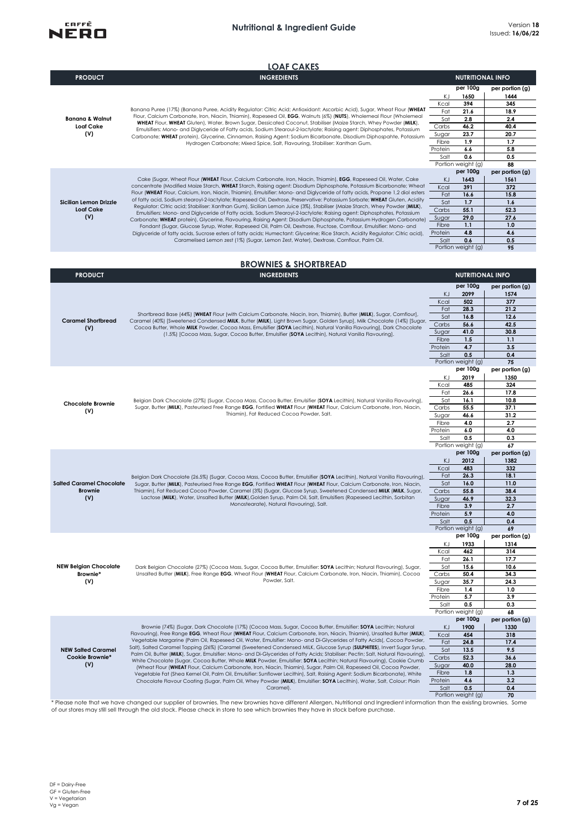

|                                          | <b>LOAF CAKES</b>                                                                                                                                                                                                                                                                              |                  |                                |                         |
|------------------------------------------|------------------------------------------------------------------------------------------------------------------------------------------------------------------------------------------------------------------------------------------------------------------------------------------------|------------------|--------------------------------|-------------------------|
| <b>PRODUCT</b>                           | <b>INGREDIENTS</b>                                                                                                                                                                                                                                                                             |                  | <b>NUTRITIONAL INFO</b>        |                         |
|                                          |                                                                                                                                                                                                                                                                                                |                  | per 100g                       | per portion (g)         |
|                                          |                                                                                                                                                                                                                                                                                                | KJ               | 1650                           | 1444                    |
|                                          | Banana Puree (17%) (Banana Puree, Acidity Regulator: Citric Acid; Antioxidant: Ascorbic Acid), Sugar, Wheat Flour (WHEAT                                                                                                                                                                       | Kcal<br>Fat      | 394<br>21.6                    | 345<br>18.9             |
| <b>Banana &amp; Walnut</b>               | Flour, Calcium Carbonate, Iron, Niacin, Thiamin), Rapeseed Oil, EGG, Walnuts (6%) (NUTS), Wholemeal Flour (Wholemeal                                                                                                                                                                           | Sat              | 2.8                            | 2.4                     |
| <b>Loaf Cake</b>                         | WHEAT Flour, WHEAT Gluten), Water, Brown Sugar, Dessicated Coconut, Stabiliser (Maize Starch, Whey Powder (MILK),<br>Emulsifiers: Mono- and Diglyceride of Fatty acids, Sodium Stearoul-2-lactylate; Raising agent: Diphosphates, Potassium                                                    | Carbs            | 46.2                           | 40.4                    |
| (V)                                      | Carbonate; WHEAT protein), Glycerine, Cinnamon, Raising Agent: Sodium Bicarbonate, Disodium Diphospahte, Potassium                                                                                                                                                                             | Sugar            | 23.7                           | 20.7                    |
|                                          | Hydrogen Carbonate; Mixed Spice, Salt, Flavouring, Stabiliser: Xanthan Gum.                                                                                                                                                                                                                    | Fibre<br>Protein | 1.9<br>6.6                     | 1.7<br>5.8              |
|                                          |                                                                                                                                                                                                                                                                                                | Salt             | 0.6                            | 0.5                     |
|                                          |                                                                                                                                                                                                                                                                                                |                  | Portion weight (g)             | 88                      |
|                                          |                                                                                                                                                                                                                                                                                                |                  | per 100g                       | per portion (g)         |
|                                          | Cake (Sugar, Wheat Flour (WHEAT Flour, Calcium Carbonate, Iron, Niacin, Thiamin), EGG, Rapeseed Oil, Water, Cake<br>concentrate (Modified Maize Starch, WHEAT Starch, Raising agent: Disodium Diphosphate, Potassium Bicarbonate; Wheat                                                        | KJ<br>Kcal       | 1643<br>391                    | 1561<br>372             |
|                                          | Flour (WHEAT Flour, Calcium, Iron, Niacin, Thiamin), Emulsifier: Mono- and Diglyceride of fatty acids, Propane 1,2 diol esters                                                                                                                                                                 | Fat              | 16.6                           | 15.8                    |
| Sicilian Lemon Drizzle                   | of fatty acid, Sodium stearoyl-2-lactylate; Rapeseed Oil, Dextrose, Preservative: Potassium Sorbate; WHEAT Gluten, Acidity<br>Regulator: Citric acid; Stabiliser: Xanthan Gum), Sicilian Lemon Juice (3%), Stabiliser (Maize Starch, Whey Powder (MILK),                                       | Sat              | 1.7                            | 1.6                     |
| <b>Loaf Cake</b>                         | Emulsifiers: Mono- and Diglyceride of Fatty acids, Sodium Stearoyl-2-lactylate; Raising agent: Diphosphates, Potassium                                                                                                                                                                         | Carbs            | 55.1                           | 52.3                    |
| (V)                                      | Carbonate; WHEAT protein), Glycerine, Flavouring, Raising Agent: Disodium Diphosphate, Potassium Hydrogen Carbonate)                                                                                                                                                                           | Sugar<br>Fibre   | 29.0<br>1.1                    | 27.6<br>1.0             |
|                                          | Fondant (Sugar, Glucose Syrup, Water, Rapeseed Oil, Palm Oil, Dextrose, Fructose, Cornflour, Emulsifier: Mono- and<br>Diglyceride of fatty acids, Sucrose esters of fatty acids; Humectant: Glycerine; Rice Starch, Acidity Regulator: Citric acid),                                           | Protein          | 4.8                            | 4.6                     |
|                                          | Caramelised Lemon zest (1%) (Sugar, Lemon Zest, Water), Dextrose, Cornflour, Palm Oil.                                                                                                                                                                                                         | Salt             | 0.6                            | 0.5                     |
|                                          |                                                                                                                                                                                                                                                                                                |                  | Portion weight (g)             | 95                      |
|                                          | <b>BROWNIES &amp; SHORTBREAD</b>                                                                                                                                                                                                                                                               |                  |                                |                         |
| <b>PRODUCT</b>                           | <b>INGREDIENTS</b>                                                                                                                                                                                                                                                                             |                  | <b>NUTRITIONAL INFO</b>        |                         |
|                                          |                                                                                                                                                                                                                                                                                                |                  | per 100g                       | per portion (g)         |
|                                          |                                                                                                                                                                                                                                                                                                | KJ               | 2099                           | 1574                    |
|                                          |                                                                                                                                                                                                                                                                                                | Kcal             | 502                            | 377                     |
|                                          | Shortbread Base (44%) [WHEAT Flour (with Calcium Carbonate, Niacin, Iron, Thiamin), Butter (MILK), Sugar, Cornflour),                                                                                                                                                                          | Fat              | 28.3                           | 21.2                    |
| <b>Caramel Shortbread</b>                | Caramel (40%) [Sweetened Condensed MILK, Butter (MILK), Light Brown Sugar, Golden Syrup], Milk Chocolate (14%) [Sugar,                                                                                                                                                                         | Sat<br>Carbs     | 16.8<br>56.6                   | 12.6<br>42.5            |
| (V)                                      | Cocoa Butter, Whole MILK Powder, Cocoa Mass, Emulsifier (SOYA Lecithin), Natural Vanilla Flavouring], Dark Chocolate<br>(1.5%) [Cocoa Mass, Sugar, Cocoa Butter, Emulsifier (SOYA Lecithin), Natural Vanilla Flavouring].                                                                      | Sugar            | 41.0                           | 30.8                    |
|                                          |                                                                                                                                                                                                                                                                                                | Fibre            | 1.5                            | 1.1                     |
|                                          |                                                                                                                                                                                                                                                                                                | Protein          | 4.7                            | 3.5                     |
|                                          |                                                                                                                                                                                                                                                                                                | Salt             | 0.5                            | 0.4                     |
|                                          |                                                                                                                                                                                                                                                                                                |                  | Portion weight (g)<br>per 100g | 75<br>per portion (g)   |
|                                          |                                                                                                                                                                                                                                                                                                | KJ               | 2019                           | 1350                    |
|                                          |                                                                                                                                                                                                                                                                                                | Kcal             | 485                            | 324                     |
|                                          |                                                                                                                                                                                                                                                                                                | Fat<br>Sat       | 26.6<br>16.1                   | 17.8<br>10.8            |
| <b>Chocolate Brownie</b>                 | Belgian Dark Chocolate (27%) (Sugar, Cocoa Mass, Cocoa Butter, Emulsifier (SOYA Lecithin), Natural Vanilla Flavouring),<br>Sugar, Butter (MILK), Pasteurised Free Range EGG, Fortified WHEAT Flour (WHEAT Flour, Calcium Carbonate, Iron, Niacin,<br>Thiamin), Fat Reduced Cocoa Powder, Salt. | Carbs            | 55.5                           | 37.1                    |
| (V)                                      |                                                                                                                                                                                                                                                                                                | Sugar            | 46.6                           | 31.2                    |
|                                          |                                                                                                                                                                                                                                                                                                | Fibre            | 4.0                            | 2.7                     |
|                                          |                                                                                                                                                                                                                                                                                                | Protein<br>Salt  | 6.0<br>0.5                     | 4.0<br>0.3              |
|                                          |                                                                                                                                                                                                                                                                                                |                  | Portion weight (g)             | 67                      |
|                                          |                                                                                                                                                                                                                                                                                                |                  | per 100g                       | per portion (g)         |
|                                          |                                                                                                                                                                                                                                                                                                | KJ               | 2012                           | 1382                    |
|                                          | Belgian Dark Chocolate (26.5%) (Sugar, Cocoa Mass, Cocoa Butter, Emulsifier (SOYA Lecithin), Natural Vanilla Flavouring),                                                                                                                                                                      | Kcal<br>Fat      | 483<br>26.3                    | 332<br>18.1             |
| <b>Salted Caramel Chocolate</b>          | Sugar, Butter (MILK), Pasteurised Free Range EGG, Fortified WHEAT Flour (WHEAT Flour, Calcium Carbonate, Iron, Niacin,                                                                                                                                                                         | Sat              | 16.0                           | 11.0                    |
| <b>Brownie</b>                           | Thiamin), Fat Reduced Cocoa Powder, Caramel (3%) (Sugar, Glucose Syrup, Sweetened Condensed MILK (MILK, Sugar,                                                                                                                                                                                 | Carbs            | 55.8                           | 38.4                    |
| (V)                                      | Lactose (MILK), Water, Unsalted Butter (MILK), Golden Syrup, Palm Oil, Salt, Emulsifiers (Rapeseed Lecithin, Sorbitan<br>Monostearate), Natural Flavouring), Salt.                                                                                                                             | Sugar            | 46.9                           | 32.3                    |
|                                          |                                                                                                                                                                                                                                                                                                | Fibre<br>Protein | 3.9<br>5.9                     | 2.7<br>4.0              |
|                                          |                                                                                                                                                                                                                                                                                                | Salt             | 0.5                            | 0.4                     |
|                                          |                                                                                                                                                                                                                                                                                                |                  | Portion weight (g)             | 69                      |
|                                          |                                                                                                                                                                                                                                                                                                | KJ               | per 100g<br>1933               | per portion (g)<br>1314 |
|                                          |                                                                                                                                                                                                                                                                                                | Kcal             | 462                            | 314                     |
|                                          |                                                                                                                                                                                                                                                                                                | Fat              | 26.1                           | 17.7                    |
| <b>NEW Belgian Chocolate</b><br>Brownie* | Dark Belgian Chocolate (27%) (Cocoa Mass, Sugar, Cocoa Butter, Emulsifier: SOYA Lecithin; Natural Flavouring), Sugar,<br>Unsalted Butter (MILK), Free Range EGG, Wheat Flour (WHEAT Flour, Calcium Carbonate, Iron, Niacin, Thiamin), Cocoa                                                    | Sat              | 15.6<br>50.4                   | 10.6<br>34.3            |
| (V)                                      | Powder, Salt.                                                                                                                                                                                                                                                                                  | Carbs<br>Sugar   | 35.7                           | 24.3                    |
|                                          |                                                                                                                                                                                                                                                                                                | Fibre            | 1.4                            | 1.0                     |
|                                          |                                                                                                                                                                                                                                                                                                | Protein          | 5.7                            | 3.9                     |
|                                          |                                                                                                                                                                                                                                                                                                | Salt             | 0.5<br>Portion weight (g)      | 0.3<br>68               |
|                                          |                                                                                                                                                                                                                                                                                                |                  | per 100g                       | per portion (g)         |
|                                          | Brownie (74%) (Sugar, Dark Chocolate (17%) (Cocoa Mass, Sugar, Cocoa Butter, Emulsifier: SOYA Lecithin; Natural                                                                                                                                                                                | KJ               | 1900                           | 1330                    |
|                                          | Flavouring), Free Range EGG, Wheat Flour (WHEAT Flour, Calcium Carbonate, Iron, Niacin, Thiamin), Unsalted Butter (MILK),<br>Vegetable Margarine (Palm Oil, Rapeseed Oil, Water, Emulsifier: Mono- and Di-Glycerides of Fatty Acids(, Cocoa Powder,                                            | Kcal             | 454                            | 318                     |
| <b>NEW Salted Caramel</b>                | Salt), Salted Caramel Topping (26%) (Caramel (Sweetened Condensed MILK, Glucose Syrup (SULPHITES), Invert Sugar Syrup,                                                                                                                                                                         | Fat<br>Sat       | 24.8<br>13.5                   | 17.4<br>9.5             |
| Cookie Brownie*                          | Palm Oil, Butter (MILK), Sugar, Emulsifier: Mono- and Di-Glycerides of Fatty Acids; Stabiliser: Pectin; Salt, Natural Flavouring),                                                                                                                                                             | Carbs            | 52.3                           | 36.6                    |
| (V)                                      | White Chocolate (Sugar, Cocoa Butter, Whole MILK Powder, Emulsifier: SOYA Lecithin; Natural Flavouring), Cookie Crumb<br>(Wheat Flour (WHEAT Flour, Calcium Carbonate, Iron, Niacin, Thiamin), Sugar, Palm Oil, Rapeseed Oil, Cocoa Powder,                                                    | Sugar            | 40.0                           | 28.0                    |
|                                          | Vegetable Fat (Shea Kernel Oil, Palm Oil, Emulsifier: Sunflower Lecithin), Salt, Raising Agent: Sodium Bicarbonate), White                                                                                                                                                                     | Fibre            | 1.8                            | 1.3                     |
|                                          | Chocolate Flavour Coating (Sugar, Palm Oil, Whey Powder (MILK), Emulsifier: SOYA Lecithin), Water, Salt, Colour: Plain<br>Caramel).                                                                                                                                                            | Protein<br>Salt  | 4.6<br>0.5                     | 3.2<br>0.4              |
|                                          |                                                                                                                                                                                                                                                                                                |                  | Portion weight (g)             | 70                      |

50lt 0.5 Salt 0.5 Salt 0.5<br>Portion weight (g) 70<br>Of our stores may still sell through the old stock. Please check in store to see which brownies they have in fock before purchase.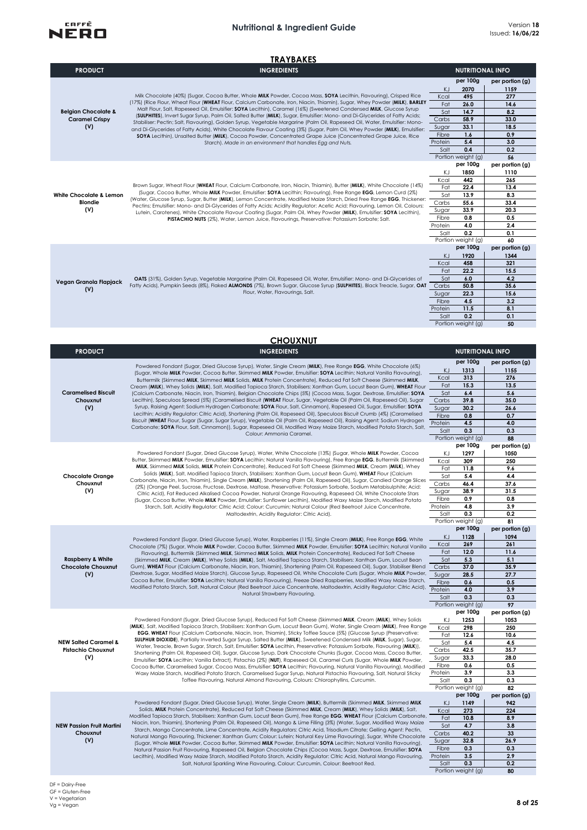

|                                                                | <b>TRAYBAKES</b>                                                                                                                                                                                                                                                                                                                                                                                                                                                                                                                                                                                                                                                                                                                                                                                                                                                                                                                                |                                                                        |                                                                                                    |                                                                                          |
|----------------------------------------------------------------|-------------------------------------------------------------------------------------------------------------------------------------------------------------------------------------------------------------------------------------------------------------------------------------------------------------------------------------------------------------------------------------------------------------------------------------------------------------------------------------------------------------------------------------------------------------------------------------------------------------------------------------------------------------------------------------------------------------------------------------------------------------------------------------------------------------------------------------------------------------------------------------------------------------------------------------------------|------------------------------------------------------------------------|----------------------------------------------------------------------------------------------------|------------------------------------------------------------------------------------------|
| <b>PRODUCT</b>                                                 | <b>INGREDIENTS</b>                                                                                                                                                                                                                                                                                                                                                                                                                                                                                                                                                                                                                                                                                                                                                                                                                                                                                                                              |                                                                        | <b>NUTRITIONAL INFO</b>                                                                            |                                                                                          |
| <b>Belgian Chocolate &amp;</b><br><b>Caramel Crispy</b><br>(V) | Milk Chocolate (40%) (Sugar, Cocoa Butter, Whole MILK Powder, Cocoa Mass, SOYA Lecithin, Flavouring), Crisped Rice<br>(17%) (Rice Flour, Wheat Flour (WHEAT Flour, Calcium Carbonate, Iron, Niacin, Thiamin), Sugar, Whey Powder (MILK), BARLEY<br>Malt Flour, Salt, Rapeseed Oil, Emulsifier: SOYA Lecithin), Caramel (16%) (Sweetened Condensed MILK, Glucose Syrup<br>(SULPHITES), Invert Sugar Syrup, Palm Oil, Salted Butter (MILK), Sugar, Emulsifier: Mono- and Di-Glycerides of Fatty Acids;<br>Stabiliser: Pectin; Salt, Flavouring), Golden Syrup, Vegetable Margarine (Palm Oil, Rapeseed Oil, Water, Emulsifier: Mono-<br>and Di-Glycerides of Fatty Acids), White Chocolate Flavour Coating (3%) (Sugar, Palm Oil, Whey Powder (MILK), Emulsifier:<br>SOYA Lecithin), Unsalted Butter (MILK), Cocoa Powder, Concentrated Grape Juice (Concentrated Grape Juice, Rice<br>Starch). Made in an environment that handles Egg and Nuts. | KJ<br>Kcal<br>Fat<br>Sat<br>Carbs<br>Sugar<br>Fibre<br>Protein<br>Salt | per 100g<br>2070<br>495<br>26.0<br>14.7<br>58.9<br>33.1<br>1.6<br>5.4<br>0.4<br>Portion weight (g) | per portion (g)<br>1159<br>277<br>14.6<br>8.2<br>33.0<br>18.5<br>0.9<br>3.0<br>0.2<br>56 |
| <b>White Chocolate &amp; Lemon</b><br><b>Blondie</b><br>(V)    | Brown Sugar, Wheat Flour (WHEAT Flour, Calcium Carbonate, Iron, Niacin, Thiamin), Butter (MILK), White Chocolate (14%)<br>(Sugar, Cocoa Butter, Whole MILK Powder, Emulsifier: SOYA Lecithin; Flavouring), Free Range EGG, Lemon Curd (2%)<br>(Water, Glucose Syrup, Sugar, Butter (MILK), Lemon Concentrate, Modified Maize Starch, Dried Free Range EGG, Thickener:<br>Pectins; Emulsifier: Mono- and Di-Glycerides of Fatty Acids; Acidity Regulator: Acetic Acid; Flavouring, Lemon Oil, Colours:<br>Lutein, Carotenes), White Chocolate Flavour Coating (Sugar, Palm Oil, Whey Powder (MILK), Emulsifier: SOYA Lecithin),<br>PISTACHIO NUTS (2%), Water, Lemon Juice, Flavourings, Preservative: Potassium Sorbate; Salt.                                                                                                                                                                                                                  | ΚJ<br>Kcal<br>Fat<br>Sat<br>Carbs<br>Sugar<br>Fibre<br>Protein<br>Salt | per 100g<br>1850<br>442<br>22.4<br>13.9<br>55.6<br>33.9<br>0.8<br>4.0<br>0.2<br>Portion weight (g) | per portion (g)<br>1110<br>265<br>13.4<br>8.3<br>33.4<br>20.3<br>0.5<br>2.4<br>0.1<br>60 |
| Vegan Granola Flapjack<br>(V)                                  | OATS (31%), Golden Syrup, Vegetable Margarine (Palm Oil, Rapeseed Oil, Water, Emulsifier: Mono- and Di-Glycerides of<br>Fatty Acids), Pumpkin Seeds (8%), Flaked ALMONDS (7%), Brown Sugar, Glucose Syrup (SULPHITES), Black Treacle, Sugar, OAT<br>Flour, Water, Flavourings, Salt.                                                                                                                                                                                                                                                                                                                                                                                                                                                                                                                                                                                                                                                            | KJ<br>Kcal<br>Fat<br>Sat<br>Carbs<br>Sugar<br>Fibre<br>Protein<br>Salt | per 100g<br>1920<br>458<br>22.2<br>6.0<br>50.8<br>22.3<br>4.5<br>11.5<br>0.2<br>Portion weight (g) | per portion (g)<br>1344<br>321<br>15.5<br>4.2<br>35.6<br>15.6<br>3.2<br>8.1<br>0.1<br>50 |
|                                                                | <b>CHOUXNUT</b>                                                                                                                                                                                                                                                                                                                                                                                                                                                                                                                                                                                                                                                                                                                                                                                                                                                                                                                                 |                                                                        |                                                                                                    |                                                                                          |

| <b>PRODUCT</b>                   | <b>INGREDIENTS</b>                                                                                                                                                                                                                                                                                                                                                                                                                                                                          |                 | <b>NUTRITIONAL INFO</b> |                 |
|----------------------------------|---------------------------------------------------------------------------------------------------------------------------------------------------------------------------------------------------------------------------------------------------------------------------------------------------------------------------------------------------------------------------------------------------------------------------------------------------------------------------------------------|-----------------|-------------------------|-----------------|
|                                  |                                                                                                                                                                                                                                                                                                                                                                                                                                                                                             |                 | per 100g                | per portion (g) |
|                                  | Powdered Fondant (Sugar, Dried Glucose Syrup), Water, Single Cream (MILK), Free Range EGG, White Chocolate (6%)                                                                                                                                                                                                                                                                                                                                                                             | KJ              | 1313                    | 1155            |
|                                  | (Sugar, Whole MILK Powder, Cocoa Butter, Skimmed MILK Powder, Emulsifier: SOYA Lecithin; Natural Vanilla Flavouring),<br>Buttermilk (Skimmed MILK, Skimmed MILK Solids, MILK Protein Concentrate), Reduced Fat Soft Cheese (Skimmed MILK,                                                                                                                                                                                                                                                   | Kcal            | 313                     | 276             |
|                                  | Cream (MILK), Whey Solids (MILK), Salt, Modified Tapioca Starch, Stabilisers: Xanthan Gum, Locust Bean Gum), WHEAT Flour                                                                                                                                                                                                                                                                                                                                                                    | Fat             | 15.3                    | 13.5            |
| <b>Caramelised Biscuit</b>       | (Calcium Carbonate, Niacin, Iron, Thiamin), Belgian Chocolate Chips (5%) (Cocoa Mass, Sugar, Dextrose, Emulsifier: SOYA                                                                                                                                                                                                                                                                                                                                                                     | Sat             | 6.4                     | 5.6             |
| Chouxnut                         | Lecithin), Speculoos Spread (5%) (Caramelised Biscuit (WHEAT Flour, Sugar, Vegetable Oil (Palm Oil, Rapeseed Oil), Sugar                                                                                                                                                                                                                                                                                                                                                                    | Carbs           | 39.8                    | 35.0            |
| (V)                              | Syrup, Raising Agent: Sodium Hydrogen Carbonate; SOYA Flour, Salt, Cinnamon), Rapeseed Oil, Sugar, Emulsifier: SOYA                                                                                                                                                                                                                                                                                                                                                                         | Sugar           | 30.2                    | 26.6            |
|                                  | Lecithin; Acidity Regulator: Citric Acid), Shortening (Palm Oil, Rapeseed Oil), Speculoos Biscuit Crumb (4%) (Caramelised                                                                                                                                                                                                                                                                                                                                                                   | Fibre           | 0.8                     | 0.7             |
|                                  | Biscuit (WHEAT Flour, Sugar (Sugar, Sugar Syrup), Vegetable Oil (Palm Oil, Rapeseed Oil), Raising Agent: Sodium Hydrogen<br>Carbonate; SOYA Flour, Salt, Cinnamon)), Sugar, Rapeseed Oil, Modified Waxy Maize Starch, Modified Potato Starch, Salt,                                                                                                                                                                                                                                         | Protein         | 4.5                     | 4.0             |
|                                  | Colour: Ammonia Caramel.                                                                                                                                                                                                                                                                                                                                                                                                                                                                    | Salt            | 0.3                     | 0.3             |
|                                  |                                                                                                                                                                                                                                                                                                                                                                                                                                                                                             |                 | Portion weight (g)      | 88              |
|                                  |                                                                                                                                                                                                                                                                                                                                                                                                                                                                                             |                 | per 100g                | per portion (g) |
|                                  | Powdered Fondant (Sugar, Dried Glucose Syrup), Water, White Chocolate (13%) (Sugar, Whole MILK Powder, Cocoa                                                                                                                                                                                                                                                                                                                                                                                | ΚJ              | 1297                    | 1050            |
|                                  | Butter, Skimmed MILK Powder, Emulsifier: SOYA Lecithin; Natural Vanilla Flavouring), Free Range EGG, Buttermilk (Skimmed<br>MILK, Skimmed MILK Solids, MILK Protein Concentrate), Reduced Fat Soft Cheese (Skimmed MILK, Cream (MILK), Whey                                                                                                                                                                                                                                                 | Kcal            | 309                     | 250             |
|                                  | Solids (MILK), Salt, Modified Tapioca Starch, Stabilisers: Xanthan Gum, Locust Bean Gum), WHEAT Flour (Calcium                                                                                                                                                                                                                                                                                                                                                                              | Fat             | 11.8                    | 9.6             |
| <b>Chocolate Orange</b>          | Carbonate, Niacin, Iron, Thiamin), Single Cream (MILK), Shortening (Palm Oil, Rapeseed Oil), Sugar, Candied Orange Slices                                                                                                                                                                                                                                                                                                                                                                   | Sat             | 5.4                     | 4.4             |
| Chouxnut                         | (2%) (Orange Peel, Sucrose, Fructose, Dextrose, Maltose, Preservative: Potassium Sorbate, Sodium Metabisulphite; Acid:                                                                                                                                                                                                                                                                                                                                                                      | Carbs           | 46.4                    | 37.6            |
| (V)                              | Citric Acid), Fat Reduced Alkalised Cocoa Powder, Natural Orange Flavouring, Rapeseed Oil, White Chocolate Stars                                                                                                                                                                                                                                                                                                                                                                            | Sugar           | 38.9<br>0.9             | 31.5            |
|                                  | (Sugar, Cocoa Butter, Whole MILK Powder, Emulsifier: Sunflower Lecithin), Modified Waxy Maize Starch, Modified Potato                                                                                                                                                                                                                                                                                                                                                                       | Fibre           | 4.8                     | 0.8<br>3.9      |
|                                  | Starch, Salt, Acidity Regulator: Citric Acid; Colour: Curcumin; Natural Colour (Red Beetroot Juice Concentrate,<br>Maltodextrin, Acidity Regulator: Citric Acid).                                                                                                                                                                                                                                                                                                                           | Protein<br>Salt | 0.3                     | 0.2             |
|                                  |                                                                                                                                                                                                                                                                                                                                                                                                                                                                                             |                 | Portion weight (g)      | 81              |
|                                  |                                                                                                                                                                                                                                                                                                                                                                                                                                                                                             |                 | per 100g                | per portion (g) |
|                                  |                                                                                                                                                                                                                                                                                                                                                                                                                                                                                             | KJ              | 1128                    | 1094            |
|                                  | Powdered Fondant (Sugar, Dried Glucose Syrup), Water, Raspberries (11%), Single Cream (MILK), Free Range EGG, White<br>Chocolate (7%) (Sugar, Whole MILK Powder, Cocoa Butter, Skimmed MILK Powder, Emulsifier: SOYA Lecithin; Natural Vanilla .<br>Flavouring), Buttermilk (Skimmed MILK, Skimmed MILK Solids, MILK Protein Concentrate), Reduced Fat Soft Cheese<br>(Skimmed MILK, Cream (MILK), Whey Solids (MILK), Salt, Modified Tapioca Starch, Stabilisers: Xanthan Gum, Locust Bean | Kcal            | 269                     | 261             |
|                                  |                                                                                                                                                                                                                                                                                                                                                                                                                                                                                             | Fat             | 12.0                    | 11.6            |
| <b>Raspberry &amp; White</b>     |                                                                                                                                                                                                                                                                                                                                                                                                                                                                                             | Sat             | 5.3                     | 5.1             |
| <b>Chocolate Chouxnut</b>        | Gum), WHEAT Flour (Calcium Carbonate, Niacin, Iron, Thiamin), Shortening (Palm Oil, Rapeseed Oil), Sugar, Stabiliser Blend                                                                                                                                                                                                                                                                                                                                                                  | Carbs           | 37.0                    | 35.9            |
| (V)                              | (Dextrose, Sugar, Modified Maize Starch), Glucose Syrup, Rapeseed Oil, White Chocolate Curls (Sugar, Whole MILK Powder,<br>Cocoa Butter, Emulsifier: SOYA Lecithin; Natural Vanilla Flavouring), Freeze Dried Raspberries, Modified Waxy Maize Starch,<br>Modified Potato Starch, Salt, Natural Colour (Red Beetroot Juice Concentrate, Maltodextrin, Acidity Regulator: Citric Acid),<br>Natural Strawberry Flavouring.                                                                    | Sugar           | 28.5                    | 27.7            |
|                                  |                                                                                                                                                                                                                                                                                                                                                                                                                                                                                             | Fibre           | 0.6                     | 0.5             |
|                                  |                                                                                                                                                                                                                                                                                                                                                                                                                                                                                             | Protein         | 4.0                     | 3.9             |
|                                  |                                                                                                                                                                                                                                                                                                                                                                                                                                                                                             | Salt            | 0.3                     | 0.3             |
|                                  |                                                                                                                                                                                                                                                                                                                                                                                                                                                                                             |                 | Portion weight (g)      | 97              |
|                                  |                                                                                                                                                                                                                                                                                                                                                                                                                                                                                             |                 | per 100g                | per portion (g) |
|                                  | Powdered Fondant (Sugar, Dried Glucose Syrup), Reduced Fat Soft Cheese (Skimmed MILK, Cream (MILK), Whey Solids                                                                                                                                                                                                                                                                                                                                                                             | KJ              | 1253                    | 1053            |
|                                  | (MILK), Salt, Modified Tapioca Starch, Stabilisers: Xanthan Gum, Locust Bean Gum), Water, Single Cream (MILK), Free Range<br>EGG, WHEAT Flour (Calcium Carbonate, Niacin, Iron, Thiamin), Sticky Toffee Sauce (5%) (Glucose Syrup (Preservative:                                                                                                                                                                                                                                            | Kcal            | 298                     | 250             |
| <b>NEW Salted Caramel &amp;</b>  | <b>SULPHUR DIOXIDE</b> ), Partially Inverted Sugar Syrup, Salted Butter (MILK), Sweetened Condensed Milk (MILK, Sugar), Sugar,                                                                                                                                                                                                                                                                                                                                                              | Fat<br>Sat      | 12.6                    | 10.6            |
| <b>Pistachio Chouxnut</b>        | Water, Treacle, Brown Sugar, Starch, Salt, Emulsifier: SOYA Lecithin, Preservative: Potassium Sorbate, Flavouring (MILK)),                                                                                                                                                                                                                                                                                                                                                                  | Carbs           | 5.4<br>42.5             | 4.5<br>35.7     |
| (V)                              | Shortening (Palm Oil, Rapeseed Oil), Sugar, Glucose Syrup, Dark Chocolate Chunks (Sugar, Cocoa Mass, Cocoa Butter,                                                                                                                                                                                                                                                                                                                                                                          | Sugar           | 33.3                    | 28.0            |
|                                  | Emulsifier: SOYA Lecithin; Vanilla Extract), Pistachio (2%) (NUT), Rapeseed Oil, Caramel Curls (Sugar, Whole MILK Powder,<br>Cocoa Butter, Caramelised Sugar, Cocoa Mass, Emulsifier: SOYA Lecithin; Flavouring, Natural Vanilla Flavouring), Modified                                                                                                                                                                                                                                      | Fibre           | 0.6                     | 0.5             |
|                                  | Waxy Maize Starch, Modified Potato Starch, Caramelised Sugar Syrup, Natural Pistachio Flavouring, Salt, Natural Sticky                                                                                                                                                                                                                                                                                                                                                                      | Protein         | 3.9                     | 3.3             |
|                                  | Toffee Flavouring, Natural Almond Flavouring, Colours: Chlorophyllins, Curcumin.                                                                                                                                                                                                                                                                                                                                                                                                            | Salt            | 0.3                     | 0.3             |
|                                  |                                                                                                                                                                                                                                                                                                                                                                                                                                                                                             |                 | Portion weight (g)      | 82              |
|                                  |                                                                                                                                                                                                                                                                                                                                                                                                                                                                                             |                 | per 100g                | per portion (g) |
|                                  | Powdered Fondant (Sugar, Dried Glucose Syrup), Water, Single Cream (MILK), Buttermilk (Skimmed MILK, Skimmed MILK                                                                                                                                                                                                                                                                                                                                                                           | KJ              | 1149                    | 942             |
|                                  | Solids, MILK Protein Concentrate), Reduced Fat Soft Cheese (Skimmed MILK, Cream (MILK), Whey Solids (MILK), Salt,                                                                                                                                                                                                                                                                                                                                                                           | Kcal            | 273                     | 224             |
|                                  | Modified Tapioca Starch, Stabilisers: Xanthan Gum, Locust Bean Gum), Free Range EGG, WHEAT Flour (Calcium Carbonate,                                                                                                                                                                                                                                                                                                                                                                        | Fat             | 10.8                    | 8.9             |
| <b>NEW Passion Fruit Martini</b> | Niacin, Iron, Thiamin), Shortening (Palm Oil, Rapeseed Oil), Mango & Lime Filling (3%) (Water, Sugar, Modified Waxy Maize<br>Starch, Mango Concentrate, Lime Concentrate, Acidity Regulators: Citric Acid, Trisodium Citrate; Gelling Agent: Pectin,                                                                                                                                                                                                                                        | Sat             | 4.7                     | 3.8             |
| Chouxnut                         | Natural Mango Flavouring, Thickener: Xanthan Gum; Colour: Lutein; Natural Key Lime Flavouring), Sugar, White Chocolate                                                                                                                                                                                                                                                                                                                                                                      | Carbs           | 40.2                    | 33              |
| (V)                              | (Sugar, Whole MILK Powder, Cocoa Butter, Skimmed MILK Powder, Emulsifier: SOYA Lecithin; Natural Vanilla Flavouring),                                                                                                                                                                                                                                                                                                                                                                       | Sugar           | 32.8                    | 26.9            |
|                                  | Natural Passion Fruit Flavouring, Rapeseed Oil, Belgian Chocolate Chips (Cocoa Mass, Sugar, Dextrose, Emulsifier: SOYA                                                                                                                                                                                                                                                                                                                                                                      | Fibre           | 0.3                     | 0.3             |
|                                  | Lecithin), Modified Waxy Maize Starch, Modified Potato Starch, Acidity Regulator: Citric Acid, Natural Mango Flavouring,                                                                                                                                                                                                                                                                                                                                                                    | Protein         | 3.5                     | 2.9             |
|                                  | Salt, Natural Sparkling Wine Flavouring, Colour: Curcumin, Colour: Beetroot Red.                                                                                                                                                                                                                                                                                                                                                                                                            | Salt            | 0.3                     | 0.2             |
|                                  |                                                                                                                                                                                                                                                                                                                                                                                                                                                                                             |                 | Portion weight (g)      | 80              |
|                                  |                                                                                                                                                                                                                                                                                                                                                                                                                                                                                             |                 |                         |                 |

DF = Dairy-Free GF = Gluten-Free V = Vegetarian . a basebanan **8 of 25**<br>Vg = Vegan **8 of 25**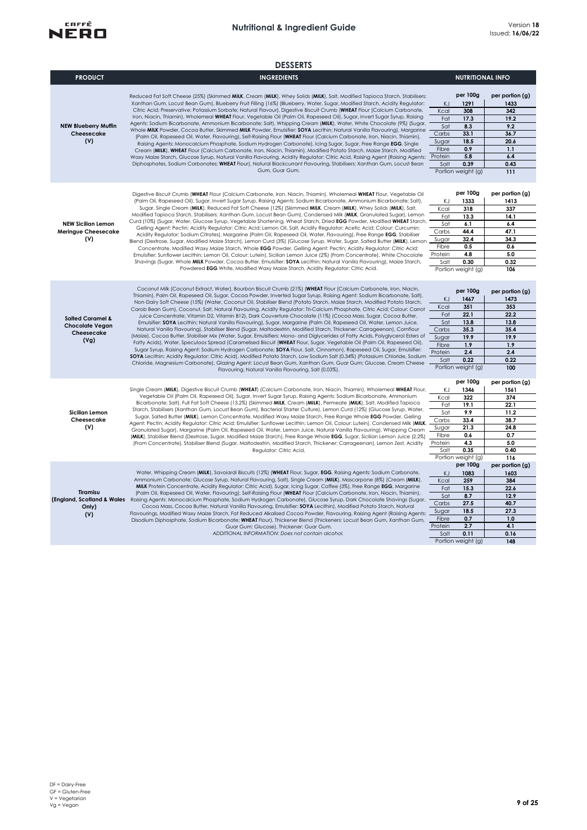

|                                                                             | <b>DESSERTS</b>                                                                                                                                                                                                                                                                                                                                                                                                                                                                                                                                                                                                                                                                                                                                                                                                                                                                                                                                                                                                                                                                                                                                                                                                                                                                                                                                                                                                                                                                                                                                                         |                                                                        |                                                                                                     |                                                                                             |
|-----------------------------------------------------------------------------|-------------------------------------------------------------------------------------------------------------------------------------------------------------------------------------------------------------------------------------------------------------------------------------------------------------------------------------------------------------------------------------------------------------------------------------------------------------------------------------------------------------------------------------------------------------------------------------------------------------------------------------------------------------------------------------------------------------------------------------------------------------------------------------------------------------------------------------------------------------------------------------------------------------------------------------------------------------------------------------------------------------------------------------------------------------------------------------------------------------------------------------------------------------------------------------------------------------------------------------------------------------------------------------------------------------------------------------------------------------------------------------------------------------------------------------------------------------------------------------------------------------------------------------------------------------------------|------------------------------------------------------------------------|-----------------------------------------------------------------------------------------------------|---------------------------------------------------------------------------------------------|
| <b>PRODUCT</b>                                                              | <b>INGREDIENTS</b>                                                                                                                                                                                                                                                                                                                                                                                                                                                                                                                                                                                                                                                                                                                                                                                                                                                                                                                                                                                                                                                                                                                                                                                                                                                                                                                                                                                                                                                                                                                                                      |                                                                        | <b>NUTRITIONAL INFO</b>                                                                             |                                                                                             |
| <b>NEW Blueberry Muffin</b><br>Cheesecake<br>(V)                            | Reduced Fat Soft Cheese (25%) (Skimmed MILK, Cream (MILK), Whey Solids (MILK), Salt, Modified Tapioca Starch, Stabilisers:<br>Xanthan Gum, Locust Bean Gum), Blueberry Fruit Filling (16%) (Blueberry, Water, Sugar, Modified Starch, Acidity Regulator:<br>Citric Acid; Preservative: Potassium Sorbate; Natural Flavour), Digestive Biscuit Crumb (WHEAT Flour (Calcium Carbonate,<br>Iron, Niacin, Thiamin), Wholemeal WHEAT Flour, Vegetable Oil (Palm Oil, Rapeseed Oil), Sugar, Invert Sugar Syrup, Raising<br>Agents: Sodium Bicarbonate, Ammonium Bicarbonate; Salt), Whipping Cream (MILK), Water, White Chocolate (9%) (Sugar,<br>Whole MILK Powder, Cocoa Butter, Skimmed MILK Powder, Emulsifier: SOYA Lecithin; Natural Vanilla Flavouring), Margarine<br>(Palm Oil, Rapeseed Oil, Water, Flavouring), Self-Raising Flour (WHEAT Flour (Calcium Carbonate, Iron, Niacin, Thiamin),<br>Raising Agents: Monocalcium Phosphate, Sodium Hydrogen Carbonate), Icing Sugar, Sugar, Free Range EGG, Single<br>Cream (MILK), WHEAT Flour (Calcium Carbonate, Iron, Niacin, Thiamin), Modified Potato Starch, Maize Starch, Modified<br>Waxy Maize Starch, Glucose Syrup, Natural Vanilla Flavouring, Acidity Regulator: Citric Acid, Raising Agent (Raising Agents:<br>Diphosphates, Sodium Carbonates; WHEAT Flour), Natural Blackcurrant Flavouring, Stabilisers: Xanthan Gum, Locust Bean<br>Gum, Guar Gum.                                                                                                                                                     | KJ<br>Kcal<br>Fat<br>Sat<br>Carbs<br>Sugar<br>Fibre<br>Protein<br>Salt | per 100g<br>1291<br>308<br>17.3<br>8.3<br>33.1<br>18.5<br>0.9<br>5.8<br>0.39<br>Portion weight (g)  | per portion (g)<br>1433<br>342<br>19.2<br>9.2<br>36.7<br>20.6<br>1.1<br>6.4<br>0.43<br>111  |
| <b>NEW Sicilian Lemon</b><br><b>Meringue Cheesecake</b><br>(V)              | Digestive Biscuit Crumb (WHEAT Flour (Calcium Carbonate, Iron, Niacin, Thiamin), Wholemeal WHEAT Flour, Vegetable Oil<br>(Palm Oil, Rapeseed Oil), Sugar, Invert Sugar Syrup, Raising Agents: Sodium Bicarbonate, Ammonium Bicarbonate; Salt),<br>Sugar, Single Cream (MILK), Reduced Fat Soft Cheese (12%) (Skimmed MILK, Cream (MILK), Whey Solids (MILK), Salt,<br>Modified Tapioca Starch, Stabilisers: Xanthan Gum, Locust Bean Gum), Condensed Milk (MILK, Granulated Sugar), Lemon<br>Curd (10%) (Sugar, Water, Glucose Syrup, Vegetable Shortening, Wheat Starch, Dried EGG Powder, Modified WHEAT Starch,<br>Gelling Agent: Pectin; Acidity Regulator: Citric Acid; Lemon Oil, Salt, Acidity Regulator: Acetic Acid; Colour: Curcumin;<br>Acidity Regulator: Sodium Citrates), Margarine (Palm Oil, Rapeseed Oil, Water, Flavouring), Free Range EGG, Stabiliser<br>Blend (Dextrose, Sugar, Modified Maize Starch), Lemon Curd (3%) (Glucose Syrup, Water, Sugar, Salted Butter (MILK), Lemon<br>Concentrate, Modified Waxy Maize Starch, Whole EGG Powder, Gelling Agent: Pectin; Acidity Regulator: Citric Acid;<br>Emulsifier: Sunflower Lecithin; Lemon Oil, Colour: Lutein), Sicilian Lemon Juice (2%) (From Concentrate), White Chocolate<br>Shavings (Sugar, Whole MILK Powder, Cocoa Butter, Emulsifier: SOYA Lecithin; Natural Vanilla Flavouring), Maize Starch,<br>Powdered EGG White, Modified Waxy Maize Starch, Acidity Regulator: Citric Acid.                                                                                                  | ΚJ<br>Kcal<br>Fat<br>Sat<br>Carbs<br>Sugar<br>Fibre<br>Protein<br>Salt | per 100g<br>1333<br>318<br>13.3<br>6.1<br>44.4<br>32.4<br>0.5<br>4.8<br>0.30<br>Portion weight (g)  | per portion (g)<br>1413<br>337<br>14.1<br>6.4<br>47.1<br>34.3<br>0.6<br>5.0<br>0.32<br>106  |
| <b>Salted Caramel &amp;</b><br><b>Chocolate Vegan</b><br>Cheesecake<br>(Vg) | Coconut Milk (Coconut Extract, Water), Bourbon Biscuit Crumb (21%) (WHEAT Flour (Calcium Carbonate, Iron, Niacin,<br>Thiamin), Palm Oil, Rapeseed Oil, Sugar, Cocoa Powder, Inverted Sugar Syrup, Raising Agent: Sodium Bicarbonate, Salt),<br>Non-Dairy Soft Cheese (15%) (Water, Coconut Oil, Stabiliser Blend (Potato Starch, Maize Starch, Modified Potato Starch,<br>Carob Bean Gum), Coconut, Salt, Natural Flavouring, Acidity Regulator: Tri-Calcium Phosphate, Citric Acid; Colour: Carrot<br>Juice Concentrate; Vitamin D2, Vitamin B12), Dark Couverture Chocolate (11%) (Cocoa Mass, Sugar, Cocoa Butter,<br>Emulsifier: SOYA Lecithin; Natural Vanilla Flavouring), Sugar, Margarine (Palm Oil, Rapeseed Oil, Water, Lemon Juice,<br>Natural Vanilla Flavouring), Stabiliser Blend (Sugar, Maltodextrin, Modified Starch, Thickener: Carrageenan), Cornflour<br>(Maize), Cocoa Butter, Stabiliser Mix (Water, Sugar, Emulsifiers: Mono- and Diglycerides of Fatty Acids, Polyglycerol Esters of<br>Fatty Acids), Water, Speculoos Spread (Caramelised Biscuit (WHEAT Flour, Sugar, Vegetable Oil (Palm Oil, Rapeseed Oil),<br>Sugar Syrup, Raising Agent: Sodium Hydrogen Carbonate; SOYA Flour, Salt, Cinnamon), Rapeseed Oil, Sugar, Emulsifier:<br>SOYA Lecithin; Acidity Regulator: Citric Acid), Modified Potato Starch, Low Sodium Salt (0.34%) (Potassium Chloride, Sodium<br>Chloride, Magnesium Carbonate), Glazing Agent: Locust Bean Gum, Xanthan Gum, Guar Gum; Glucose, Cream Cheese<br>Flavouring, Natural Vanilla Flavouring, Salt (0.03%). | KJ<br>Kcal<br>Fat<br>Sat<br>Carbs<br>Sugar<br>Fibre<br>Protein<br>Salt | per 100g<br>1467<br>351<br>22.1<br>13.8<br>35.3<br>19.9<br>1.9<br>2.4<br>0.22<br>Portion weight (g) | per portion (g)<br>1473<br>353<br>22.2<br>13.8<br>35.4<br>19.9<br>1.9<br>2.4<br>0.22<br>100 |
| Sicilian Lemon<br>Cheesecake<br>(V)                                         | Single Cream (MILK), Digestive Biscuit Crumb (WHEAT) (Calcium Carbonate, Iron, Niacin, Thiamin), Wholemeal WHEAT Flour,<br>Vegetable Oil (Palm Oil, Rapeseed Oil), Sugar, Invert Sugar Syrup, Raising Agents: Sodium Bicarbonate, Ammonium<br>Bicarbonate; Salt), Full Fat Soft Cheese (13.2%) (Skimmed MILK, Cream (MILK), Permeate (MILK), Salt, Modified Tapioca<br>Starch, Stabilisers (Xanthan Gum, Locust Bean Gum), Bacterial Starter Culture), Lemon Curd (12%) (Glucose Syrup, Water,<br>Sugar, Salted Butter (MILK), Lemon Concentrate, Modified Waxy Maize Starch, Free Range Whole EGG Powder, Gelling<br>Agent: Pectin; Acidity Regulator: Citric Acid; Emulsifier: Sunflower Lecithin; Lemon Oil, Colour: Lutein), Condensed Milk (MILK,<br>Granulated Sugar), Margarine (Palm Oil, Rapeseed Oil, Water, Lemon Juice, Natural Vanilla Flavouring), Whipping Cream<br>(MILK), Stabiliser Blend (Dextrose, Sugar, Modified Maize Starch), Free Range Whole EGG, Sugar, Sicilian Lemon Juice (2.2%)<br>(From Concentrate), Stabiliser Blend (Sugar, Maltodextrin, Modified Starch, Thickener: Carrageenan), Lemon Zest, Acidity<br>Regulator: Citric Acid.                                                                                                                                                                                                                                                                                                                                                                                                   | KJ<br>Kcal<br>Fat<br>Sat<br>Carbs<br>Sugar<br>Fibre<br>Protein<br>Salt | per 100g<br>1346<br>322<br>19.1<br>9.9<br>33.4<br>21.3<br>0.6<br>4.3<br>0.35<br>Portion weight (g)  | per portion (g)<br>1561<br>374<br>22.1<br>11.2<br>38.7<br>24.8<br>0.7<br>5.0<br>0.40<br>116 |
| Tiramisu<br>Only)<br>(V)                                                    | Water, Whipping Cream (MILK), Savoiardi Biscuits (12%) (WHEAT Flour, Sugar, EGG, Raising Agents: Sodium Carbonate,<br>Ammonium Carbonate; Glucose Syrup, Natural Flavouring, Salt), Single Cream (MILK), Mascarpone (8%) (Cream (MILK),<br>MILK Protein Concentrate, Acidity Regulator: Citric Acid), Sugar, Icing Sugar, Coffee (3%), Free Range EGG, Margarine<br>(Palm Oil, Rapeseed Oil, Water, Flavouring), Self-Raising Flour (WHEAT Flour (Calcium Carbonate, Iron, Niacin, Thiamin),<br>(England, Scotland & Wales Raising Agents: Monocalcium Phosphate, Sodium Hydrogen Carbonate), Glucose Syrup, Dark Chocolate Shavings (Sugar,<br>Cocoa Mass, Cocoa Butter, Natural Vanilla Flavouring, Emulsifier: SOYA Lecithin), Modified Potato Starch, Natural<br>Flavourings, Modified Waxy Maize Starch, Fat Reduced Alkalised Cocoa Powder, Flavouring, Raising Agent (Raising Agents:<br>Disodium Diphosphate, Sodium Bicarbonate; WHEAT Flour), Thickener Blend (Thickeners: Locust Bean Gum, Xanthan Gum,<br>Guar Gum; Glucose), Thickener: Guar Gum.<br>ADDITIONAL INFORMATION: Does not contain alcohol.                                                                                                                                                                                                                                                                                                                                                                                                                                                     | KJ<br>Kcal<br>Fat<br>Sat<br>Carbs<br>Sugar<br>Fibre<br>Protein<br>Salt | per 100g<br>1083<br>259<br>15.3<br>8.7<br>27.5<br>18.5<br>0.7<br>2.7<br>0.11<br>Portion weight (g)  | per portion (g)<br>1603<br>384<br>22.6<br>12.9<br>40.7<br>27.3<br>1.0<br>4.1<br>0.16<br>148 |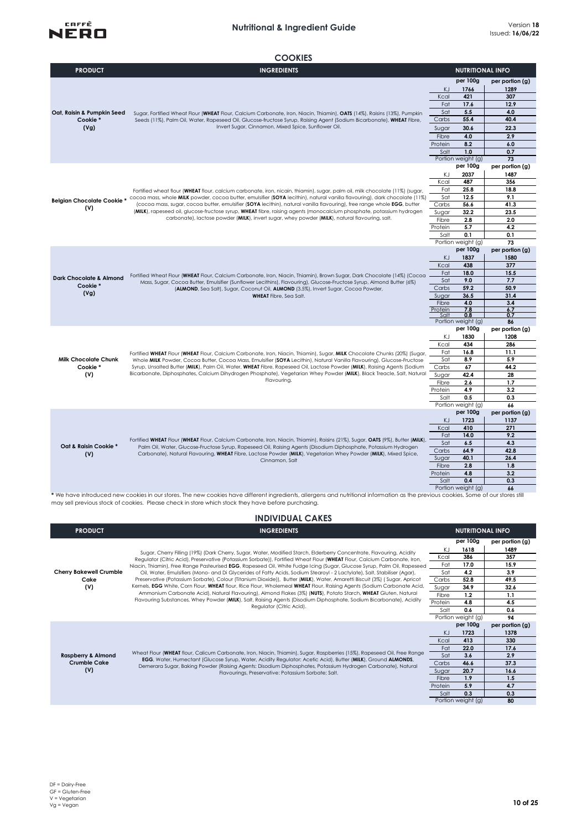## **Nutritional & Ingredient Guide** Version **<sup>18</sup>**



#### **COOKIES**

| <b>PRODUCT</b>                     | <b>INGREDIENTS</b>                                                                                                                                                                                                                                                                                                                                                     |                  | <b>NUTRITIONAL INFO</b>   |                       |
|------------------------------------|------------------------------------------------------------------------------------------------------------------------------------------------------------------------------------------------------------------------------------------------------------------------------------------------------------------------------------------------------------------------|------------------|---------------------------|-----------------------|
|                                    |                                                                                                                                                                                                                                                                                                                                                                        |                  | per 100g                  | per portion (g)       |
|                                    |                                                                                                                                                                                                                                                                                                                                                                        | KJ.              | 1766                      | 1289                  |
|                                    |                                                                                                                                                                                                                                                                                                                                                                        | Kcal             | 421                       | 307                   |
|                                    |                                                                                                                                                                                                                                                                                                                                                                        | Fat              | 17.6                      | 12.9                  |
| Oat, Raisin & Pumpkin Seed         | Sugar, Fortified Wheat Flour (WHEAT Flour, Calcium Carbonate, Iron, Niacin, Thiamin), OATS (14%), Raisins (13%), Pumpkin                                                                                                                                                                                                                                               | Sat              | 5.5                       | 4.0                   |
| Cookie*                            | Seeds (11%), Palm Oil, Water, Rapeseed Oil, Glucose-fructose Syrup, Raising Agent (Sodium Bicarbonate), WHEAT Fibre,                                                                                                                                                                                                                                                   | Carbs            | 55.4                      | 40.4                  |
| (Vg)                               | Invert Sugar, Cinnamon, Mixed Spice, Sunflower Oil.                                                                                                                                                                                                                                                                                                                    | Sugar            | 30.6                      | 22.3                  |
|                                    |                                                                                                                                                                                                                                                                                                                                                                        | Fibre            | 4.0                       | 2.9                   |
|                                    |                                                                                                                                                                                                                                                                                                                                                                        | Protein          | 8.2                       | 6.0                   |
|                                    |                                                                                                                                                                                                                                                                                                                                                                        | Salt             | 1.0                       | 0.7                   |
|                                    |                                                                                                                                                                                                                                                                                                                                                                        |                  | Portion weight (g)        | 73                    |
|                                    |                                                                                                                                                                                                                                                                                                                                                                        |                  | per 100g                  | per portion (g)       |
|                                    |                                                                                                                                                                                                                                                                                                                                                                        | ΚJ               | 2037                      | 1487                  |
|                                    |                                                                                                                                                                                                                                                                                                                                                                        | Kcal             | 487                       | 356                   |
|                                    | Fortified wheat flour (WHEAT flour, calcium carbonate, iron, nicain, thiamin), sugar, palm oil, milk chocolate (11%) (sugar,                                                                                                                                                                                                                                           | Fat              | 25.8                      | 18.8                  |
| Belgian Chocolate Cookie*          | cocoa mass, whole MILK powder, cocoa butter, emulsifier (SOYA lecithin), natural vanilla flavouring), dark chocolate (11%)                                                                                                                                                                                                                                             | Sat              | 12.5                      | 9.1                   |
| (V)                                | (cocoa mass, sugar, cocoa butter, emulsifier (SOYA lecithin), natural vanilla flavouring), free range whole EGG, butter<br>(MILK), rapeseed oil, glucose-fructose syrup, WHEAT fibre, raising agents (monocalcium phosphate, potassium hydrogen                                                                                                                        | Carbs            | 56.6                      | 41.3                  |
|                                    | carbonate), lactose powder (MILK), invert sugar, whey powder (MILK), natural flavouring, salt.                                                                                                                                                                                                                                                                         | Sugar            | 32.2                      | 23.5                  |
|                                    |                                                                                                                                                                                                                                                                                                                                                                        | Fibre<br>Protein | 2.8<br>5.7                | 2.0<br>4.2            |
|                                    |                                                                                                                                                                                                                                                                                                                                                                        | Salt             | 0.1                       | 0.1                   |
|                                    |                                                                                                                                                                                                                                                                                                                                                                        |                  | Portion weight (g)        | 73                    |
|                                    |                                                                                                                                                                                                                                                                                                                                                                        |                  | per 100g                  | per portion (g)       |
|                                    | Fortified Wheat Flour (WHEAT Flour, Calcium Carbonate, Iron, Niacin, Thiamin), Brown Sugar, Dark Chocolate (14%) (Cocoa<br>Mass, Sugar, Cocoa Butter, Emulsifier (Sunflower Lecithins), Flavouring), Glucose-Fructose Syrup, Almond Butter (6%)<br>(ALMOND, Sea Salt), Sugar, Coconut Oil, ALMOND (3.5%), Invert Sugar, Cocoa Powder,<br><b>WHEAT</b> Fibre, Sea Salt. | KJ               | 1837                      | 1580                  |
|                                    |                                                                                                                                                                                                                                                                                                                                                                        | Kcal             | 438                       | 377                   |
|                                    |                                                                                                                                                                                                                                                                                                                                                                        | Fat              | 18.0                      | 15.5                  |
| <b>Dark Chocolate &amp; Almond</b> |                                                                                                                                                                                                                                                                                                                                                                        | Sat              | 9.0                       | 7.7                   |
| Cookie*                            |                                                                                                                                                                                                                                                                                                                                                                        | Carbs            | 59.2                      | 50.9                  |
| (Vg)                               |                                                                                                                                                                                                                                                                                                                                                                        | Sugar            | 36.5                      | 31.4                  |
|                                    |                                                                                                                                                                                                                                                                                                                                                                        | Fibre            | 4.0                       | 3.4                   |
|                                    |                                                                                                                                                                                                                                                                                                                                                                        | Protein<br>Salt  | 7.8<br>0.8                | 6.7<br>0.7            |
|                                    |                                                                                                                                                                                                                                                                                                                                                                        |                  | Portion weight (g)        | 86                    |
|                                    |                                                                                                                                                                                                                                                                                                                                                                        |                  | per 100g                  | per portion (g)       |
|                                    |                                                                                                                                                                                                                                                                                                                                                                        | KJ               | 1830                      | 1208                  |
|                                    |                                                                                                                                                                                                                                                                                                                                                                        | Kcal             | 434                       | 286                   |
|                                    | Fortified WHEAT Flour (WHEAT Flour, Calcium Carbonate, Iron, Niacin, Thiamin), Sugar, MILK Chocolate Chunks (20%) (Sugar,                                                                                                                                                                                                                                              | Fat              | 16.8                      | 11.1                  |
| <b>Milk Chocolate Chunk</b>        | Whole MILK Powder, Cocoa Butter, Cocoa Mass, Emulsifier (SOYA Lecithin), Natural Vanilla Flavouring), Glucose-Fructose                                                                                                                                                                                                                                                 | Sat              | 8.9                       | 5.9                   |
| Cookie*                            | Syrup, Unsalted Butter (MILK), Palm Oil, Water, WHEAT Fibre, Rapeseed Oil, Lactose Powder (MILK), Raising Agents (Sodium                                                                                                                                                                                                                                               | Carbs            | 67                        | 44.2                  |
| (V)                                | Bicarbonate, Diphosphates, Calcium Dihydrogen Phosphate), Vegetarian Whey Powder (MILK), Black Treacle, Salt, Natural<br>Flavouring.                                                                                                                                                                                                                                   | Sugar            | 42.4                      | 28                    |
|                                    |                                                                                                                                                                                                                                                                                                                                                                        | Fibre            | 2.6                       | 1.7                   |
|                                    |                                                                                                                                                                                                                                                                                                                                                                        | Protein          | 4.9                       | 3.2                   |
|                                    |                                                                                                                                                                                                                                                                                                                                                                        | Salt             | 0.5<br>Portion weight (g) | 0.3                   |
|                                    |                                                                                                                                                                                                                                                                                                                                                                        |                  | per 100g                  | 66<br>per portion (g) |
|                                    |                                                                                                                                                                                                                                                                                                                                                                        | KJ               | 1723                      | 1137                  |
|                                    |                                                                                                                                                                                                                                                                                                                                                                        | Kcal             | 410                       | 271                   |
|                                    |                                                                                                                                                                                                                                                                                                                                                                        | Fat              | 14.0                      | 9.2                   |
|                                    | Fortified WHEAT Flour (WHEAT Flour, Calcium Carbonate, Iron, Niacin, Thiamin), Raisins (21%), Sugar, OATS (9%), Butter (MILK),                                                                                                                                                                                                                                         | Sat              | 6.5                       | 4.3                   |
| Oat & Raisin Cookie *              | Palm Oil, Water, Glucose-Fructose Syrup, Rapeseed Oil, Raising Agents (Disodium Diphosphate, Potassium Hydrogen                                                                                                                                                                                                                                                        | Carbs            | 64.9                      | 42.8                  |
| (V)                                | Carbonate), Natural Flavouring, WHEAT Fibre, Lactose Powder (MILK), Vegetarian Whey Powder (MILK), Mixed Spice,<br>Cinnamon, Salt                                                                                                                                                                                                                                      | Sugar            | 40.1                      | 26.4                  |
|                                    |                                                                                                                                                                                                                                                                                                                                                                        | Fibre            | 2.8                       | 1.8                   |
|                                    |                                                                                                                                                                                                                                                                                                                                                                        | Protein          | 4.8                       | 3.2                   |
|                                    | Salt<br>0.4                                                                                                                                                                                                                                                                                                                                                            |                  | 0.3                       |                       |
|                                    |                                                                                                                                                                                                                                                                                                                                                                        | Portion          | sinh t/a                  |                       |

**66** Portion weight (g) **\*** We have introduced new cookies in our stores. The new cookies have different ingredients, allergens and nutritional information as the previous cookies. Some of our stores still may sell previous stock of cookies. Please check in store which stock they have before purchasing.

| <b>INDIVIDUAL CAKES</b>                |                                                                                                                                                                                                                                                                                                                                                                                             |                |                                |                                |
|----------------------------------------|---------------------------------------------------------------------------------------------------------------------------------------------------------------------------------------------------------------------------------------------------------------------------------------------------------------------------------------------------------------------------------------------|----------------|--------------------------------|--------------------------------|
| <b>PRODUCT</b>                         | <b>INGREDIENTS</b>                                                                                                                                                                                                                                                                                                                                                                          |                | <b>NUTRITIONAL INFO</b>        |                                |
|                                        | Sugar, Cherry Filling (19%) (Dark Cherry, Sugar, Water, Modified Starch, Elderberry Concentrate, Flavouring, Acidity                                                                                                                                                                                                                                                                        | ΚJ<br>Kcal     | per 100g<br>1618<br>386        | per portion (g)<br>1489<br>357 |
|                                        | Regulator (Citric Acid), Preservative (Potassium Sorbate)), Fortified Wheat Flour (WHEAT Flour, Calcium Carbonate, Iron,<br>Niacin, Thiamin), Free Range Pasteurised EGG, Rapeseed Oil, White Fudge Icing (Sugar, Glucose Syrup, Palm Oil, Rapeseed                                                                                                                                         | Fat            | 17.0                           | 15.9                           |
| <b>Cherry Bakewell Crumble</b><br>Cake | Oil, Water, Emulsifiers (Mono- and Di Glycerides of Fatty Acids, Sodium Stearoyl - 2 Lactylate), Salt, Stabiliser (Agar),<br>Preservative (Potassium Sorbate), Colour (Titanium Dioxide)), Butter (MILK), Water, Amaretti Biscuit (3%) (Sugar, Apricot                                                                                                                                      | Sat<br>Carbs   | 4.2<br>52.8                    | 3.9<br>49.5                    |
| (V)                                    | Kernels, EGG White, Corn Flour, WHEAT flour, Rice Flour, Wholemeal WHEAT Flour, Raising Agents (Sodium Carbonate Acid,<br>Ammonium Carbonate Acid), Natural Flavouring), Almond Flakes (3%) (NUTS), Potato Starch, WHEAT Gluten, Natural<br>Flavouring Substances, Whey Powder (MILK), Salt, Raising Agents (Disodium Diphosphate, Sodium Bicarbonate), Acidity<br>Regulator (Citric Acid). | Sugar          | 34.9                           | 32.6                           |
|                                        |                                                                                                                                                                                                                                                                                                                                                                                             | Fibre          | 1.2                            | 1.1                            |
|                                        |                                                                                                                                                                                                                                                                                                                                                                                             | Protein        | 4.8                            | 4.5                            |
|                                        |                                                                                                                                                                                                                                                                                                                                                                                             | Salt           | 0.6                            | 0.6                            |
|                                        |                                                                                                                                                                                                                                                                                                                                                                                             |                | Portion weight (g)<br>per 100g | 94<br>per portion (g)          |
|                                        |                                                                                                                                                                                                                                                                                                                                                                                             | KJ             | 1723                           | 1378                           |
|                                        |                                                                                                                                                                                                                                                                                                                                                                                             | Kcal           | 413                            | 330                            |
|                                        | Wheat Flour (WHEAT flour, Calicum Carbonate, Iron, Niacin, Thiamin), Sugar, Raspberries (15%), Rapeseed Oil, Free Range                                                                                                                                                                                                                                                                     | Fat            | 22.0                           | 17.6                           |
| <b>Raspberry &amp; Almond</b>          | EGG, Water, Humectant (Glucose Syrup, Water, Acidity Regulator: Acetic Acid), Butter (MILK), Ground ALMONDS,                                                                                                                                                                                                                                                                                | Sat            | 3.6                            | 2.9                            |
| <b>Crumble Cake</b>                    | Demerara Sugar, Baking Powder (Raising Agents: Disodium Diphosphates, Potassium Hydrogen Carbonate), Natural                                                                                                                                                                                                                                                                                | Carbs          | 46.6                           | 37.3                           |
| (V)                                    | Flavourings, Preservative: Potassium Sorbate; Salt.                                                                                                                                                                                                                                                                                                                                         | Sugar<br>Fibre | 20.7<br>1.9                    | 16.6<br>1.5                    |
|                                        |                                                                                                                                                                                                                                                                                                                                                                                             | Protein        | 5.9                            | 4.7                            |
|                                        |                                                                                                                                                                                                                                                                                                                                                                                             | Salt           | 0.3                            | 0.3                            |
|                                        |                                                                                                                                                                                                                                                                                                                                                                                             |                | Portion weight (g)             | 80                             |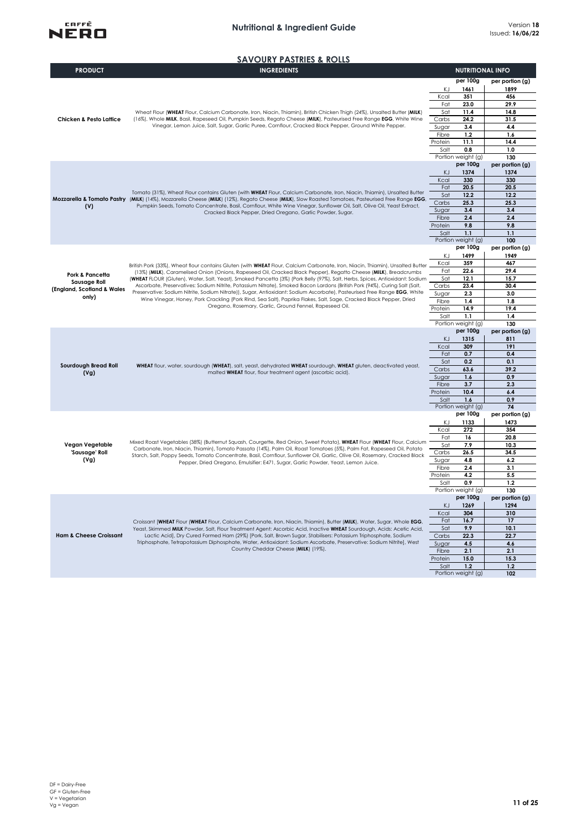#### **Nutritional & Ingredient Guide**



**SAVOURY PASTRIES & ROLLS**

| <b>PRODUCT</b>                             | <b>INGREDIENTS</b>                                                                                                                                                                                                                                                                                                                                                                                                                                                                                                                                                                                                                                                                          |                  | <b>NUTRITIONAL INFO</b>        |                         |
|--------------------------------------------|---------------------------------------------------------------------------------------------------------------------------------------------------------------------------------------------------------------------------------------------------------------------------------------------------------------------------------------------------------------------------------------------------------------------------------------------------------------------------------------------------------------------------------------------------------------------------------------------------------------------------------------------------------------------------------------------|------------------|--------------------------------|-------------------------|
|                                            |                                                                                                                                                                                                                                                                                                                                                                                                                                                                                                                                                                                                                                                                                             |                  | per 100g                       | per portion (g)         |
|                                            |                                                                                                                                                                                                                                                                                                                                                                                                                                                                                                                                                                                                                                                                                             | KJ<br>Kcal       | 1461<br>351                    | 1899<br>456             |
|                                            |                                                                                                                                                                                                                                                                                                                                                                                                                                                                                                                                                                                                                                                                                             | Fat              | 23.0                           | 29.9                    |
|                                            | Wheat Flour (WHEAT Flour, Calcium Carbonate, Iron, Niacin, Thiamin), British Chicken Thigh (24%), Unsalted Butter (MILK)                                                                                                                                                                                                                                                                                                                                                                                                                                                                                                                                                                    | Sat              | 11.4                           | 14.8                    |
| <b>Chicken &amp; Pesto Lattice</b>         | (16%), Whole MILK, Basil, Rapeseed Oil, Pumpkin Seeds, Regato Cheese (MILK), Pasteurised Free Range EGG, White Wine                                                                                                                                                                                                                                                                                                                                                                                                                                                                                                                                                                         | Carbs            | 24.2                           | 31.5                    |
|                                            | Vinegar, Lemon Juice, Salt, Sugar, Garlic Puree, Cornflour, Cracked Black Pepper, Ground White Pepper.                                                                                                                                                                                                                                                                                                                                                                                                                                                                                                                                                                                      | Sugar<br>Fibre   | 3.4<br>1.2                     | 4.4<br>1.6              |
|                                            |                                                                                                                                                                                                                                                                                                                                                                                                                                                                                                                                                                                                                                                                                             | Protein          | 11.1                           | 14.4                    |
|                                            |                                                                                                                                                                                                                                                                                                                                                                                                                                                                                                                                                                                                                                                                                             | Salt             | 0.8                            | 1.0                     |
|                                            |                                                                                                                                                                                                                                                                                                                                                                                                                                                                                                                                                                                                                                                                                             |                  | Portion weight (g)<br>per 100g | 130                     |
|                                            |                                                                                                                                                                                                                                                                                                                                                                                                                                                                                                                                                                                                                                                                                             | ΚJ               | 1374                           | per portion (g)<br>1374 |
|                                            |                                                                                                                                                                                                                                                                                                                                                                                                                                                                                                                                                                                                                                                                                             | Kcal             | 330                            | 330                     |
|                                            | Tomato (31%), Wheat Flour contains Gluten (with WHEAT Flour, Calcium Carbonate, Iron, Niacin, Thiamin), Unsalted Butter                                                                                                                                                                                                                                                                                                                                                                                                                                                                                                                                                                     | Fat              | 20.5                           | 20.5                    |
|                                            | Mozzarella & Tomato Pastry (MILK) (14%), Mozzarella Cheese (MILK) (12%), Regato Cheese (MILK), Slow Roasted Tomatoes, Pasteurised Free Range EGG,                                                                                                                                                                                                                                                                                                                                                                                                                                                                                                                                           | Sat<br>Carbs     | 12.2<br>25.3                   | 12.2<br>25.3            |
| (V)                                        | Pumpkin Seeds, Tomato Concentrate, Basil, Cornflour, White Wine Vinegar, Sunflower Oil, Salt, Olive Oil, Yeast Extract,<br>Cracked Black Pepper, Dried Oregano, Garlic Powder, Sugar.                                                                                                                                                                                                                                                                                                                                                                                                                                                                                                       | Sugar            | 3.4                            | 3.4                     |
|                                            |                                                                                                                                                                                                                                                                                                                                                                                                                                                                                                                                                                                                                                                                                             | Fibre            | 2.4                            | 2.4                     |
|                                            |                                                                                                                                                                                                                                                                                                                                                                                                                                                                                                                                                                                                                                                                                             | Protein          | 9.8                            | 9.8                     |
|                                            |                                                                                                                                                                                                                                                                                                                                                                                                                                                                                                                                                                                                                                                                                             | Salt             | 1.1<br>Portion weight (g)      | 1.1<br>100              |
|                                            |                                                                                                                                                                                                                                                                                                                                                                                                                                                                                                                                                                                                                                                                                             |                  | per 100g                       | per portion (g)         |
|                                            |                                                                                                                                                                                                                                                                                                                                                                                                                                                                                                                                                                                                                                                                                             | KJ               | 1499                           | 1949                    |
|                                            | British Pork (33%), Wheat flour contains Gluten (with WHEAT Flour, Calcium Carbonate, Iron, Niacin, Thiamin), Unsalted Butter                                                                                                                                                                                                                                                                                                                                                                                                                                                                                                                                                               | Kcal<br>Fat      | 359<br>22.6                    | 467<br>29.4             |
| Pork & Pancetta                            | (13%) (MILK), Caramelised Onion (Onions, Rapeseed Oil, Cracked Black Pepper), Regatto Cheese (MILK), Breadcrumbs<br>(WHEAT FLOUR (Gluten), Water, Salt, Yeast), Smoked Pancetta (3%) (Pork Belly (97%), Salt, Herbs, Spices, Antioxidant: Sodium<br>Ascorbate, Preservatives: Sodium Nitrite, Potassium Nitrate), Smoked Bacon Lardons (British Pork (94%), Curing Salt (Salt,<br>Preservative: Sodium Nitrite, Sodium Nitrate)), Sugar, Antioxidant: Sodium Ascorbate), Pasteurised Free Range EGG, White<br>Wine Vinegar, Honey, Pork Crackling (Pork Rind, Sea Salt), Paprika Flakes, Salt, Sage, Cracked Black Pepper, Dried<br>Oregano, Rosemary, Garlic, Ground Fennel, Rapeseed Oil. | Sat              | 12.1                           | 15.7                    |
| Sausage Roll<br>(England, Scotland & Wales |                                                                                                                                                                                                                                                                                                                                                                                                                                                                                                                                                                                                                                                                                             | Carbs            | 23.4                           | 30.4                    |
| only)                                      |                                                                                                                                                                                                                                                                                                                                                                                                                                                                                                                                                                                                                                                                                             | Sugar            | 2.3                            | 3.0                     |
|                                            |                                                                                                                                                                                                                                                                                                                                                                                                                                                                                                                                                                                                                                                                                             | Fibre<br>Protein | 1.4<br>14.9                    | 1.8<br>19.4             |
|                                            |                                                                                                                                                                                                                                                                                                                                                                                                                                                                                                                                                                                                                                                                                             | Salt             | 1.1                            | 1.4                     |
|                                            |                                                                                                                                                                                                                                                                                                                                                                                                                                                                                                                                                                                                                                                                                             |                  | Portion weight (g)             | 130                     |
|                                            |                                                                                                                                                                                                                                                                                                                                                                                                                                                                                                                                                                                                                                                                                             | KJ               | per 100g<br>1315               | per portion (g)<br>811  |
|                                            |                                                                                                                                                                                                                                                                                                                                                                                                                                                                                                                                                                                                                                                                                             | Kcal             | 309                            | 191                     |
|                                            |                                                                                                                                                                                                                                                                                                                                                                                                                                                                                                                                                                                                                                                                                             | Fat              | 0.7                            | 0.4                     |
| Sourdough Bread Roll                       | WHEAT flour, water, sourdough (WHEAT), salt, yeast, dehydrated WHEAT sourdough, WHEAT gluten, deactivated yeast,                                                                                                                                                                                                                                                                                                                                                                                                                                                                                                                                                                            | Sat              | 0.2                            | 0.1                     |
| (Vg)                                       | malted WHEAT flour, flour treatment agent (ascorbic acid).                                                                                                                                                                                                                                                                                                                                                                                                                                                                                                                                                                                                                                  | Carbs            | 63.6<br>1.6                    | 39.2<br>0.9             |
|                                            |                                                                                                                                                                                                                                                                                                                                                                                                                                                                                                                                                                                                                                                                                             | Sugar<br>Fibre   | 3.7                            | 2.3                     |
|                                            |                                                                                                                                                                                                                                                                                                                                                                                                                                                                                                                                                                                                                                                                                             | Protein          | 10.4                           | 6.4                     |
|                                            |                                                                                                                                                                                                                                                                                                                                                                                                                                                                                                                                                                                                                                                                                             | Salt             | 1.6                            | 0.9                     |
|                                            |                                                                                                                                                                                                                                                                                                                                                                                                                                                                                                                                                                                                                                                                                             |                  | Portion weight (g)<br>per 100g | 74<br>per portion (g)   |
|                                            |                                                                                                                                                                                                                                                                                                                                                                                                                                                                                                                                                                                                                                                                                             | ΚJ               | 1133                           | 1473                    |
|                                            |                                                                                                                                                                                                                                                                                                                                                                                                                                                                                                                                                                                                                                                                                             | Kcal             | 272                            | 354                     |
| Vegan Vegetable                            | Mixed Roast Vegetables (38%) (Butternut Squash, Courgette, Red Onion, Sweet Potato), WHEAT Flour (WHEAT Flour, Calcium                                                                                                                                                                                                                                                                                                                                                                                                                                                                                                                                                                      | Fat<br>Sat       | 16<br>7.9                      | 20.8<br>10.3            |
| 'Sausage' Roll                             | Carbonate, Iron, Niacin, Thiamin), Tomato Passata (14%), Palm Oil, Roast Tomatoes (5%), Palm Fat, Rapeseed Oil, Potato                                                                                                                                                                                                                                                                                                                                                                                                                                                                                                                                                                      | Carbs            | 26.5                           | 34.5                    |
| (Vg)                                       | Starch, Salt, Poppy Seeds, Tomato Concentrate, Basil, Cornflour, Sunflower Oil, Garlic, Olive Oil, Rosemary, Cracked Black<br>Pepper, Dried Oregano, Emulsifier: E471, Sugar, Garlic Powder, Yeast, Lemon Juice.                                                                                                                                                                                                                                                                                                                                                                                                                                                                            | Sugar            | 4.8                            | 6.2                     |
|                                            |                                                                                                                                                                                                                                                                                                                                                                                                                                                                                                                                                                                                                                                                                             | Fibre            | 2.4                            | 3.1                     |
|                                            |                                                                                                                                                                                                                                                                                                                                                                                                                                                                                                                                                                                                                                                                                             | Protein<br>Salt  | 4.2<br>0.9                     | 5.5<br>1,2              |
|                                            |                                                                                                                                                                                                                                                                                                                                                                                                                                                                                                                                                                                                                                                                                             |                  | Portion weight (g)             | 130                     |
|                                            |                                                                                                                                                                                                                                                                                                                                                                                                                                                                                                                                                                                                                                                                                             |                  | per 100g                       | per portion (g)         |
|                                            |                                                                                                                                                                                                                                                                                                                                                                                                                                                                                                                                                                                                                                                                                             | KJ<br>Kcal       | 1269<br>304                    | 1294<br>310             |
|                                            | Croissant [WHEAT Flour (WHEAT Flour, Calcium Carbonate, Iron, Niacin, Thiamin), Butter (MILK), Water, Sugar, Whole EGG,                                                                                                                                                                                                                                                                                                                                                                                                                                                                                                                                                                     | Fat              | 16.7                           | 17                      |
|                                            | Yeast, Skimmed MILK Powder, Salt, Flour Treatment Agent: Ascorbic Acid, Inactive WHEAT Sourdough, Acids: Acetic Acid,                                                                                                                                                                                                                                                                                                                                                                                                                                                                                                                                                                       | Sat              | 9.9                            | 10.1                    |
| <b>Ham &amp; Cheese Croissant</b>          | Lactic Acid], Dry Cured Formed Ham (29%) [Pork, Salt, Brown Sugar, Stabilisers: Potassium Triphosphate, Sodium                                                                                                                                                                                                                                                                                                                                                                                                                                                                                                                                                                              | Carbs            | 22.3                           | 22.7                    |
|                                            | Triphosphate, Tetrapotassium Diphosphate, Water, Antioxidant: Sodium Ascorbate, Preservative: Sodium Nitrite], West<br>Country Cheddar Cheese (MILK) (19%).                                                                                                                                                                                                                                                                                                                                                                                                                                                                                                                                 | Sugar            | 4.5                            | 4.6                     |
|                                            |                                                                                                                                                                                                                                                                                                                                                                                                                                                                                                                                                                                                                                                                                             | Fibre<br>Protein | 2.1<br>15.0                    | 2.1<br>15.3             |
|                                            |                                                                                                                                                                                                                                                                                                                                                                                                                                                                                                                                                                                                                                                                                             | Salt             | 1,2                            | 1.2                     |
|                                            |                                                                                                                                                                                                                                                                                                                                                                                                                                                                                                                                                                                                                                                                                             |                  | Portion weight (g)             | 102                     |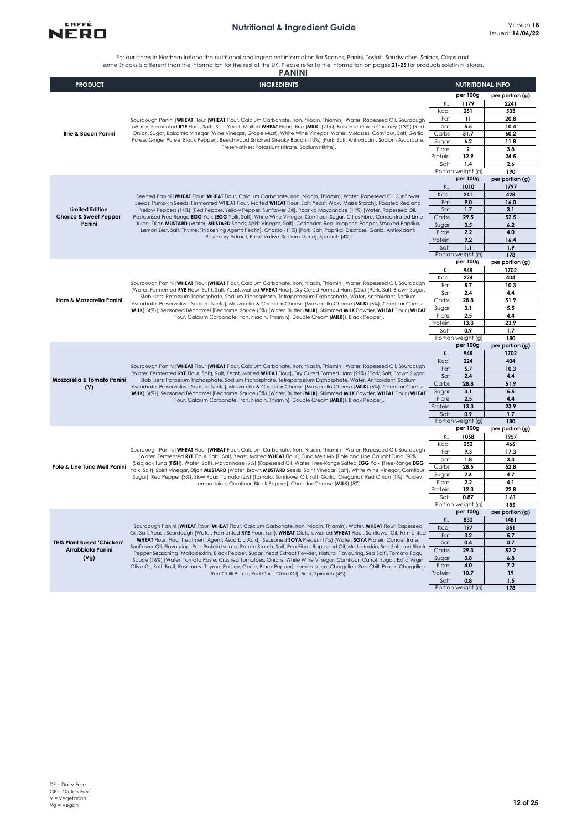

For our stores in Northern Ireland the nutritional and ingredient information for Scones, Panini, Tostati, Sandwiches, Salads, Crisps and<br>some Snacks is different than the information for the rest of the UK. Please refer t

|                                   | <b>PANINI</b>                                                                                                                                                                                                                                                                                                                                                                                                                                                                                                                                                                                                                                                                                                    |                  |                                |                        |
|-----------------------------------|------------------------------------------------------------------------------------------------------------------------------------------------------------------------------------------------------------------------------------------------------------------------------------------------------------------------------------------------------------------------------------------------------------------------------------------------------------------------------------------------------------------------------------------------------------------------------------------------------------------------------------------------------------------------------------------------------------------|------------------|--------------------------------|------------------------|
| <b>PRODUCT</b>                    | <b>INGREDIENTS</b>                                                                                                                                                                                                                                                                                                                                                                                                                                                                                                                                                                                                                                                                                               |                  | <b>NUTRITIONAL INFO</b>        |                        |
|                                   |                                                                                                                                                                                                                                                                                                                                                                                                                                                                                                                                                                                                                                                                                                                  |                  | per 100g                       | per portion (g)        |
|                                   |                                                                                                                                                                                                                                                                                                                                                                                                                                                                                                                                                                                                                                                                                                                  | ΚJ               | 1179                           | 2241                   |
|                                   |                                                                                                                                                                                                                                                                                                                                                                                                                                                                                                                                                                                                                                                                                                                  | Kcal<br>Fat      | 281<br>11                      | 533<br>20.8            |
|                                   | Sourdough Panini [WHEAT Flour (WHEAT Flour, Calcium Carbonate, Iron, Niacin, Thiamin), Water, Rapeseed Oil, Sourdough<br>(Water, Fermented RYE Flour, Salt), Salt, Yeast, Malted WHEAT Flour], Brie (MILK) (21%), Balsamic Onion Chutney (13%) [Red                                                                                                                                                                                                                                                                                                                                                                                                                                                              | Sat              | 5.5                            | 10.4                   |
| <b>Brie &amp; Bacon Panini</b>    | Onion, Sugar, Balsamic Vinegar (Wine Vinegar, Grape Must), White Wine Vinegar, Water, Molasses, Cornflour, Salt, Garlic                                                                                                                                                                                                                                                                                                                                                                                                                                                                                                                                                                                          | Carbs            | 31.7                           | 60.2                   |
|                                   | Purée, Ginger Purée, Black Pepper], Beechwood Smoked Streaky Bacon (10%) [Pork, Salt, Antioxidant: Sodium Ascorbate,                                                                                                                                                                                                                                                                                                                                                                                                                                                                                                                                                                                             | Sugar            | 6.2                            | 11.8                   |
|                                   | Preservatives: Potassium Nitrate, Sodium Nitrite].                                                                                                                                                                                                                                                                                                                                                                                                                                                                                                                                                                                                                                                               | Fibre            | $\mathbf{2}$                   | 3.8                    |
|                                   |                                                                                                                                                                                                                                                                                                                                                                                                                                                                                                                                                                                                                                                                                                                  | Protein<br>Salt  | 12.9<br>1.4                    | 24.5                   |
|                                   |                                                                                                                                                                                                                                                                                                                                                                                                                                                                                                                                                                                                                                                                                                                  |                  | Portion weight (g)             | 2.6<br>190             |
|                                   |                                                                                                                                                                                                                                                                                                                                                                                                                                                                                                                                                                                                                                                                                                                  |                  | per 100g                       | per portion (g)        |
|                                   |                                                                                                                                                                                                                                                                                                                                                                                                                                                                                                                                                                                                                                                                                                                  | KJ               | 1010                           | 1797                   |
|                                   | Seeded Panini [WHEAT Flour (WHEAT Flour, Calcium Carbonate, Iron, Niacin, Thiamin), Water, Rapeseed Oil, Sunflower                                                                                                                                                                                                                                                                                                                                                                                                                                                                                                                                                                                               | Kcal             | 241                            | 428                    |
| <b>Limited Edition</b>            | Seeds, Pumpkin Seeds, Fermented WHEAT Flour, Malted WHEAT Flour, Salt, Yeast, Waxy Maize Starch], Roasted Red and                                                                                                                                                                                                                                                                                                                                                                                                                                                                                                                                                                                                | Fat<br>Sat       | 9.0<br>1.7                     | 16.0<br>3.1            |
| <b>Chorizo &amp; Sweet Pepper</b> | Yellow Peppers (14%) [Red Pepper, Yellow Pepper, Sunflower Oil], Paprika Mayonnaise (11%) [Water, Rapeseed Oil,<br>Pasteurised Free Range EGG Yolk (EGG Yolk, Salt), White Wine Vinegar, Cornflour, Sugar, Citrus Fibre, Concentrated Lime                                                                                                                                                                                                                                                                                                                                                                                                                                                                       | Carbs            | 29.5                           | 52.5                   |
| Panini                            | Juice, Dijon MUSTARD (Water, MUSTARD Seeds, Spirit Vinegar, Salt), Coriander, Red Jalapeno Pepper, Smoked Paprika,                                                                                                                                                                                                                                                                                                                                                                                                                                                                                                                                                                                               | Sugar            | 3.5                            | 6.2                    |
|                                   | Lemon Zest, Salt, Thyme, Thickening Agent: Pectin], Chorizo (11%) [Pork, Salt, Paprika, Dextrose, Garlic, Antioxidant:                                                                                                                                                                                                                                                                                                                                                                                                                                                                                                                                                                                           | Fibre            | 2.2                            | 4.0                    |
|                                   | Rosemary Extract, Preservative: Sodium Nitrite], Spinach (4%).                                                                                                                                                                                                                                                                                                                                                                                                                                                                                                                                                                                                                                                   | Protein          | 9.2                            | 16.4                   |
|                                   |                                                                                                                                                                                                                                                                                                                                                                                                                                                                                                                                                                                                                                                                                                                  | Salt             | 1.1<br>Portion weight (g)      | 1.9<br>178             |
|                                   |                                                                                                                                                                                                                                                                                                                                                                                                                                                                                                                                                                                                                                                                                                                  |                  | per 100g                       | per portion (g)        |
|                                   |                                                                                                                                                                                                                                                                                                                                                                                                                                                                                                                                                                                                                                                                                                                  | ΚJ               | 945                            | 1702                   |
|                                   | Sourdough Panini [WHEAT Flour (WHEAT Flour, Calcium Carbonate, Iron, Niacin, Thiamin), Water, Rapeseed Oil, Sourdough<br>(Water, Fermented RYE Flour, Salt), Salt, Yeast, Malted WHEAT Flour], Dry Cured Formed Ham (22%) [Pork, Salt, Brown Sugar,<br>Stabilisers: Potassium Triphosphate, Sodium Triphosphate, Tetrapotassium Diphosphate, Water, Antioxidant: Sodium<br>Ascorbate, Preservative: Sodium Nitrite], Mozzarella & Cheddar Cheese [Mozzarella Cheese (MILK) (6%), Cheddar Cheese<br>(MILK) (4%)], Seasoned Béchamel [Béchamel Sauce (8%) (Water, Butter (MILK), Skimmed MILK Powder, WHEAT Flour (WHEAT<br>Flour, Calcium Carbonate, Iron, Niacin, Thiamin), Double Cream (MILK)), Black Pepper]. | Kcal             | 224                            | 404                    |
|                                   |                                                                                                                                                                                                                                                                                                                                                                                                                                                                                                                                                                                                                                                                                                                  | Fat              | 5.7                            | 10.3                   |
|                                   |                                                                                                                                                                                                                                                                                                                                                                                                                                                                                                                                                                                                                                                                                                                  | Sat              | 2.4                            | 4.4                    |
| Ham & Mozzarella Panini           |                                                                                                                                                                                                                                                                                                                                                                                                                                                                                                                                                                                                                                                                                                                  | Carbs<br>Sugar   | 28.8<br>3.1                    | 51.9<br>5.5            |
|                                   |                                                                                                                                                                                                                                                                                                                                                                                                                                                                                                                                                                                                                                                                                                                  | Fibre            | 2.5                            | 4.4                    |
|                                   |                                                                                                                                                                                                                                                                                                                                                                                                                                                                                                                                                                                                                                                                                                                  | Protein          | 13.3                           | 23.9                   |
|                                   |                                                                                                                                                                                                                                                                                                                                                                                                                                                                                                                                                                                                                                                                                                                  | Salt             | 0.9                            | 1.7                    |
|                                   |                                                                                                                                                                                                                                                                                                                                                                                                                                                                                                                                                                                                                                                                                                                  |                  | Portion weight (g)<br>per 100g | 180<br>per portion (g) |
|                                   |                                                                                                                                                                                                                                                                                                                                                                                                                                                                                                                                                                                                                                                                                                                  | KJ               | 945                            | 1702                   |
|                                   |                                                                                                                                                                                                                                                                                                                                                                                                                                                                                                                                                                                                                                                                                                                  | Kcal             | 224                            | 404                    |
|                                   | Sourdough Panini [WHEAT Flour (WHEAT Flour, Calcium Carbonate, Iron, Niacin, Thiamin), Water, Rapeseed Oil, Sourdough                                                                                                                                                                                                                                                                                                                                                                                                                                                                                                                                                                                            | Fat              | 5.7                            | 10.3                   |
| Mozzarella & Tomato Panini        | (Water, Fermented RYE Flour, Salt), Salt, Yeast, Malted WHEAT Flour], Dry Cured Formed Ham (22%) [Pork, Salt, Brown Sugar,<br>Stabilisers: Potassium Triphosphate, Sodium Triphosphate, Tetrapotassium Diphosphate, Water, Antioxidant: Sodium                                                                                                                                                                                                                                                                                                                                                                                                                                                                   | Sat              | 2.4                            | 4.4                    |
| (V)                               | Ascorbate, Preservative: Sodium Nitrite], Mozzarella & Cheddar Cheese [Mozzarella Cheese (MILK) (6%), Cheddar Cheese                                                                                                                                                                                                                                                                                                                                                                                                                                                                                                                                                                                             | Carbs            | 28.8                           | 51.9                   |
|                                   | (MILK) (4%)], Seasoned Béchamel [Béchamel Sauce (8%) (Water, Butter (MILK), Skimmed MILK Powder, WHEAT Flour (WHEAT                                                                                                                                                                                                                                                                                                                                                                                                                                                                                                                                                                                              | Sugar<br>Fibre   | 3.1<br>2.5                     | 5.5<br>4.4             |
|                                   | Flour, Calcium Carbonate, Iron, Niacin, Thiamin), Double Cream (MILK)), Black Pepper].                                                                                                                                                                                                                                                                                                                                                                                                                                                                                                                                                                                                                           | Protein          | 13.3                           | 23.9                   |
|                                   |                                                                                                                                                                                                                                                                                                                                                                                                                                                                                                                                                                                                                                                                                                                  | Salt             | 0.9                            | 1.7                    |
|                                   |                                                                                                                                                                                                                                                                                                                                                                                                                                                                                                                                                                                                                                                                                                                  |                  | Portion weight (g)             | 180                    |
|                                   |                                                                                                                                                                                                                                                                                                                                                                                                                                                                                                                                                                                                                                                                                                                  |                  | per 100g<br>1058               | per portion (g)        |
|                                   |                                                                                                                                                                                                                                                                                                                                                                                                                                                                                                                                                                                                                                                                                                                  | ΚJ<br>Kcal       | 252                            | 1957<br>466            |
|                                   | Sourdough Panini [WHEAT Flour (WHEAT Flour, Calcium Carbonate, Iron, Niacin, Thiamin), Water, Rapeseed Oil, Sourdough                                                                                                                                                                                                                                                                                                                                                                                                                                                                                                                                                                                            | Fat              | 9.3                            | 17.3                   |
|                                   | (Water, Fermented RYE Flour, Salt), Salt, Yeast, Malted WHEAT Flour), Tuna Melt Mix [Pole and Line Caught Tuna (20%)<br>(Skipjack Tuna (FISH), Water, Salt), Mayonnaise (9%) (Rapeseed Oil, Water, Free-Range Salted EGG Yolk (Free-Range EGG                                                                                                                                                                                                                                                                                                                                                                                                                                                                    | Sat              | 1.8                            | 3.3                    |
| Pole & Line Tuna Melt Panini      | Yolk, Salt), Spirit Vinegar, Dijon MUSTARD (Water, Brown MUSTARD Seeds, Spirit Vinegar, Salt), White Wine Vinegar, Cornflour,                                                                                                                                                                                                                                                                                                                                                                                                                                                                                                                                                                                    | Carbs            | 28.5                           | 52.8                   |
|                                   | Sugar), Red Pepper (3%), Slow Roast Tomato (2%) (Tomato, Sunflower Oil, Salt, Garlic, Oregano), Red Onion (1%), Parsley,                                                                                                                                                                                                                                                                                                                                                                                                                                                                                                                                                                                         | Sugar            | 2.6<br>2,2                     | 4.7<br>4.1             |
|                                   | Lemon Juice, Cornflour, Black Pepper], Cheddar Cheese (MILK) (5%).                                                                                                                                                                                                                                                                                                                                                                                                                                                                                                                                                                                                                                               | Fibre<br>Protein | 12.3                           | 22.8                   |
|                                   |                                                                                                                                                                                                                                                                                                                                                                                                                                                                                                                                                                                                                                                                                                                  | Salt             | 0.87                           | 1.61                   |
|                                   |                                                                                                                                                                                                                                                                                                                                                                                                                                                                                                                                                                                                                                                                                                                  |                  | Portion weight (g)             | 185                    |
|                                   |                                                                                                                                                                                                                                                                                                                                                                                                                                                                                                                                                                                                                                                                                                                  |                  | per 100g                       | per portion (g)        |
|                                   | Sourdough Panini [WHEAT Flour (WHEAT Flour, Calcium Carbonate, Iron, Niacin, Thiamin), Water, WHEAT Flour, Rapeseed                                                                                                                                                                                                                                                                                                                                                                                                                                                                                                                                                                                              | KJ<br>Kcal       | 832<br>197                     | 1481<br>351            |
|                                   | Oil, Salt, Yeast, Sourdough (Water, Fermented RYE Flour, Salt), WHEAT Gluten, Malted WHEAT Flour, Sunflower Oil, Fermented                                                                                                                                                                                                                                                                                                                                                                                                                                                                                                                                                                                       | Fat              | 3.2                            | 5.7                    |
| <b>THIS Plant Based 'Chicken'</b> | WHEAT Flour, Flour Treatment Agent: Ascorbic Acid], Seasoned SOYA Pieces (17%) [Water, SOYA Protein Concentrate,<br>Sunflower Oil, Flavouring, Pea Protein Isolate, Potato Starch, Salt, Pea Fibre, Rapeseed Oil, Maltodextrin, Sea Salt and Black                                                                                                                                                                                                                                                                                                                                                                                                                                                               | Sat              | 0.4                            | 0.7                    |
| Arrabbiata Panini                 | Pepper Seasoning [Maltodextrin, Black Pepper, Sugar, Yeast Extract Powder, Natural Flavouring, Sea Salt], Tomato Ragu                                                                                                                                                                                                                                                                                                                                                                                                                                                                                                                                                                                            | Carbs            | 29.3                           | 52.2                   |
| (Vg)                              | Sauce (16%) [Water, Tomato Paste, Crushed Tomatoes, Onions, White Wine Vinegar, Cornflour, Carrot, Sugar, Extra Virgin                                                                                                                                                                                                                                                                                                                                                                                                                                                                                                                                                                                           | Sugar            | 3.8                            | 6.8                    |
|                                   | Olive Oil, Salt, Basil, Rosemary, Thyme, Parsley, Garlic, Black Pepper], Lemon Juice, Chargrilled Red Chilli Puree [Chargrilled<br>Red Chilli Puree, Red Chilli, Olive Oil], Basil, Spinach (4%).                                                                                                                                                                                                                                                                                                                                                                                                                                                                                                                | Fibre<br>Protein | 4.0<br>10.7                    | 7.2<br>19              |
|                                   |                                                                                                                                                                                                                                                                                                                                                                                                                                                                                                                                                                                                                                                                                                                  | Salt             | 0.8                            | 1.5                    |
|                                   |                                                                                                                                                                                                                                                                                                                                                                                                                                                                                                                                                                                                                                                                                                                  |                  | Portion weight (g)             | 178                    |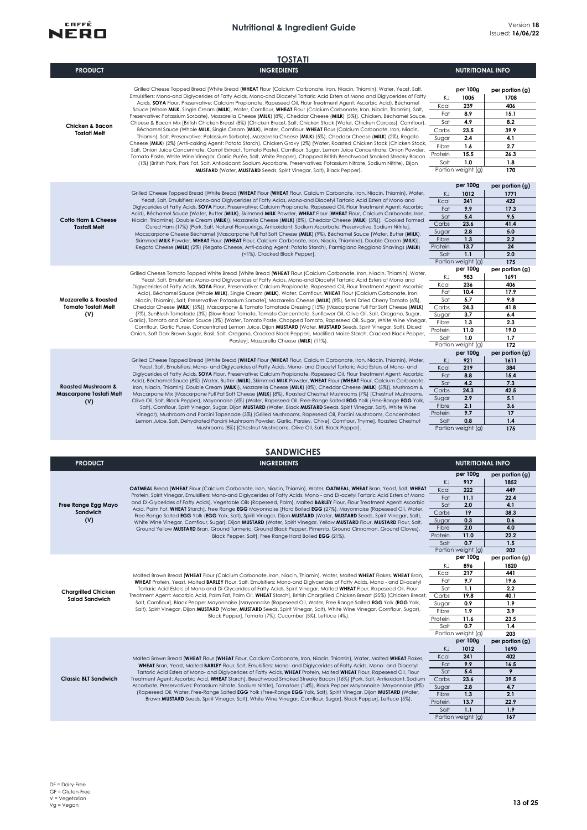

|                                                                      | <b>TOSTATI</b>                                                                                                                                                                                                                                                                                                                                                                                                                                                                                                                                                                                                                                                                                                                                                                                                                                                                                                                                                                                                                                                                                                                                                                                                                                                                                                                                                                                                                                                                                                                                                                              |                                                                        |                                                                                                                       |                                                                                                  |
|----------------------------------------------------------------------|---------------------------------------------------------------------------------------------------------------------------------------------------------------------------------------------------------------------------------------------------------------------------------------------------------------------------------------------------------------------------------------------------------------------------------------------------------------------------------------------------------------------------------------------------------------------------------------------------------------------------------------------------------------------------------------------------------------------------------------------------------------------------------------------------------------------------------------------------------------------------------------------------------------------------------------------------------------------------------------------------------------------------------------------------------------------------------------------------------------------------------------------------------------------------------------------------------------------------------------------------------------------------------------------------------------------------------------------------------------------------------------------------------------------------------------------------------------------------------------------------------------------------------------------------------------------------------------------|------------------------------------------------------------------------|-----------------------------------------------------------------------------------------------------------------------|--------------------------------------------------------------------------------------------------|
| <b>PRODUCT</b>                                                       | <b>INGREDIENTS</b>                                                                                                                                                                                                                                                                                                                                                                                                                                                                                                                                                                                                                                                                                                                                                                                                                                                                                                                                                                                                                                                                                                                                                                                                                                                                                                                                                                                                                                                                                                                                                                          |                                                                        | <b>NUTRITIONAL INFO</b>                                                                                               |                                                                                                  |
| <b>Chicken &amp; Bacon</b><br><b>Tostati Melt</b>                    | Grilled Cheese Topped Bread [White Bread (WHEAT Flour (Calcium Carbonate, Iron, Niacin, Thiamin), Water, Yeast, Salt,<br>Emulsifiers: Mono-and Diglycerides of Fatty Acids, Mono-and Diacetyl Tartaric Acid Esters of Mono and Diglycerides of Fatty<br>Acids, SOYA Flour, Preservative: Calcium Propionate, Rapeseed Oil, Flour Treatment Agent: Ascorbic Acid), Béchamel<br>Sauce (Whole MILK, Single Cream (MILK), Water, Cornflour, WHEAT Flour (Calcium Carbonate, Iron, Niacin, Thiamin), Salt,<br>Preservative: Potassium Sorbate), Mozzarella Cheese (MILK) (8%), Cheddar Cheese (MILK) (5%)], Chicken, Béchamel Sauce,<br>Cheese & Bacon Mix [British Chicken Breast (8%) (Chicken Breast, Salt, Chicken Stock (Water, Chicken Carcass), Cornflour),<br>Béchamel Sauce (Whole MILK, Single Cream (MILK), Water, Cornflour, WHEAT Flour (Calcium Carbonate, Iron, Niacin,<br>Thiamin), Salt, Preservative: Potassium Sorbate), Mozzarella Cheese (MILK) (5%), Cheddar Cheese (MILK) (2%), Regato<br>Cheese (MILK) (2%) (Anti-caking Agent: Potato Starch), Chicken Gravy (2%) (Water, Roasted Chicken Stock (Chicken Stock,<br>Salt, Onion Juice Concentrate, Carrot Extract, Tomato Paste), Cornflour, Sugar, Lemon Juice Concentrate, Onion Powder,<br>Tomato Paste, White Wine Vinegar, Garlic Purée, Salt, White Pepper), Chopped British Beechwood Smoked Streaky Bacon<br>(1%) (British Pork, Pork Fat, Salt, Antioxidant: Sodium Ascorbate, Preservatives: Potassium Nitrate, Sodium Nitrite), Dijon<br>MUSTARD (Water, MUSTARD Seeds, Spirit Vinegar, Salt), Black Pepper]. | ΚJ<br>Kcal<br>Fat<br>Sat<br>Carbs<br>Sugar<br>Fibre<br>Protein<br>Salt | per 100g<br>1005<br>239<br>8.9<br>4.9<br>23.5<br>2.4<br>1.6<br>15.5<br>1.0<br>Portion weight (g)                      | per portion (g)<br>1708<br>406<br>15.1<br>8.2<br>39.9<br>4.1<br>2.7<br>26.3<br>1.8<br>170        |
| <b>Cotto Ham &amp; Cheese</b><br><b>Tostati Melt</b>                 | Grilled Cheese Topped Bread [White Bread (WHEAT Flour (WHEAT Flour, Calcium Carbonate, Iron, Niacin, Thiamin), Water,<br>Yeast, Salt, Emulsifiers: Mono-and Diglycerides of Fatty Acids, Mono-and Diacetyl Tartaric Acid Esters of Mono and<br>Diglycerides of Fatty Acids, SOYA Flour, Preservative: Calcium Propionate, Rapeseed Oil, Flour Treatment Agent: Ascorbic<br>Acid), Béchamel Sauce (Water, Butter (MILK), Skimmed MILK Powder, WHEAT Flour (WHEAT Flour, Calcium Carbonate, Iron,<br>Niacin, Thiamine), Double Cream (MILK)), Mozzarella Cheese (MILK) (8%), Cheddar Cheese (MILK) (5%)], Cooked Formed<br>Cured Ham (17%) [Pork, Salt, Natural Flavourings, Antioxidant: Sodium Ascorbate, Preservative: Sodium Nitritel,<br>Macscarpone Cheese Béchamel [Mascarpone Full Fat Soft Cheese (MILK) (9%), Béchamel Sauce (Water, Butter (MILK),<br>Skimmed MILK Powder, WHEAT Flour (WHEAT Flour, Calcium Carbonate, Iron, Niacin, Thiamine), Double Cream (MILK)),<br>Regato Cheese (MILK) (2%) (Regato Cheese, Anti-caking Agent: Potato Starch), Parmigiano Reggiano Shavings (MILK)<br>(<1%), Cracked Black Pepper].                                                                                                                                                                                                                                                                                                                                                                                                                                                        | ΚJ<br>Kcal<br>Fat<br>Sat<br>Carbs<br>Sugar<br>Fibre<br>Protein<br>Salt | per 100g<br>1012<br>241<br>9.9<br>5.4<br>23.6<br>2.8<br>1.3<br>13.7<br>1.1<br>Portion weight (g)                      | per portion (g)<br>1771<br>422<br>17.3<br>9.5<br>41.4<br>5.0<br>2.2<br>24<br>2.0<br>175          |
| <b>Mozzarella &amp; Roasted</b><br><b>Tomato Tostati Melt</b><br>(V) | Grilled Cheese Tomato Topped White Bread [White Bread (WHEAT Flour (Calcium Carbonate, Iron, Niacin, Thiamin), Water,<br>Yeast, Salt, Emulsifiers: Mono-and Diglycerides of Fatty Acids, Mono-and Diacetyl Tartaric Acid Esters of Mono and<br>Diglycerides of Fatty Acids, SOYA Flour, Preservative: Calcium Propionate, Rapeseed Oil, Flour Treatment Agent: Ascorbic<br>Acid), Béchamel Sauce (Whole MILK), Single Cream (MILK), Water, Cornflour, WHEAT Flour (Calcium Carbonate, Iron,<br>Niacin, Thiamin), Salt, Preservative: Potassium Sorbate], Mozzarella Cheese (MILK) (8%), Semi Dried Cherry Tomato (6%),<br>Cheddar Cheese (MILK) (5%)], Mascarpone & Tomato Tomatade Dressing (15%) [Mascarpone Full Fat Soft Cheese (MILK)<br>(7%), SunBlush Tomatade (3%) (Slow Roast Tomato, Tomato Concentrate, Sunflower Oil, Olive Oil, Salt, Oregano, Sugar,<br>Garlic), Tomato and Onion Sauce (3%) (Water, Tomato Paste, Chopped Tomato, Rapeseed Oil, Sugar, White Wine Vinegar,<br>Cornflour, Garlic Puree, Concentrated Lemon Juice, Dijon MUSTARD (Water, MUSTARD Seeds, Spirit Vinegar, Salt), Diced<br>Onion, Soft Dark Brown Sugar, Basil, Salt, Oregano, Cracked Black Pepper), Modified Maize Starch, Cracked Black Pepper,<br>Parsley], Mozzarella Cheese (MILK) (11%).                                                                                                                                                                                                                                                                                                   | ΚJ<br>Kcal<br>Fat<br>Sat<br>Carbs<br>Sugar<br>Fibre<br>Protein<br>Salt | per 100g<br>983<br>236<br>10.4<br>5.7<br>24.3<br>3.7<br>1.3<br>11.0<br>1.0<br>Portion weight (g)                      | per portion (g)<br>1691<br>406<br>17.9<br>9.8<br>41.8<br>6.4<br>2.3<br>19.0<br>1.7<br>172        |
| <b>Roasted Mushroom &amp;</b><br>Mascarpone Tostati Melt<br>(V)      | Grilled Cheese Topped Bread [White Bread (WHEAT Flour (WHEAT Flour, Calcium Carbonate, Iron, Niacin, Thiamin), Water,<br>Yeast, Salt, Emulsifiers: Mono- and Diglycerides of Fatty Acids, Mono- and Diacetyl Tartaric Acid Esters of Mono- and<br>Diglycerides of Fatty Acids, SOYA Flour, Preservative: Calcium Propionate, Rapeseed Oil, Flour Treatment Agent: Ascorbic<br>Acid), Béchamel Sauce (8%) (Water, Butter (MILK), Skimmed MILK Powder, WHEAT Flour (WHEAT Flour, Calcium Carbonate,<br>Iron, Niacin, Thiamin), Double Cream (MILK)), Mozzarella Cheese (MILK) (8%), Cheddar Cheese (MILK) (5%)], Mushroom &<br>Mascarpone Mix [Mascarpone Full Fat Soft Cheese (MILK) (8%), Roasted Chestnut Mushrooms (7%) (Chestnut Mushrooms,<br>Olive Oil, Salt, Black Pepper), Mayonnaise (6%) (Water, Rapeseed Oil, Free-Range Salted EGG Yolk (Free-Range EGG Yolk,<br>Salt), Cornflour, Spirit Vinegar, Sugar, Dijon MUSTARD (Water, Black MUSTARD Seeds, Spirit Vinegar, Salt), White Wine<br>Vinegar), Mushroom and Porcini Tapenade (3%) (Grilled Mushrooms, Rapeseed Oil, Porcini Mushrooms, Concentrated<br>Lemon Juice, Salt, Dehydrated Porcini Mushroom Powder, Garlic, Parsley, Chive), Cornflour, Thyme], Roasted Chestnut<br>Mushrooms (8%) [Chestnut Mushrooms, Olive Oil, Salt, Black Pepper].                                                                                                                                                                                                                                                                           | KJ<br>Kcal<br>Fat<br>Sat<br>Carbs<br>Sugar<br>Fibre<br>Protein<br>Salt | per 100g<br>921<br>219<br>8.8<br>4.2<br>24.3<br>2.9<br>2.1<br>9.7<br>0.8<br>Portion weight (g)                        | per portion (g)<br>1611<br>384<br>15.4<br>7.3<br>42.5<br>5.1<br>3.6<br>17<br>1,4<br>175          |
|                                                                      | <b>SANDWICHES</b>                                                                                                                                                                                                                                                                                                                                                                                                                                                                                                                                                                                                                                                                                                                                                                                                                                                                                                                                                                                                                                                                                                                                                                                                                                                                                                                                                                                                                                                                                                                                                                           |                                                                        |                                                                                                                       |                                                                                                  |
| <b>PRODUCT</b>                                                       | <b>INGREDIENTS</b>                                                                                                                                                                                                                                                                                                                                                                                                                                                                                                                                                                                                                                                                                                                                                                                                                                                                                                                                                                                                                                                                                                                                                                                                                                                                                                                                                                                                                                                                                                                                                                          |                                                                        | <b>NUTRITIONAL INFO</b>                                                                                               |                                                                                                  |
| Free Range Egg Mayo<br>Sandwich<br>(V)                               | OATMEAL Bread [WHEAT Flour (Calcium Carbonate, Iron, Niacin, Thiamin), Water, OATMEAL, WHEAT Bran, Yeast, Salt, WHEAT<br>Protein, Spirit Vinegar, Emulsifiers: Mono-and Diglycerides of Fatty Acids, Mono - and Di-acetyl Tartaric Acid Esters of Mono<br>and Di-Glycerides of Fatty Acids), Vegetable Oils (Rapeseed, Palm), Malted BARLEY Flour, Flour Treatment Agent: Ascorbic<br>Acid, Palm Fat, WHEAT Starch], Free Range EGG Mayonnaise [Hard Boiled EGG (27%), Mayonnaise (Rapeseed Oil, Water,<br>Free Range Salted EGG Yolk (EGG Yolk, Salt), Spirit Vinegar, Dijon MUSTARD (Water, MUSTARD Seeds, Spirit Vinegar, Salt),<br>White Wine Vinegar, Cornflour, Sugar), Dijon MUSTARD (Water, Spirit Vinegar, Yellow MUSTARD Flour, MUSTARD Flour, Salt,<br>Ground Yellow MUSTARD Bran, Ground Turmeric, Ground Black Pepper, Pimento, Ground Cinnamon, Ground Cloves),<br>Black Pepper, Salt], Free Range Hard Boiled EGG (21%).                                                                                                                                                                                                                                                                                                                                                                                                                                                                                                                                                                                                                                                     | KJ<br>Kcal<br>Fat<br>Sat<br>Carbs<br>Sugar<br>Fibre<br>Protein<br>Salt | per 100g<br>917<br>222<br>11.1<br>2.0<br>19<br>0.3<br>2.0<br>11.0<br>0.7                                              | per portion (g)<br>1852<br>449<br>22.4<br>4.1<br>38.3<br>0.6<br>4.0<br>22.2<br>1.5               |
| <b>Chargrilled Chicken</b><br><b>Salad Sandwich</b>                  | Malted Brown Bread [WHEAT Flour (Calcium Carbonate, Iron, Niacin, Thiamin), Water, Malted WHEAT Flakes, WHEAT Bran,<br>WHEAT Protein, Yeast, Malted BARLEY Flour, Salt, Emulsifiers: Mono-and Diglycerides of Fatty Acids, Mono - and Di-acetyl<br>Tartaric Acid Esters of Mono and Di-Glycerides of Fatty Acids, Spirit Vinegar, Malted WHEAT Flour, Rapeseed Oil, Flour<br>Treatment Agent: Ascorbic Acid, Palm Fat, Palm Oil, WHEAT Starch], British Chargrilled Chicken Breast (25%) [Chicken Breast,<br>Salt, Cornflour], Black Pepper Mayonnaise [Mayonnaise (Rapeseed Oil, Water, Free Range Salted EGG Yolk (EGG Yolk,<br>Salt), Spirit Vinegar, Dijon MUSTARD (Water, MUSTARD Seeds, Spirit Vinegar, Salt), White Wine Vinegar, Cornflour, Sugar),<br>Black Pepper], Tomato (7%), Cucumber (5%), Lettuce (4%).                                                                                                                                                                                                                                                                                                                                                                                                                                                                                                                                                                                                                                                                                                                                                                     | ΚJ<br>Kcal<br>Fat<br>Sat<br>Carbs<br>Sugar<br>Fibre<br>Protein<br>Salt | Portion weight (g)<br>per 100g<br>896<br>217<br>9.7<br>1.1<br>19.8<br>0.9<br>1.9<br>11.6<br>0.7<br>Portion weight (g) | 202<br>per portion (g)<br>1820<br>441<br>19.6<br>2.2<br>40.1<br>1.9<br>3.9<br>23.5<br>1.4<br>203 |
| <b>Classic BLT Sandwich</b>                                          | Malted Brown Bread [WHEAT Flour (WHEAT Flour, Calcium Carbonate, Iron, Niacin, Thiamin), Water, Malted WHEAT Flakes,<br>WHEAT Bran, Yeast, Malted BARLEY Flour, Salt, Emulsifiers: Mono- and Diglycerides of Fatty Acids, Mono- and Diacetyl<br>Tartaric Acid Esters of Mono- and Diglycerides of Fatty Acids, WHEAT Protein, Malted WHEAT Flour, Rapeseed Oil, Flour<br>Treatment Agent: Ascorbic Acid, WHEAT Starch], Beechwood Smoked Streaky Bacon (16%) [Pork, Salt, Antioxidant: Sodium<br>Ascorbate, Preservatives: Potassium Nitrate, Sodium Nitrite], Tomatoes (14%), Black Pepper Mayonnaise [Mayonnaise (8%)<br>(Rapeseed Oil, Water, Free-Range Salted EGG Yolk (Free-Range EGG Yolk, Salt), Spirit Vinegar, Dijon MUSTARD (Water,<br>Brown MUSTARD Seeds, Spirit Vinegar, Salt), White Wine Vinegar, Cornflour, Sugar), Black Pepper], Lettuce (5%).                                                                                                                                                                                                                                                                                                                                                                                                                                                                                                                                                                                                                                                                                                                           | ΚJ<br>Kcal<br>Fat<br>Sat<br>Carbs<br>Sugar<br>Fibre<br>Protein<br>Salt | per 100g<br>1012<br>241<br>9.9<br>5.4<br>23.6<br>2.8<br>1.3<br>13.7<br>1.1<br>Portion weight (g)                      | per portion (g)<br>1690<br>402<br>16.5<br>9<br>39.5<br>4.7<br>2.1<br>22.9<br>1.9<br>167          |
|                                                                      |                                                                                                                                                                                                                                                                                                                                                                                                                                                                                                                                                                                                                                                                                                                                                                                                                                                                                                                                                                                                                                                                                                                                                                                                                                                                                                                                                                                                                                                                                                                                                                                             |                                                                        |                                                                                                                       |                                                                                                  |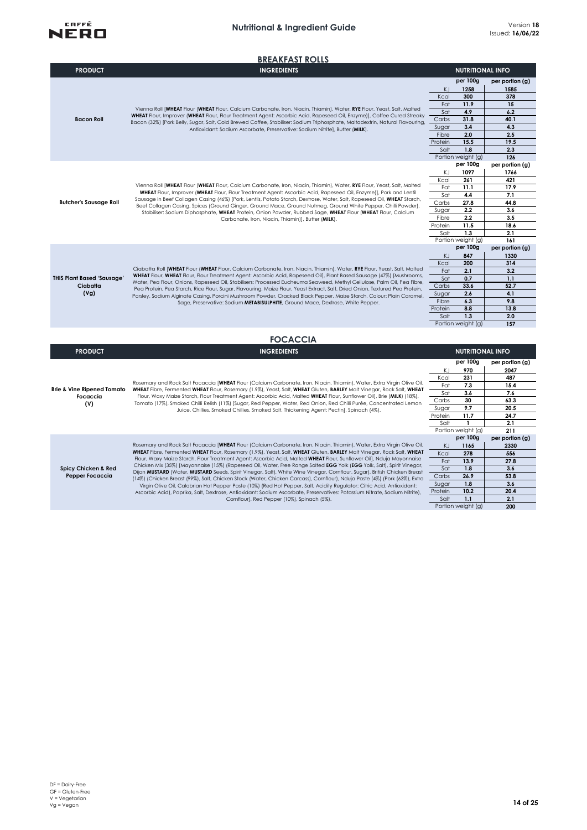

|                                                          | <b>BREAKFAST ROLLS</b>                                                                                                                                                                                                                                                                                                                                                                                                                                                                                                                                                                                                                                                                                                                                                                                                                                                                                                                                                                                                                                               |                                                                        |                                                                                                   |                                                                                           |
|----------------------------------------------------------|----------------------------------------------------------------------------------------------------------------------------------------------------------------------------------------------------------------------------------------------------------------------------------------------------------------------------------------------------------------------------------------------------------------------------------------------------------------------------------------------------------------------------------------------------------------------------------------------------------------------------------------------------------------------------------------------------------------------------------------------------------------------------------------------------------------------------------------------------------------------------------------------------------------------------------------------------------------------------------------------------------------------------------------------------------------------|------------------------------------------------------------------------|---------------------------------------------------------------------------------------------------|-------------------------------------------------------------------------------------------|
| <b>PRODUCT</b>                                           | <b>INGREDIENTS</b>                                                                                                                                                                                                                                                                                                                                                                                                                                                                                                                                                                                                                                                                                                                                                                                                                                                                                                                                                                                                                                                   |                                                                        | <b>NUTRITIONAL INFO</b>                                                                           |                                                                                           |
| <b>Bacon Roll</b>                                        | Vienna Roll [WHEAT Flour (WHEAT Flour, Calcium Carbonate, Iron, Niacin, Thiamin), Water, RYE Flour, Yeast, Salt, Malted<br>WHEAT Flour, Improver (WHEAT Flour, Flour Treatment Agent: Ascorbic Acid, Rapeseed Oil, Enzyme)], Coffee Cured Streaky<br>Bacon (32%) [Pork Belly, Sugar, Salt, Cold Brewed Coffee, Stabiliser: Sodium Triphosphate, Maltodextrin, Natural Flavouring,<br>Antioxidant: Sodium Ascorbate, Preservative: Sodium Nitrite], Butter (MILK).                                                                                                                                                                                                                                                                                                                                                                                                                                                                                                                                                                                                    | KJ<br>Kcal<br>Fat<br>Sat<br>Carbs<br>Sugar<br>Fibre<br>Protein<br>Salt | per 100g<br>1258<br>300<br>11.9<br>4.9<br>31.8<br>3.4<br>2.0<br>15.5<br>1.8<br>Portion weight (g) | per portion (g)<br>1585<br>378<br>15<br>6.2<br>40.1<br>4.3<br>2.5<br>19.5<br>2.3<br>126   |
| <b>Butcher's Sausage Roll</b>                            | Vienna Roll [WHEAT Flour (WHEAT Flour, Calcium Carbonate, Iron, Niacin, Thiamin), Water, RYE Flour, Yeast, Salt, Malted<br>WHEAT Flour, Improver (WHEAT Flour, Flour Treatment Agent: Ascorbic Acid, Rapeseed Oil, Enzyme)], Pork and Lentil<br>Sausage in Beef Collagen Casing (46%) [Pork, Lentils, Potato Starch, Dextrose, Water, Salt, Rapeseed Oil, WHEAT Starch,<br>Beef Collagen Casing, Spices (Ground Ginger, Ground Mace, Ground Nutmeg, Ground White Pepper, Chilli Powder),<br>Stabiliser: Sodium Diphosphate, WHEAT Protein, Onion Powder, Rubbed Sage, WHEAT Flour (WHEAT Flour, Calcium<br>Carbonate, Iron, Niacin, Thiamin)], Butter (MILK).                                                                                                                                                                                                                                                                                                                                                                                                        | ΚJ<br>Kcal<br>Fat<br>Sat<br>Carbs<br>Sugar<br>Fibre<br>Protein<br>Salt | per 100g<br>1097<br>261<br>11.1<br>4.4<br>27.8<br>2.2<br>2.2<br>11.5<br>1.3<br>Portion weight (g) | per portion (g)<br>1766<br>421<br>17.9<br>7.1<br>44.8<br>3.6<br>3.5<br>18.6<br>2.1<br>161 |
| <b>THIS Plant Based 'Sausage'</b><br>Ciabatta<br>(Vg)    | Ciabatta Roll [WHEAT Flour (WHEAT Flour, Calcium Carbonate, Iron, Niacin, Thiamin), Water, RYE Flour, Yeast, Salt, Malted<br>WHEAT Flour, WHEAT Flour, Flour Treatment Agent: Ascorbic Acid, Rapeseed Oil), Plant Based Sausage (47%) [Mushrooms,<br>Water, Pea Flour, Onions, Rapeseed Oil, Stabilisers: Processed Eucheuma Seaweed, Methyl Cellulose, Palm Oil, Pea Fibre,<br>Pea Protein, Pea Starch, Rice Flour, Sugar, Flavouring, Maize Flour, Yeast Extract, Salt, Dried Onion, Textured Pea Protein,<br>Parsley, Sodium Alginate Casing, Porcini Mushroom Powder, Cracked Black Pepper, Maize Starch, Colour: Plain Caramel,<br>Sage, Preservative: Sodium METABISULPHITE, Ground Mace, Dextrose, White Pepper.                                                                                                                                                                                                                                                                                                                                              | KJ<br>Kcal<br>Fat<br>Sat<br>Carbs<br>Sugar<br>Fibre<br>Protein<br>Salt | per 100g<br>847<br>200<br>2.1<br>0.7<br>33.6<br>2.6<br>6.3<br>8.8<br>1.3<br>Portion weight (g)    | per portion (g)<br>1330<br>314<br>3.2<br>1.1<br>52.7<br>4.1<br>9.8<br>13.8<br>2.0<br>157  |
|                                                          | <b>FOCACCIA</b>                                                                                                                                                                                                                                                                                                                                                                                                                                                                                                                                                                                                                                                                                                                                                                                                                                                                                                                                                                                                                                                      |                                                                        |                                                                                                   |                                                                                           |
| <b>PRODUCT</b>                                           | <b>INGREDIENTS</b>                                                                                                                                                                                                                                                                                                                                                                                                                                                                                                                                                                                                                                                                                                                                                                                                                                                                                                                                                                                                                                                   |                                                                        | <b>NUTRITIONAL INFO</b>                                                                           |                                                                                           |
| <b>Brie &amp; Vine Ripened Tomato</b><br>Focaccia<br>(V) | Rosemary and Rock Salt Focaccia [WHEAT Flour (Calcium Carbonate, Iron, Niacin, Thiamin), Water, Extra Virgin Olive Oil,<br>WHEAT Fibre, Fermented WHEAT Flour, Rosemary (1.9%), Yeast, Salt, WHEAT Gluten, BARLEY Malt Vinegar, Rock Salt, WHEAT<br>Flour, Waxy Maize Starch, Flour Treatment Agent: Ascorbic Acid, Malted WHEAT Flour, Sunflower Oil), Brie (MILK) (18%),<br>Tomato (17%), Smoked Chilli Relish (11%) [Sugar, Red Pepper, Water, Red Onion, Red Chilli Purée, Concentrated Lemon<br>Juice, Chillies, Smoked Chillies, Smoked Salt, Thickening Agent: Pectin], Spinach (4%).                                                                                                                                                                                                                                                                                                                                                                                                                                                                         | KJ<br>Kcal<br>Fat<br>Sat<br>Carbs<br>Sugar<br>Protein<br>Salt          | per 100g<br>970<br>231<br>7.3<br>3.6<br>30<br>9.7<br>11.7<br>1<br>Portion weight (g)              | per portion (g)<br>2047<br>487<br>15.4<br>7.6<br>63.3<br>20.5<br>24.7<br>2.1<br>211       |
| Spicy Chicken & Red<br>Pepper Focaccia                   | Rosemary and Rock Salt Focaccia [WHEAT Flour (Calcium Carbonate, Iron, Niacin, Thiamin), Water, Extra Virgin Olive Oil,<br>WHEAT Fibre, Fermented WHEAT Flour, Rosemary (1.9%), Yeast, Salt, WHEAT Gluten, BARLEY Malt Vinegar, Rock Salt, WHEAT<br>Flour, Waxy Maize Starch, Flour Treatment Agent: Ascorbic Acid, Malted WHEAT Flour, Sunflower Oil], Nduja Mayonnaise<br>Chicken Mix (35%) [Mayonnaise (15%) (Rapeseed Oil, Water, Free Range Salted EGG Yolk (EGG Yolk, Salt), Spirit Vinegar,<br>Dijon MUSTARD (Water, MUSTARD Seeds, Spirit Vinegar, Salt), White Wine Vinegar, Cornflour, Sugar), British Chicken Breast<br>(14%) (Chicken Breast (99%), Salt, Chicken Stock (Water, Chicken Carcass), Cornflour), Nduja Paste (4%) (Pork (63%), Extra<br>Virgin Olive Oil, Calabrian Hot Pepper Paste (10%) (Red Hot Pepper, Salt, Acidity Regulator: Citric Acid, Antioxidant:<br>Ascorbic Acid), Paprika, Salt, Dextrose, Antioxidant: Sodium Ascorbate, Preservatives: Potassium Nitrate, Sodium Nitrite),<br>Cornflour], Red Pepper (10%), Spinach (5%). | KJ<br>Kcal<br>Fat<br>Sat<br>Carbs<br>Sugar<br>Protein<br>Salt          | per 100g<br>1165<br>278<br>13.9<br>1.8<br>26.9<br>1.8<br>10.2<br>1.1<br>Portion weight (g)        | per portion (g)<br>2330<br>556<br>27.8<br>3.6<br>53.8<br>3.6<br>20.4<br>2.1<br>200        |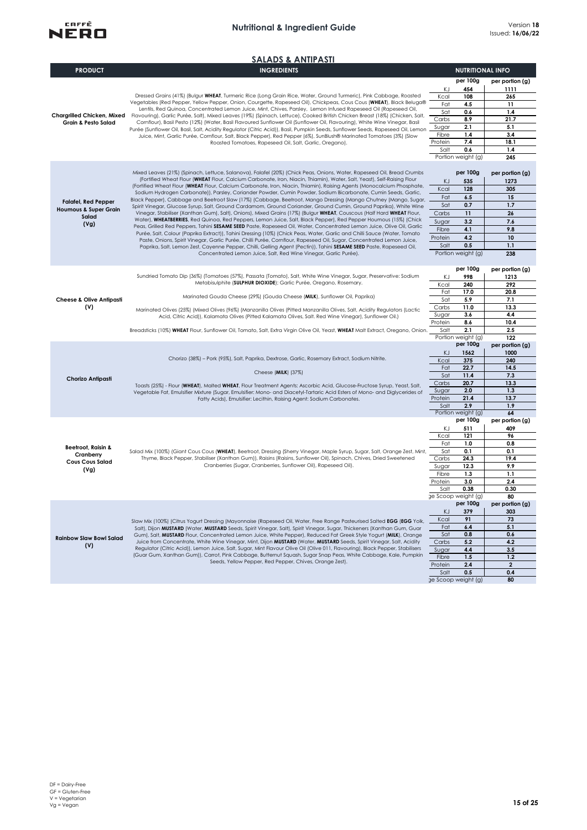

| <b>SALADS &amp; ANTIPASTI</b>       |                                                                                                                                                                                                                                                   |                  |                           |                        |
|-------------------------------------|---------------------------------------------------------------------------------------------------------------------------------------------------------------------------------------------------------------------------------------------------|------------------|---------------------------|------------------------|
| <b>PRODUCT</b>                      | <b>INGREDIENTS</b>                                                                                                                                                                                                                                |                  | <b>NUTRITIONAL INFO</b>   |                        |
|                                     |                                                                                                                                                                                                                                                   |                  | per 100g                  | per portion (g)        |
|                                     | Dressed Grains (41%) (Bulgur WHEAT, Turmeric Rice (Long Grain Rice, Water, Ground Turmeric), Pink Cabbage, Roasted                                                                                                                                | KJ<br>Kcal       | 454<br>108                | 1111<br>265            |
|                                     | Vegetables (Red Pepper, Yellow Pepper, Onion, Courgette, Rapeseed Oil), Chickpeas, Cous Cous (WHEAT), Black Beluga®                                                                                                                               | Fat              | 4.5                       | 11                     |
| Chargrilled Chicken, Mixed          | Lentils, Red Quinoa, Concentrated Lemon Juice, Mint, Chives, Parsley, Lemon Infused Rapeseed Oil (Rapeseed Oil,<br>Flavouring), Garlic Purée, Salt), Mixed Leaves (19%) (Spinach, Lettuce), Cooked British Chicken Breast (18%) (Chicken, Salt,   | Sat              | 0.6                       | 1.4                    |
| <b>Grain &amp; Pesto Salad</b>      | Cornflour), Basil Pesto (12%) (Water, Basil Flavoured Sunflower Oil (Sunflower Oil, Flavouring), White Wine Vinegar, Basil                                                                                                                        | Carbs            | 8.9                       | 21.7                   |
|                                     | Purée (Sunflower Oil, Basil, Salt, Acidity Regulator (Citric Acid)), Basil, Pumpkin Seeds, Sunflower Seeds, Rapeseed Oil, Lemon                                                                                                                   | Sugar            | 2.1                       | 5.1                    |
|                                     | Juice, Mint, Garlic Purée, Cornflour, Salt, Black Pepper), Red Pepper (6%), SunBlush® Marinated Tomatoes (3%) (Slow<br>Roasted Tomatoes, Rapeseed Oil, Salt, Garlic, Oregano).                                                                    | Fibre<br>Protein | 1.4<br>7.4                | 3.4<br>18.1            |
|                                     |                                                                                                                                                                                                                                                   | Salt             | 0.6                       | 1.4                    |
|                                     |                                                                                                                                                                                                                                                   |                  | Portion weight (g)        | 245                    |
|                                     |                                                                                                                                                                                                                                                   |                  |                           |                        |
|                                     | Mixed Leaves (21%) (Spinach, Lettuce, Salanova), Falafel (20%) (Chick Peas, Onions, Water, Rapeseed Oil, Bread Crumbs<br>(Fortified Wheat Flour (WHEAT Flour, Calcium Carbonate, Iron, Niacin, Thiamin), Water, Salt, Yeast), Self-Raising Flour  |                  | per 100g                  | per portion (g)        |
|                                     | (Fortified Wheat Flour (WHEAT Flour, Calcium Carbonate, Iron, Niacin, Thiamin), Raising Agents (Monocalcium Phosphate,                                                                                                                            | KJ               | 535                       | 1273                   |
|                                     | Sodium Hydrogen Carbonate)), Parsley, Coriander Powder, Cumin Powder, Sodium Bicarbonate, Cumin Seeds, Garlic,                                                                                                                                    | Kcal<br>Fat      | 128<br>6.5                | 305<br>15              |
| <b>Falafel, Red Pepper</b>          | Black Pepper), Cabbage and Beetroot Slaw (17%) (Cabbage, Beetroot, Mango Dressing (Mango Chutney (Mango, Sugar,<br>Spirit Vinegar, Glucose Syrup, Salt, Ground Cardamom, Ground Coriander, Ground Cumin, Ground Paprika), White Wine              | Sat              | 0.7                       | 1.7                    |
| Houmous & Super Grain               | Vinegar, Stabiliser (Xanthan Gum), Salt), Onions), Mixed Grains (17%) (Bulgur WHEAT, Couscous (Half Hard WHEAT Flour,<br>Carbs                                                                                                                    |                  |                           | 26                     |
| Salad                               | Water), WHEATBERRIES, Red Quinoa, Red Peppers, Lemon Juice, Salt, Black Pepper), Red Pepper Houmous (15%) (Chick                                                                                                                                  | Sugar            | 11<br>3.2                 | 7.6                    |
| (Vg)                                | Peas, Grilled Red Peppers, Tahini SESAME SEED Paste, Rapeseed Oil, Water, Concentrated Lemon Juice, Olive Oil, Garlic                                                                                                                             | Fibre            | 4.1                       | 9.8                    |
|                                     | Purée, Salt, Colour (Paprika Extract)), Tahini Dressing (10%) (Chick Peas, Water, Garlic and Chilli Sauce (Water, Tomato<br>Paste, Onions, Spirit Vinegar, Garlic Purée, Chilli Purée, Cornflour, Rapeseed Oil, Sugar, Concentrated Lemon Juice,  | Protein          | 4.2                       | 10                     |
|                                     | Paprika, Salt, Lemon Zest, Cayenne Pepper, Chilli, Gelling Agent (Pectin)), Tahini SESAME SEED Paste, Rapeseed Oil,                                                                                                                               | Salt             | 0.5                       | 1.1                    |
|                                     | Concentrated Lemon Juice, Salt, Red Wine Vinegar, Garlic Purée).                                                                                                                                                                                  |                  | Portion weight (g)        | 238                    |
|                                     |                                                                                                                                                                                                                                                   |                  | per 100g                  | per portion (g)        |
|                                     | Sundried Tomato Dip (36%) (Tomatoes (57%), Passata (Tomato), Salt, White Wine Vinegar, Sugar, Preservative: Sodium                                                                                                                                | ΚJ               | 998                       | 1213                   |
|                                     | Metabisulphite (SULPHUR DIOXIDE); Garlic Purée, Oregano, Rosemary.                                                                                                                                                                                | Kcal             | 240                       | 292                    |
|                                     |                                                                                                                                                                                                                                                   | Fat              | 17.0                      | 20.8                   |
| <b>Cheese &amp; Olive Antipasti</b> | Marinated Gouda Cheese (29%) (Gouda Cheese (MILK), Sunflower Oil, Paprika)                                                                                                                                                                        | Sat              | 5.9                       | 7.1                    |
| (V)                                 | Marinated Olives (25%) (Mixed Olives (96%) (Manzanilla Olives (Pitted Manzanilla Olives, Salt, Acidity Regulators (Lactic                                                                                                                         | Carbs            | 11.0                      | 13.3                   |
|                                     | Acid, Citric Acid)), Kalamata Olives (Pitted Kalamata Olives, Salt. Red Wine Vinegar), Sunflower Oil.)                                                                                                                                            | Sugar<br>Protein | 3.6<br>8.6                | 4.4<br>10.4            |
|                                     | Breadsticks (10%) WHEAT Flour, Sunflower Oil, Tomato, Salt, Extra Virgin Olive Oil, Yeast, WHEAT Malt Extract, Oregano, Onion.                                                                                                                    | Salt             | 2.1                       | 2.5                    |
|                                     |                                                                                                                                                                                                                                                   |                  | Portion weight (g)        | 122                    |
|                                     |                                                                                                                                                                                                                                                   |                  | per 100g                  | per portion (g)        |
|                                     | Chorizo (38%) - Pork (95%), Salt, Paprika, Dextrose, Garlic, Rosemary Extract, Sodium Nitrite.                                                                                                                                                    | KJ               | 1562                      | 1000                   |
|                                     |                                                                                                                                                                                                                                                   | Kcal<br>Fat      | 375<br>22.7               | 240<br>14.5            |
|                                     | Cheese (MILK) (37%)                                                                                                                                                                                                                               | Sat              | 11.4                      | 7.3                    |
| Chorizo Antipasti                   | Toasts (25%) - Flour (WHEAT), Malted WHEAT, Flour Treatment Agents: Ascorbic Acid, Glucose-Fructose Syrup, Yeast, Salt,                                                                                                                           | Carbs            | 20.7                      | 13.3                   |
|                                     | Vegetable Fat, Emulsifier Mixture (Sugar, Emulsifier: Mono- and Diacetyl-Tartaric Acid Esters of Mono- and Diglycerides of                                                                                                                        | Sugar            | 2.0                       | 1.3                    |
|                                     | Fatty Acids), Emulsifier: Lecithin, Raising Agent: Sodium Carbonates.                                                                                                                                                                             | Protein          | 21.4                      | 13.7                   |
|                                     |                                                                                                                                                                                                                                                   | Salt             | 2.9<br>Portion weight (g) | 1.9<br>64              |
|                                     |                                                                                                                                                                                                                                                   |                  | per 100g                  | per portion (g)        |
|                                     |                                                                                                                                                                                                                                                   | KJ               | 511                       | 409                    |
|                                     |                                                                                                                                                                                                                                                   | Kcal             | 121                       | 96                     |
| <b>Beetroot, Raisin &amp;</b>       |                                                                                                                                                                                                                                                   | Fat              | 1.0                       | 0.8                    |
| Cranberry                           | Salad Mix (100%) (Giant Cous Cous (WHEAT), Beetroot, Dressing (Sherry Vinegar, Maple Syrup, Sugar, Salt, Orange Zest, Mint,<br>Thyme, Black Pepper, Stabiliser (Xanthan Gum)), Raisins (Raisins, Sunflower Oil), Spinach, Chives, Dried Sweetened | Sat<br>Carbs     | 0.1<br>24.3               | 0.1<br>19.4            |
| <b>Cous Cous Salad</b>              | Cranberries (Sugar, Cranberries, Sunflower Oil), Rapeseed Oil).                                                                                                                                                                                   | Sugar            | 12.3                      | 9.9                    |
| (Vg)                                |                                                                                                                                                                                                                                                   | Fibre            | 1.3                       | 1.1                    |
|                                     |                                                                                                                                                                                                                                                   | Protein          | 3.0                       | 2.4                    |
|                                     |                                                                                                                                                                                                                                                   | Salt             | 0.38                      | 0.30                   |
|                                     |                                                                                                                                                                                                                                                   |                  | ge Scoop weight (g)       | 80                     |
|                                     |                                                                                                                                                                                                                                                   | ΚJ               | per 100g<br>379           | per portion (g)<br>303 |
|                                     | Slaw Mix (100%) (Citrus Yogurt Dressing (Mayonnaise (Rapeseed Oil, Water, Free Range Pasteurised Salted EGG (EGG Yolk,                                                                                                                            | Kcal             | 91                        | 73                     |
|                                     | Salt), Dijon MUSTARD (Water, MUSTARD Seeds, Spirit Vinegar, Salt), Spirit Vinegar, Sugar, Thickeners (Xanthan Gum, Guar                                                                                                                           | Fat              | 6.4                       | 5.1                    |
| <b>Rainbow Slaw Bowl Salad</b>      | Gum), Salt, MUSTARD Flour, Concentrated Lemon Juice, White Pepper), Reduced Fat Greek Style Yogurt (MILK), Orange                                                                                                                                 | Sat              | 0.8                       | 0.6                    |
| (V)                                 | Juice from Concentrate, White Wine Vinegar, Mint, Dijon MUSTARD (Water, MUSTARD Seeds, Spirit Vinegar, Salt, Acidity                                                                                                                              | Carbs            | 5.2                       | 4.2                    |
|                                     | Regulator (Citric Acid)), Lemon Juice, Salt, Sugar, Mint Flavour Olive Oil (Olive 011, Flavouring), Black Pepper, Stabilisers<br>(Guar Gum, Xanthan Gum)), Carrot, Pink Cabbage, Butternut Squash, Sugar Snap Peas, White Cabbage, Kale, Pumpkin  | Sugar            | 4.4                       | 3.5                    |
|                                     | Seeds, Yellow Pepper, Red Pepper, Chives, Orange Zest).                                                                                                                                                                                           | Fibre<br>Protein | 1.5<br>2.4                | 1.2<br>$\mathbf{2}$    |
|                                     |                                                                                                                                                                                                                                                   | Salt             | 0.5                       | 0.4                    |
|                                     |                                                                                                                                                                                                                                                   |                  | ge Scoop weight (g)       | 80                     |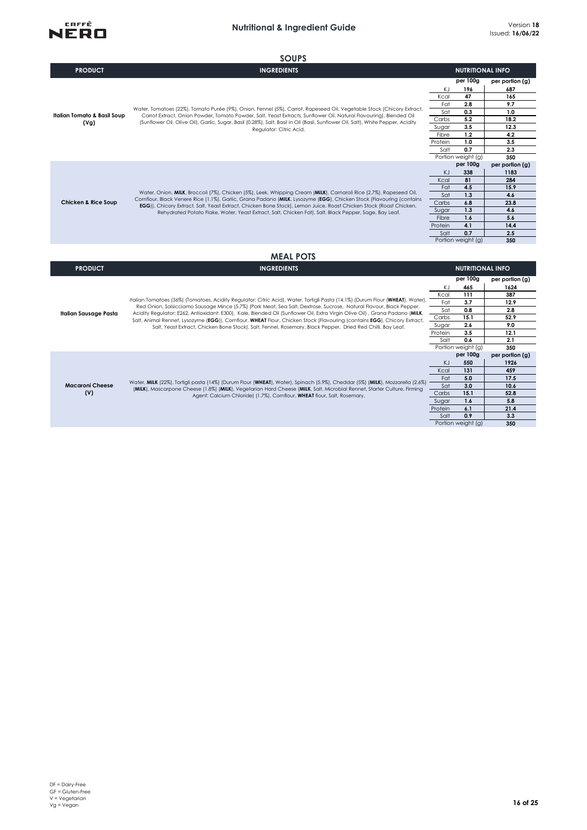

**Macaroni Cheese (V)**

**Italian Sausage Pasta**

Fat **3.7 12.9** Sat **0.8 2.8** Carbs **15.1 52.9** Sugar **2.6 9.0** Protein **3.5 12.1**<br>
Salt **0.6 2.1**  $rac{3.6}{0.6}$ 

Sat 3.0 10.6<br>arbs 15.1 52.8 Carbs **15.1 52.8**<br>Sugar **1.6 5.8** Sugar **1.6 5.8**<br>Protein **6.1 21.4** 

Salt **0.9 3.3**

**131**<br>**131 159** 

Portion weight (g)<br>per 100g

Portion weight (g)

Protein **6.1 21.4**

**350 per 100g per portion (g)** KJ **550 1926**

Fat **5.0 17.5**

**350**

|                                                | <b>SOUPS</b>                                                                                                                                                                                                                                                                                                                                                                                                                                                               |                                                                                                                                   |                                                                                              |                                                                                           |
|------------------------------------------------|----------------------------------------------------------------------------------------------------------------------------------------------------------------------------------------------------------------------------------------------------------------------------------------------------------------------------------------------------------------------------------------------------------------------------------------------------------------------------|-----------------------------------------------------------------------------------------------------------------------------------|----------------------------------------------------------------------------------------------|-------------------------------------------------------------------------------------------|
| <b>PRODUCT</b>                                 | <b>INGREDIENTS</b>                                                                                                                                                                                                                                                                                                                                                                                                                                                         |                                                                                                                                   | <b>NUTRITIONAL INFO</b>                                                                      |                                                                                           |
| <b>Italian Tomato &amp; Basil Soup</b><br>(Vg) | Water, Tomatoes (22%), Tomato Purée (9%), Onion, Fennel (5%), Carrot, Rapeseed Oil, Vegetable Stock (Chicory Extract,<br>Carrot Extract, Onion Powder, Tomato Powder, Salt, Yeast Extracts, Sunflower Oil, Natural Flavouring), Blended Oil<br>(Sunflower Oil, Olive Oil), Garlic, Sugar, Basil (0.28%), Salt, Basil in Oil (Basil, Sunflower Oil, Salt), White Pepper, Acidity<br>Regulator: Citric Acid.                                                                 | per 100g<br>196<br>KJ<br>47<br>Kcal<br>2.8<br>Fat<br>Sat<br>0.3<br>5.2<br>Carbs<br>3.5<br>Sugar<br>1,2<br>Fibre<br>1.0<br>Protein |                                                                                              | per portion (g)<br>687<br>165<br>9.7<br>1.0<br>18.2<br>12.3<br>4.2<br>3.5                 |
|                                                |                                                                                                                                                                                                                                                                                                                                                                                                                                                                            | Salt                                                                                                                              | 0.7<br>Portion weight (g)                                                                    | 2.3<br>350                                                                                |
| <b>Chicken &amp; Rice Soup</b>                 | Water, Onion, MILK, Broccoli (7%), Chicken (5%), Leek, Whipping Cream (MILK), Carnaroli Rice (2.7%), Rapeseed Oil,<br>Cornflour, Black Venere Rice (1.1%), Garlic, Grana Padano (MILK, Lysozyme (EGG), Chicken Stock (Flavouring (contains<br>EGG)), Chicory Extract, Salt, Yeast Extract, Chicken Bone Stock), Lemon Juice, Roast Chicken Stock (Roast Chicken,<br>Rehydrated Potato Flake, Water, Yeast Extract, Salt, Chicken Fat), Salt, Black Pepper, Sage, Bay Leaf. | KJ<br>Kcal<br>Fat<br>Sat<br>Carbs<br>Sugar<br>Fibre<br>Protein<br>Salt                                                            | per 100g<br>338<br>81<br>4.5<br>1.3<br>6.8<br>1.3<br>1.6<br>4.1<br>0.7<br>Portion weight (g) | per portion (g)<br>1183<br>284<br>15.9<br>4.6<br>23.8<br>4.6<br>5.6<br>14.4<br>2.5<br>350 |
| <b>PRODUCT</b>                                 | <b>MEAL POTS</b><br><b>INGREDIENTS</b>                                                                                                                                                                                                                                                                                                                                                                                                                                     |                                                                                                                                   | <b>NUTRITIONAL INFO</b>                                                                      |                                                                                           |
|                                                | Italian Tomatoes (36%) (Tomatoes, Acidity Reaulator: Citric Acid), Water, Tortiali Pasta (14.1%) (Durum Flour (WHEAT), Water).                                                                                                                                                                                                                                                                                                                                             | KJ<br>Kcal<br>$F = 4$                                                                                                             | per 100g<br>465<br>111<br>27                                                                 | per portion (g)<br>1624<br>387<br>100                                                     |

Water, **MILK** (22%), Tortigli pasta (14%) (Durum Flour (**WHEAT**), Water), Spinach (5.9%), Cheddar (5%) (**MILK**), Mozzarella (2.6%) (**MILK**), Mascarpone Cheese (1.8%) (**MILK**), Vegetarian Hard Cheese (**MILK**, Salt, Microbial Rennet, Starter Culture, Firming Agent: Calcium Chloride) (1.7%), Cornflour, **WHEAT** flour, Salt, Rosemary.

Red Onion, Salsicciamo Sausage Mince (5.7%) (Pork Meat, Sea Salt, Dextrose, Sucrose, Natural Flavour, Black Pepper,<br>Acidity Regulator: E262, Antioxidant: E300), Kale, Blended Oil (Sunflower Oil, Extra Virgin Olive Oil) , G

DF = Dairy-Free GF = Gluten-Free V = Vegetarian Vg = Vegan **16 of 25**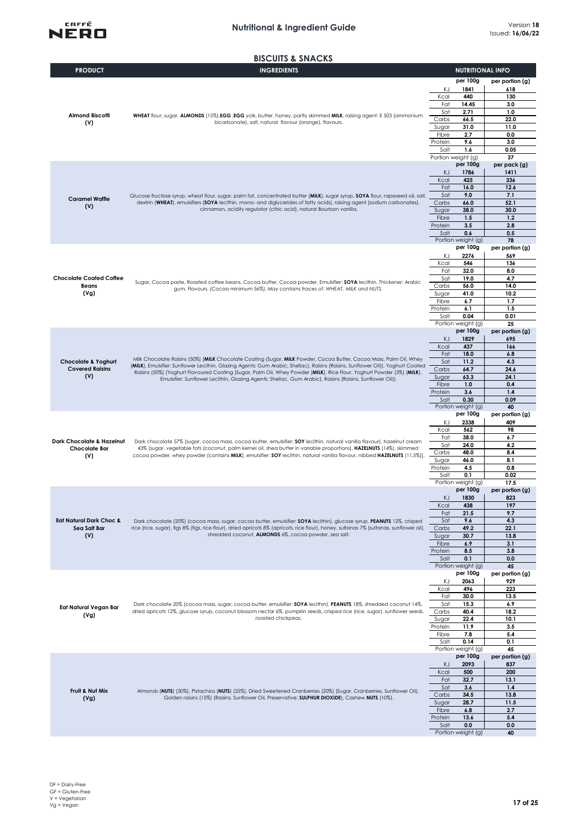



| <b>PRODUCT</b>                                           | אוסראווט א טווטטשוע<br><b>INGREDIENTS</b>                                                                                                                                                                                                                         | <b>NUTRITIONAL INFO</b>            |                        |
|----------------------------------------------------------|-------------------------------------------------------------------------------------------------------------------------------------------------------------------------------------------------------------------------------------------------------------------|------------------------------------|------------------------|
|                                                          |                                                                                                                                                                                                                                                                   | per 100g                           | per portion (g)        |
|                                                          |                                                                                                                                                                                                                                                                   | ΚJ<br>1841<br>Kcal<br>440          | 618<br>130             |
|                                                          |                                                                                                                                                                                                                                                                   |                                    | 3.0                    |
| <b>Almond Biscotti</b>                                   | WHEAT flour, sugar, ALMONDS (15%), EGG , EGG yolk, butter, honey, partly skimmed MILK, raising agent: E 503 (ammonium                                                                                                                                             | Sat<br>2.71<br>Carbs<br>66.5       | 1.0<br>22.0            |
| (V)                                                      | bicarbonate), salt, natural flavour (orange), flavours.                                                                                                                                                                                                           | Sugar<br>31.0                      | 11.0                   |
|                                                          |                                                                                                                                                                                                                                                                   | Fibre<br>2.7<br>9.6<br>Protein     | 0.0<br>3.0             |
|                                                          |                                                                                                                                                                                                                                                                   | 1.6<br>Salt                        | 0.05                   |
|                                                          |                                                                                                                                                                                                                                                                   | Portion weight (g)<br>per 100g     | 37<br>per pack (g)     |
|                                                          |                                                                                                                                                                                                                                                                   | KJ<br>1786                         | 1411                   |
|                                                          |                                                                                                                                                                                                                                                                   | 425<br>Kcal<br>Fat<br>16.0         | 336<br>12.6            |
| <b>Caramel Waffle</b>                                    | Glucose fructose syrup, wheat flour, sugar, palm fat, concentrated butter (MILK), sugar syrup, SOYA flour, rapeseed oil, salt,                                                                                                                                    | 9.0<br>Sat                         | 7.1                    |
| (V)                                                      | dextrin (WHEAT), emulsifiers (SOYA lecithin, mono- and diglycerides of fatty acids), raising agent (sodium carbonates),<br>cinnamon, acidity regulator (citric acid), natural Bourbon vanilla.                                                                    | Carbs<br>66.0<br>38.0<br>Sugar     | 52.1<br>30.0           |
|                                                          |                                                                                                                                                                                                                                                                   | 1.5<br>Fibre                       | 1,2                    |
|                                                          |                                                                                                                                                                                                                                                                   | Protein<br>3.5<br>Salt<br>0.6      | 2.8<br>0.5             |
|                                                          |                                                                                                                                                                                                                                                                   | Portion weight (g)                 | 78                     |
|                                                          |                                                                                                                                                                                                                                                                   | per 100g<br>2276<br>KJ             | per portion (g)<br>569 |
|                                                          |                                                                                                                                                                                                                                                                   | Kcal<br>546                        | 136                    |
| <b>Chocolate Coated Coffee</b>                           |                                                                                                                                                                                                                                                                   | 32.0<br>Fat<br>Sat<br>19.0         | 8.0<br>4.7             |
| Beans                                                    | Sugar, Cocoa paste, Roasted coffee beans, Cocoa butter, Cocoa powder, Emulsifier: SOYA lecithin, Thickener: Arabic<br>gum, Flavours. (Cocoa minimum 56%). May contains traces of: WHEAT, MILK and NUTS.                                                           | 56.0<br>Carbs                      | 14.0                   |
| (Vg)                                                     |                                                                                                                                                                                                                                                                   | 41.0<br>Sugar<br>Fibre<br>6.7      | 10.2<br>1.7            |
|                                                          |                                                                                                                                                                                                                                                                   | Protein<br>6.1                     | 1.5                    |
|                                                          |                                                                                                                                                                                                                                                                   | 0.04<br>Salt<br>Portion weight (g) | 0.01<br>25             |
|                                                          |                                                                                                                                                                                                                                                                   | per 100g                           | per portion (g)        |
|                                                          |                                                                                                                                                                                                                                                                   | 1829<br>KJ<br>Kcal<br>437          | 695<br>166             |
|                                                          | Milk Chocolate Raisins (50%) (MILK Chocolate Coating (Sugar, MILK Powder, Cocoa Butter, Cocoa Mass, Palm Oil, Whey<br>(MILK), Emulsifier: Sunflower Lecithin, Glazing Agents: Gum Arabic, Shellac), Raisins (Raisins, Sunflower Oil)), Yoghurt Coated             | 18.0<br>Fat                        | 6.8                    |
| <b>Chocolate &amp; Yoghurt</b><br><b>Covered Raisins</b> |                                                                                                                                                                                                                                                                   | 11.2<br>Sat<br>64.7<br>Carbs       | 4.3<br>24.6            |
| (V)                                                      | Raisins (50%) (Yoghurt Flavoured Coating (Sugar, Palm Oil, Whey Powder (MILK), Rice Flour, Yoghurt Powder (3%) (MILK),<br>Emulsifier: Sunflower Lecithin, Glazing Agents: Shellac, Gum Arabic), Raisins (Raisins, Sunflower Oil)).                                | Sugar<br>63.3                      | 24.1                   |
|                                                          |                                                                                                                                                                                                                                                                   | 1.0<br>Fibre<br>3.6<br>Protein     | 0.4<br>1,4             |
|                                                          |                                                                                                                                                                                                                                                                   | 0.30<br>Salt                       | 0.09                   |
|                                                          |                                                                                                                                                                                                                                                                   | Portion weight (g)<br>per 100g     | 40<br>per portion (g)  |
|                                                          |                                                                                                                                                                                                                                                                   | ΚJ<br>2338                         | 409                    |
|                                                          |                                                                                                                                                                                                                                                                   | Kcal<br>562<br>38.0<br>Fat         | 98<br>6.7              |
| Dark Chocolate & Hazelnut<br><b>Chocolate Bar</b>        | Dark chocolate 57% (sugar, cocoa mass, cocoa butter, emulsifier: SOY lecithin, natural vanilla flavour), hazelnut cream<br>43% [sugar, vegetable fats (coconut, palm kernel oil, shea butter in variable proportions), HAZELNUTS (14%), skimmed                   | 24.0<br>Sat                        | 4.2                    |
| (V)                                                      | cocoa powder, whey powder (contains MILK), emulsifier: SOY lecithin, natural vanilla flavour, nibbed HAZELNUTS (11,5%)].                                                                                                                                          | 48.0<br>Carbs<br>46.0<br>Sugar     | 8.4<br>8.1             |
|                                                          |                                                                                                                                                                                                                                                                   | Protein<br>4.5                     | 0.8                    |
|                                                          |                                                                                                                                                                                                                                                                   | Salt<br>0.1<br>Portion weight (g)  | 0.02<br>17.5           |
|                                                          |                                                                                                                                                                                                                                                                   | per 100g<br>1830                   | per portion (g)        |
|                                                          |                                                                                                                                                                                                                                                                   | ΚJ<br>438<br>Kcal                  | 823<br>197             |
| <b>Eat Natural Dark Choc &amp;</b>                       |                                                                                                                                                                                                                                                                   | 21.5<br>Fat<br>Sat<br>9.6          | 9.7<br>4.3             |
| Sea Salt Bar                                             | Dark chocolate (20%) (cocoa mass, sugar, cocoa butter, emulsifier: SOYA lecithin), glucose syrup, PEANUTS 12%, crisped<br>rice (rice, sugar), figs 8% (figs, rice flour), dried apricots 8% (apricots, rice flour), honey, sultanas 7% (sultanas, sunflower oil), | 49.2<br>Carbs                      | 22.1                   |
| (V)                                                      | shredded coconut, ALMONDS 6%, cocoa powder, sea salt.                                                                                                                                                                                                             | 30.7<br>Sugar<br>6.9<br>Fibre      | 13.8<br>3.1            |
|                                                          |                                                                                                                                                                                                                                                                   | Protein<br>8.5                     | 3.8                    |
|                                                          |                                                                                                                                                                                                                                                                   | Salt<br>0.1<br>Portion weight (g)  | 0.0<br>45              |
|                                                          |                                                                                                                                                                                                                                                                   | per 100g                           | per portion (g)        |
|                                                          |                                                                                                                                                                                                                                                                   | KJ<br>2063<br>496<br>Kcal          | 929<br>223             |
|                                                          |                                                                                                                                                                                                                                                                   | Fat<br>30.0                        | 13.5                   |
| Eat Natural Vegan Bar                                    | Dark chocolate 20% (cocoa mass, sugar, cocoa butter, emulsifier: SOYA lecithin), PEANUTS 18%, shredded coconut 14%,<br>dried apricots 12%, glucose syrup, coconut blossom nectar 6%, pumpkin seeds, crisped rice (rice, sugar), sunflower seeds,                  | Sat<br>15.3<br>40.4<br>Carbs       | 6.9<br>18.2            |
| (Vg)                                                     | roasted chickpeas.                                                                                                                                                                                                                                                | 22.4<br>Sugar                      | 10.1                   |
|                                                          |                                                                                                                                                                                                                                                                   | 11.9<br>Protein                    | 3.5<br>5.4             |
|                                                          |                                                                                                                                                                                                                                                                   | 7.8<br>Fibre<br>Salt<br>0.14       | 0.1                    |
|                                                          |                                                                                                                                                                                                                                                                   | Portion weight (g)<br>per 100g     | 45<br>per portion (g)  |
|                                                          |                                                                                                                                                                                                                                                                   | KJ<br>2093                         | 837                    |
|                                                          |                                                                                                                                                                                                                                                                   | 500<br>Kcal<br>Fat<br>32.7         | 200<br>13.1            |
| Fruit & Nut Mix                                          |                                                                                                                                                                                                                                                                   | Sat<br>3.6                         | 1.4                    |
| (Vg)                                                     | Almonds (NUTS) (30%), Pistachios (NUTS) (25%), Dried Sweetened Cranberries (20%) (Sugar, Cranberries, Sunflower Oil),<br>Golden raisins (15%) (Raisins, Sunflower Oil, Preservative: SULPHUR DIOXIDE), Cashew NUTS (10%).                                         | 34.5<br>Carbs                      | 13.8                   |
|                                                          |                                                                                                                                                                                                                                                                   | Sugar<br>28.7<br>6.8<br>Fibre      | 11.5<br>2.7            |
|                                                          |                                                                                                                                                                                                                                                                   | 13.6<br>Protein                    | 5.4                    |
|                                                          |                                                                                                                                                                                                                                                                   | Salt<br>0.0<br>Portion weight (g)  | 0.0<br>40              |
|                                                          |                                                                                                                                                                                                                                                                   |                                    |                        |

NERO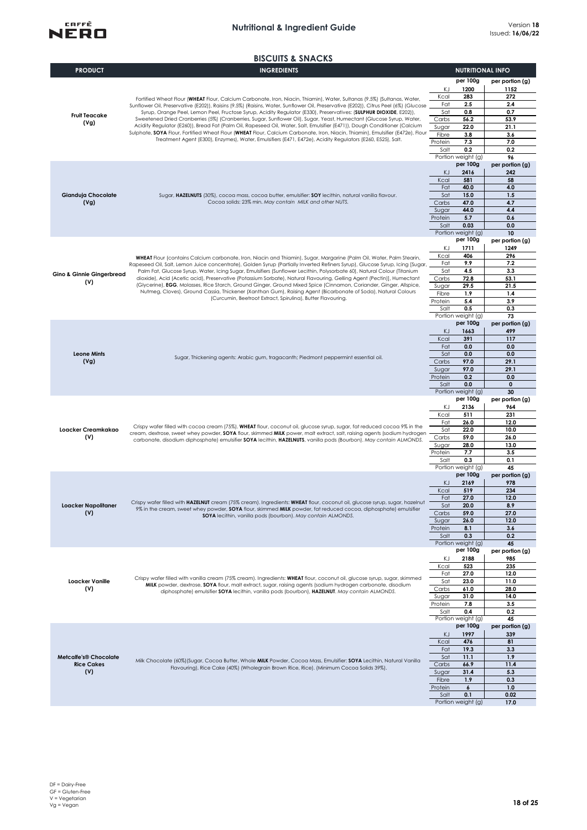

|                                      | <b>BISCUITS &amp; SNACKS</b>                                                                                                                                                                                                                                   |                  |                                |                         |
|--------------------------------------|----------------------------------------------------------------------------------------------------------------------------------------------------------------------------------------------------------------------------------------------------------------|------------------|--------------------------------|-------------------------|
| <b>PRODUCT</b>                       | <b>INGREDIENTS</b>                                                                                                                                                                                                                                             |                  | <b>NUTRITIONAL INFO</b>        |                         |
|                                      |                                                                                                                                                                                                                                                                |                  | per 100g                       | per portion (g)         |
|                                      |                                                                                                                                                                                                                                                                | ΚJ               | 1200                           | 1152                    |
|                                      |                                                                                                                                                                                                                                                                | Kcal             | 283                            | 272                     |
|                                      | Fortified Wheat Flour (WHEAT Flour, Calcium Carbonate, Iron, Niacin, Thiamin), Water, Sultanas (9.5%) (Sultanas, Water,<br>Sunflower Oil, Preservative (E202)), Raisins (9.5%) (Raisins, Water, Sunflower Oil, Preservative (E202)), Citrus Peel (6%) (Glucose | Fat              | 2.5                            | 2.4                     |
|                                      | Syrup, Orange Peel, Lemon Peel, Fructose Syrup, Acidity Regulator (E330), Preservatives: (SULPHUR DIOXIDE, E202)),                                                                                                                                             | Sat              | 0.8                            | 0.7                     |
| <b>Fruit Teacake</b>                 | Sweetened Dried Cranberries (5%) (Cranberries, Sugar, Sunflower Oil), Sugar, Yeast, Humectant (Glucose Syrup, Water,                                                                                                                                           | Carbs            | 56.2                           | 53.9                    |
| (Vg)                                 | Acidity Regulator (E260)), Bread Fat (Palm Oil, Rapeseed Oil, Water, Salt, Emulsifier (E471)), Dough Conditioner (Calcium                                                                                                                                      | Sugar            | 22.0                           | 21.1                    |
|                                      | Sulphate, SOYA Flour, Fortified Wheat Flour (WHEAT Flour, Calcium Carbonate, Iron, Niacin, Thiamin), Emulsifier (E472e), Flour<br>Treatment Agent (E300), Enzymes), Water, Emulsifiers (E471, E472e), Acidity Regulators (E260, E525), Salt.                   | Fibre            | 3.8                            | 3.6                     |
|                                      |                                                                                                                                                                                                                                                                | Protein          | 7.3                            | 7.0                     |
|                                      |                                                                                                                                                                                                                                                                | Salt             | 0.2                            | 0.2                     |
|                                      |                                                                                                                                                                                                                                                                |                  | Portion weight (g)<br>per 100g | 96                      |
|                                      |                                                                                                                                                                                                                                                                | KJ               | 2416                           | per portion (g)<br>242  |
|                                      |                                                                                                                                                                                                                                                                | Kcal             | 581                            | 58                      |
|                                      |                                                                                                                                                                                                                                                                | Fat              | 40.0                           | 4.0                     |
| Gianduja Chocolate                   | Sugar, HAZELNUTS (30%), cocoa mass, cocoa butter, emulsifier: SOY lecithin, natural vanilla flavour.                                                                                                                                                           | Sat              | 15.0                           | 1.5                     |
| (Vg)                                 | Cocoa solids: 23% min. May contain MILK and other NUTS.                                                                                                                                                                                                        | Carbs            | 47.0                           | 4.7                     |
|                                      |                                                                                                                                                                                                                                                                | Sugar            | 44.0                           | 4.4                     |
|                                      |                                                                                                                                                                                                                                                                | Protein          | 5.7                            | 0.6                     |
|                                      |                                                                                                                                                                                                                                                                | Salt             | 0.03                           | 0.0                     |
|                                      |                                                                                                                                                                                                                                                                |                  | Portion weight (g)             | 10                      |
|                                      |                                                                                                                                                                                                                                                                | KJ               | per 100g<br>1711               | per portion (g)<br>1249 |
|                                      |                                                                                                                                                                                                                                                                | Kcal             | 406                            | 296                     |
|                                      | WHEAT Flour (contains Calcium carbonate, Iron, Niacin and Thiamin), Sugar, Margarine (Palm Oil, Water, Palm Stearin,<br>Rapeseed Oil, Salt, Lemon Juice concentrate), Golden Syrup (Partially Inverted Refiners Syrup), Glucose Syrup, Icing [Sugar,           | Fat              | 9.9                            | 7.2                     |
|                                      | Palm Fat, Glucose Syrup, Water, Icing Sugar, Emulsifiers (Sunflower Lecithin, Polysorbate 60), Natural Colour (Titanium                                                                                                                                        | Sat              | 4.5                            | 3.3                     |
| <b>Gino &amp; Ginnie Gingerbread</b> | dioxide), Acid (Acetic acid), Preservative (Potassium Sorbate), Natural Flavouring, Gelling Agent (Pectin)], Humectant                                                                                                                                         | Carbs            | 72.8                           | 53.1                    |
| (V)                                  | (Glycerine), EGG, Molasses, Rice Starch, Ground Ginger, Ground Mixed Spice (Cinnamon, Coriander, Ginger, Allspice,                                                                                                                                             | Sugar            | 29.5                           | 21.5                    |
|                                      | Nutmeg, Cloves), Ground Cassia, Thickener (Xanthan Gum), Raising Agent (Bicarbonate of Soda), Natural Colours                                                                                                                                                  | Fibre            | 1.9                            | 1.4                     |
|                                      | (Curcumin, Beetroot Extract, Spirulina), Butter Flavouring.                                                                                                                                                                                                    | Protein          | 5.4                            | 3.9                     |
|                                      |                                                                                                                                                                                                                                                                | Salt             | 0.5                            | 0.3                     |
|                                      |                                                                                                                                                                                                                                                                |                  | Portion weight (g)             | 73                      |
|                                      |                                                                                                                                                                                                                                                                |                  | per 100g                       | per portion (g)         |
|                                      |                                                                                                                                                                                                                                                                | KJ<br>Kcal       | 1663<br>391                    | 499<br>117              |
|                                      |                                                                                                                                                                                                                                                                | Fat              | 0.0                            | 0.0                     |
| <b>Leone Mints</b>                   |                                                                                                                                                                                                                                                                | Sat              | 0.0                            | 0.0                     |
| (Vg)                                 | Sugar, Thickening agents: Arabic gum, tragacanth; Piedmont peppermint essential oil.                                                                                                                                                                           | Carbs            | 97.0                           | 29.1                    |
|                                      |                                                                                                                                                                                                                                                                | Sugar            | 97.0                           | 29.1                    |
|                                      |                                                                                                                                                                                                                                                                | Protein          | 0.2                            | 0.0                     |
|                                      |                                                                                                                                                                                                                                                                | Salt             | 0.0                            | $\mathbf{0}$            |
|                                      |                                                                                                                                                                                                                                                                |                  | Portion weight (g)             | 30                      |
|                                      |                                                                                                                                                                                                                                                                |                  | per 100g                       | per portion (g)         |
|                                      |                                                                                                                                                                                                                                                                | ΚJ               | 2136                           | 964                     |
|                                      |                                                                                                                                                                                                                                                                | Kcal             | 511<br>26.0                    | 231<br>12.0             |
| Loacker Creamkakao                   | Crispy wafer filled with cocoa cream (75%). WHEAT flour, coconut oil, glucose syrup, sugar, fat reduced cocoa 9% in the                                                                                                                                        | Fat<br>Sat       | 22.0                           | 10.0                    |
| (V)                                  | cream, dextrose, sweet whey powder, SOYA flour, skimmed MILK power, malt extract, salt, raising agents (sodium hydrogen<br>carbonate, disodium diphosphate) emulsifier SOYA lecithin, HAZELNUTS, vanilla pods (Bourbon). May contain ALMONDS.                  | Carbs            | 59.0                           | 26.0                    |
|                                      |                                                                                                                                                                                                                                                                | Sugar            | 28.0                           | 13.0                    |
|                                      |                                                                                                                                                                                                                                                                | Protein          | 7.7                            | 3.5                     |
|                                      |                                                                                                                                                                                                                                                                | Salt             | 0.3                            | 0.1                     |
|                                      |                                                                                                                                                                                                                                                                |                  | Portion weight (g)             | 45                      |
|                                      |                                                                                                                                                                                                                                                                |                  | per 100g                       | per portion (g)         |
|                                      |                                                                                                                                                                                                                                                                | KJ               | 2169                           | 978                     |
|                                      |                                                                                                                                                                                                                                                                | Kcal             | 519                            | 234                     |
|                                      | Crispy wafer filled with HAZELNUT cream (75% cream). Ingredients: WHEAT flour, coconut oil, glucose syrup, sugar, hazelnut                                                                                                                                     | Fat              | 27.0                           | 12.0                    |
| Loacker Napolitaner<br>(V)           | 9% in the cream, sweet whey powder, SOYA flour, skimmed MILK powder, fat reduced cocoa, diphosphate) emulsifier                                                                                                                                                | Sat<br>Carbs     | 20.0<br>59.0                   | 8.9<br>27.0             |
|                                      | SOYA lecithin, vanilla pods (bourbon). May contain ALMONDS.                                                                                                                                                                                                    | Sugar            | 26.0                           | 12.0                    |
|                                      |                                                                                                                                                                                                                                                                | Protein          | 8.1                            | 3.6                     |
|                                      |                                                                                                                                                                                                                                                                | Salt             | 0.3                            | 0.2                     |
|                                      |                                                                                                                                                                                                                                                                |                  | Portion weight (g)             | 45                      |
|                                      |                                                                                                                                                                                                                                                                |                  | per 100g                       | per portion (g)         |
|                                      |                                                                                                                                                                                                                                                                | ΚJ               | 2188                           | 985                     |
|                                      |                                                                                                                                                                                                                                                                | Kcal             | 523                            | 235                     |
|                                      | Crispy wafer filled with vanilla cream (75% cream), Ingredients: WHEAT flour, coconut oil, glucose syrup, sugar, skimmed                                                                                                                                       | Fat              | 27.0                           | 12.0                    |
| <b>Loacker Vanille</b>               | MILK powder, dextrose, SOYA flour, malt extract, sugar, raising agents (sodium hydrogen carbonate, disodium                                                                                                                                                    | Sat              | 23.0                           | 11.0                    |
| (V)                                  | diphosphate) emulsifier SOYA lecithin, vanilla pods (bourbon), HAZELNUT. May contain ALMONDS.                                                                                                                                                                  | Carbs            | 61.0                           | 28.0                    |
|                                      |                                                                                                                                                                                                                                                                | Sugar<br>Protein | 31.0<br>7.8                    | 14.0<br>3.5             |
|                                      |                                                                                                                                                                                                                                                                | Salt             | 0.4                            | 0.2                     |
|                                      |                                                                                                                                                                                                                                                                |                  | Portion weight (g)             | 45                      |
|                                      |                                                                                                                                                                                                                                                                |                  | per 100g                       | per portion (g)         |
|                                      |                                                                                                                                                                                                                                                                | KJ               | 1997                           | 339                     |
|                                      |                                                                                                                                                                                                                                                                | Kcal             | 476                            | 81                      |
|                                      |                                                                                                                                                                                                                                                                | Fat              | 19.3                           | 3.3                     |
| <b>Metcalfe's® Chocolate</b>         | Milk Chocolate (60%) (Sugar, Cocoa Butter, Whole MILK Powder, Cocoa Mass, Emulsifier: SOYA Lecithin, Natural Vanilla                                                                                                                                           | Sat              | 11.1                           | 1.9                     |
| <b>Rice Cakes</b>                    | Flavouring), Rice Cake (40%) (Wholegrain Brown Rice, Rice). (Minimum Cocoa Solids 39%).                                                                                                                                                                        | Carbs            | 66.9                           | 11.4                    |
| (V)                                  |                                                                                                                                                                                                                                                                | Sugar            | 31.4                           | 5.3                     |
|                                      |                                                                                                                                                                                                                                                                | Fibre            | 1.9                            | 0.3                     |
|                                      |                                                                                                                                                                                                                                                                | Protein<br>Salt  | 6<br>0.1                       | 1.0<br>0.02             |
|                                      |                                                                                                                                                                                                                                                                |                  | Portion weight (g)             | 17.0                    |
|                                      |                                                                                                                                                                                                                                                                |                  |                                |                         |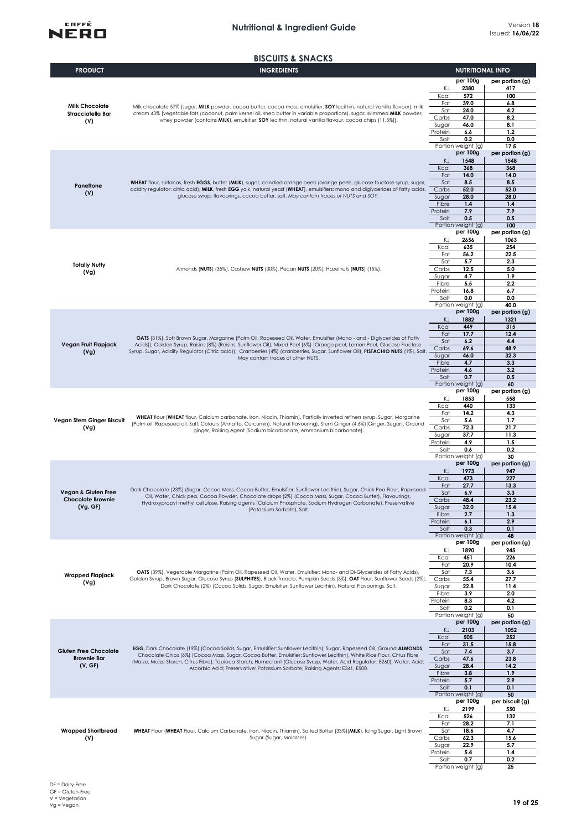

### **BISCUITS & SNACKS**

| <b>PRODUCT</b>                       | <b>INGREDIENTS</b>                                                                                                                                                                                                                                           | <b>NUTRITIONAL INFO</b> |                                |                         |
|--------------------------------------|--------------------------------------------------------------------------------------------------------------------------------------------------------------------------------------------------------------------------------------------------------------|-------------------------|--------------------------------|-------------------------|
|                                      |                                                                                                                                                                                                                                                              |                         | per 100g                       | per portion (g)         |
|                                      |                                                                                                                                                                                                                                                              | KJ<br>Kcal              | 2380<br>572                    | 417<br>100              |
| <b>Milk Chocolate</b>                | Milk chocolate 57% (sugar, MILK powder, cocoa butter, cocoa mass, emulsifier: SOY lecithin, natural vanilla flavour), milk                                                                                                                                   | Fat                     | 39.0                           | 6.8                     |
| Stracciatella Bar                    | cream 43% [vegetable fats (coconut, palm kernel oil, shea butter in variable proportions), sugar, skimmed MILK powder,                                                                                                                                       | Sat                     | 24.0                           | 4.2                     |
| (V)                                  | whey powder (contains MILK), emulsifier: SOY lecithin, natural vanilla flavour, cocoa chips (11,5%)].                                                                                                                                                        | Carbs<br>Sugar          | 47.0<br>46.0                   | 8.2<br>8.1              |
|                                      |                                                                                                                                                                                                                                                              | Protein                 | 6.6                            | 1,2                     |
|                                      |                                                                                                                                                                                                                                                              | Salt                    | 0.2                            | 0.0                     |
|                                      |                                                                                                                                                                                                                                                              |                         | Portion weight (g)<br>per 100g | 17.5<br>per portion (g) |
|                                      |                                                                                                                                                                                                                                                              | KJ                      | 1548                           | 1548                    |
|                                      |                                                                                                                                                                                                                                                              | Kcal<br>Fat             | 368<br>14.0                    | 368<br>14.0             |
|                                      | WHEAT flour, sultanas, fresh EGGS, butter (MILK), sugar, candied orange peels (orange peels, glucose-fructose syrup, sugar,                                                                                                                                  | Sat                     | 8.5                            | 8.5                     |
| Panettone<br>(V)                     | acidity regulator: citric acid), MILK, fresh EGG yolk, natural yeast (WHEAT), emulsifiers: mono and diglycerides of fatty acids,                                                                                                                             | Carbs                   | 52.0                           | 52.0                    |
|                                      | glucose syrup, flavourings, cocoa butter, salt. May contain traces of NUTS and SOY.                                                                                                                                                                          | Sugar<br>Fibre          | 28.0<br>1.4                    | 28.0<br>1.4             |
|                                      |                                                                                                                                                                                                                                                              | Protein                 | 7.9                            | 7.9                     |
|                                      |                                                                                                                                                                                                                                                              | Salt                    | 0.5                            | 0.5                     |
|                                      |                                                                                                                                                                                                                                                              |                         | Portion weight (g)<br>per 100g | 100<br>per portion (g)  |
|                                      |                                                                                                                                                                                                                                                              | ΚJ                      | 2656                           | 1063                    |
|                                      |                                                                                                                                                                                                                                                              | Kcal                    | 635                            | 254                     |
|                                      |                                                                                                                                                                                                                                                              | Fat<br>Sat              | 56.2<br>5.7                    | 22.5<br>2.3             |
| <b>Totally Nutty</b><br>(Vg)         | Almonds (NUTS) (35%), Cashew NUTS (30%), Pecan NUTS (20%), Hazelnuts (NUTS) (15%).                                                                                                                                                                           | Carbs                   | 12.5                           | 5.0                     |
|                                      |                                                                                                                                                                                                                                                              | Sugar<br>Fibre          | 4.7<br>5.5                     | 1.9                     |
|                                      |                                                                                                                                                                                                                                                              | Protein                 | 16.8                           | 2.2<br>6.7              |
|                                      |                                                                                                                                                                                                                                                              | Salt                    | 0.0                            | 0.0                     |
|                                      |                                                                                                                                                                                                                                                              |                         | Portion weight (g)<br>per 100g | 40.0<br>per portion (g) |
|                                      |                                                                                                                                                                                                                                                              | KJ                      | 1882                           | 1321                    |
|                                      |                                                                                                                                                                                                                                                              | Kcal                    | 449                            | 315                     |
|                                      | OATS (31%), Soft Brown Sugar, Margarine (Palm Oil, Rapeseed Oil, Water, Emulsifier (Mono - and - Diglycerides of Fatty                                                                                                                                       | Fat<br>Sat              | 17.7<br>6.2                    | 12.4<br>4.4             |
| Vegan Fruit Flapjack<br>(Vg)         | Acids)), Golden Syrup, Raisins (8%) (Raisins, Sunflower Oil), Mixed Peel (6%) (Orange peel, Lemon Peel, Glucose Fructose<br>Syrup, Sugar, Acidity Regulator (Citric acid)), Cranberries (4%) (cranberries, Sugar, Sunflower Oil), PISTACHIO NUTS (1%), Salt. |                         |                                | 48.9                    |
|                                      | May contain traces of other NUTS.                                                                                                                                                                                                                            | Sugar                   | 46.0                           | 32.3                    |
|                                      |                                                                                                                                                                                                                                                              | Fibre<br>Protein        | 4.7<br>4.6                     | 3.3<br>3.2              |
|                                      |                                                                                                                                                                                                                                                              | Salt                    | 0.7                            | 0.5                     |
|                                      |                                                                                                                                                                                                                                                              |                         | Portion weight (g)<br>per 100g | 60                      |
|                                      |                                                                                                                                                                                                                                                              | KJ                      | 1853                           | per portion (g)<br>558  |
|                                      |                                                                                                                                                                                                                                                              | Kcal                    | 440                            | 133                     |
| Vegan Stem Ginger Biscuit            | WHEAT flour (WHEAT flour, Calcium carbonate, Iron, Niacin, Thiamin), Partially inverted refiners syrup, Sugar, Margarine                                                                                                                                     | Fat<br>Sat              | 14.2                           | 4.3<br>1.7              |
| (Vg)                                 | (Palm oil, Rapeseed oil, Salt, Colours (Annatto, Curcumin), Natural flavouring), Stem Ginger (4.6%) (Ginger, Sugar), Ground<br>ginger, Raising Agent (Sodium bicarbonate, Ammonium bicarbonate).                                                             | Carbs                   | 5.6<br>72.3                    | 21.7                    |
|                                      |                                                                                                                                                                                                                                                              | Sugar                   | 37.7                           | 11.3                    |
|                                      |                                                                                                                                                                                                                                                              | Protein<br>Salt         | 4.9<br>0.6                     | 1.5<br>0.2              |
|                                      |                                                                                                                                                                                                                                                              |                         | Portion weight (g)             | 30                      |
|                                      |                                                                                                                                                                                                                                                              |                         | per 100g                       | per portion (g)         |
|                                      |                                                                                                                                                                                                                                                              | KJ<br>Kcal              | 1973<br>473                    | 947<br>227              |
|                                      | Dark Chocolate (23%) (Sugar, Cocoa Mass, Cocoa Butter, Emulsifier: Sunflower Lecithin), Sugar, Chick Pea Flour, Rapeseed                                                                                                                                     | Fat                     | 27.7                           | 13.3                    |
| <b>Vegan &amp; Gluten Free</b>       | Oil, Water, Chick pea, Cocoa Powder, Chocolate drops (2%) (Cocoa Mass, Sugar, Cocoa Butter), Flavourings,<br>Hydroxypropyl methyl cellulose, Raising agents (Calcium Phosphate, Sodium Hydrogen Carbonate), Preservative<br>(Potassium Sorbate), Salt.       | Sat                     | 6.9                            | 3.3                     |
| <b>Chocolate Brownie</b><br>(Vg, GF) |                                                                                                                                                                                                                                                              | Carbs<br>Sugar          | 48.4<br>32.0                   | 23.2<br>15.4            |
|                                      |                                                                                                                                                                                                                                                              | Fibre                   | 2.7                            | 1.3                     |
|                                      |                                                                                                                                                                                                                                                              | Protein<br>Salt         | 6.1<br>0.3                     | 2.9<br>0.1              |
|                                      |                                                                                                                                                                                                                                                              |                         | Portion weight (g)             | 48                      |
|                                      |                                                                                                                                                                                                                                                              |                         | per 100g                       | per portion (g)         |
|                                      |                                                                                                                                                                                                                                                              | ΚJ<br>Kcal              | 1890<br>451                    | 945<br>226              |
|                                      |                                                                                                                                                                                                                                                              | Fat                     | 20.9                           | 10.4                    |
| Wrapped Flapjack                     | OATS (39%), Vegetable Margarine (Palm Oil, Rapeseed Oil, Water, Emulsifier: Mono- and Di-Glycerides of Fatty Acids),                                                                                                                                         | Sat                     | 7.3                            | 3.6                     |
| (Vg)                                 | Golden Syrup, Brown Sugar, Glucose Syrup (SULPHITES), Black Treacle, Pumpkin Seeds (3%), OAT Flour, Sunflower Seeds (2%),<br>Dark Chocolate (2%) (Cocoa Solids, Sugar, Emulsifier: Sunflower Lecithin), Natural Flavourings, Salt.                           | Carbs<br>Sugar          | 55.4<br>22.8                   | 27.7<br>11.4            |
|                                      |                                                                                                                                                                                                                                                              | Fibre                   | 3.9                            | 2.0                     |
|                                      |                                                                                                                                                                                                                                                              | Protein                 | 8.3<br>0.2                     | 4.2                     |
|                                      |                                                                                                                                                                                                                                                              | Salt                    | Portion weight (g)             | 0.1<br>50               |
|                                      |                                                                                                                                                                                                                                                              |                         | per 100g                       | per portion (g)         |
|                                      |                                                                                                                                                                                                                                                              | KJ<br>Kcal              | 2103<br>505                    | 1052<br>252             |
|                                      |                                                                                                                                                                                                                                                              | Fat                     | 31.5                           | 15.8                    |
| <b>Gluten Free Chocolate</b>         | EGG, Dark Chocolate (19%) (Cocoa Solids, Sugar, Emulsifier: Sunflower Lecithin), Sugar, Rapeseed Oil, Ground ALMONDS,<br>Chocolate Chips (6%) (Cocoa Mass, Sugar, Cocoa Butter, Emulsifier: Sunflower Lecithin), White Rice Flour, Citrus Fibre              | Sat                     | 7.4                            | 3.7                     |
| <b>Brownie Bar</b><br>(V, GF)        | (Maize, Maize Starch, Citrus Fibre), Tapioca Starch, Humectant (Glucose Syrup, Water, Acid Regulator: E260), Water, Acid:                                                                                                                                    | Carbs<br>Sugar          | 47.6<br>28.4                   | 23.8<br>14.2            |
|                                      | Ascorbic Acid; Preservative: Potassium Sorbate; Raising Agents: E341, E500.                                                                                                                                                                                  | Fibre                   | 3.8                            | 1.9                     |
|                                      |                                                                                                                                                                                                                                                              | Protein                 | 5.7                            | 2.9                     |
|                                      |                                                                                                                                                                                                                                                              | Salt                    | 0.1<br>Portion weight (g)      | 0.1<br>50               |
|                                      |                                                                                                                                                                                                                                                              |                         | per 100g                       | per biscuit (g)         |
|                                      |                                                                                                                                                                                                                                                              | KJ                      | 2199                           | 550                     |
|                                      |                                                                                                                                                                                                                                                              | Kcal<br>Fat             | 526<br>28.2                    | 132<br>7.1              |
| <b>Wrapped Shortbread</b>            | WHEAT Flour (WHEAT Flour, Calcium Carbonate, Iron, Niacin, Thiamin), Salted Butter (33%) (MILK), Icing Sugar, Light Brown                                                                                                                                    | Sat                     | 18.6                           | 4.7                     |
| (V)                                  | Sugar (Sugar, Molasses).                                                                                                                                                                                                                                     | Carbs                   | 62.3<br>22.9                   | 15.6<br>5.7             |
|                                      |                                                                                                                                                                                                                                                              | Sugar<br>Protein        | 5.4                            | 1.4                     |
|                                      |                                                                                                                                                                                                                                                              | Salt                    | 0.7                            | 0.2                     |
|                                      |                                                                                                                                                                                                                                                              |                         | Portion weight (g)             | 25                      |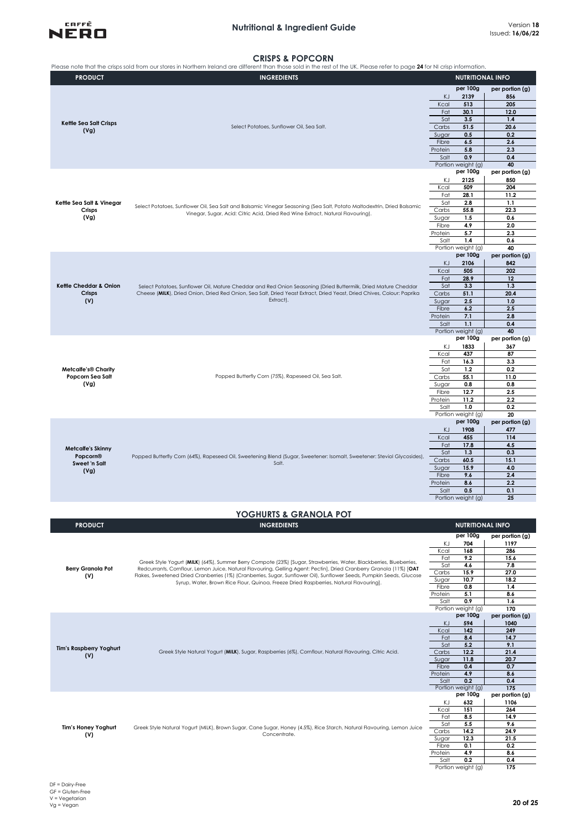

# **CRISPS & POPCORN**

|                                 | Please note that the crisps sold from our stores in Northern Ireland are different than those sold in the rest of the UK. Please refer to page 24 for NI crisp information.                                                                  |                                   |                         |
|---------------------------------|----------------------------------------------------------------------------------------------------------------------------------------------------------------------------------------------------------------------------------------------|-----------------------------------|-------------------------|
| <b>PRODUCT</b>                  | <b>INGREDIENTS</b>                                                                                                                                                                                                                           | <b>NUTRITIONAL INFO</b>           |                         |
|                                 |                                                                                                                                                                                                                                              | per 100g                          | per portion (g)         |
|                                 |                                                                                                                                                                                                                                              | KJ<br>2139                        | 856                     |
|                                 |                                                                                                                                                                                                                                              | Kcal<br>513                       | 205                     |
|                                 |                                                                                                                                                                                                                                              |                                   | 12.0                    |
| Kettle Sea Salt Crisps          |                                                                                                                                                                                                                                              | Sat<br>3.5                        | 1.4                     |
| (Vg)                            | Select Potatoes, Sunflower Oil, Sea Salt.                                                                                                                                                                                                    | Carbs<br>51.5<br>0.5<br>Sugar     | 20.6<br>0.2             |
|                                 |                                                                                                                                                                                                                                              | Fibre<br>6.5                      | 2.6                     |
|                                 |                                                                                                                                                                                                                                              | 5.8<br>Protein                    | 2.3                     |
|                                 |                                                                                                                                                                                                                                              | 0.9<br>Salt                       | 0.4                     |
|                                 |                                                                                                                                                                                                                                              | Portion weight (g)                | 40                      |
|                                 |                                                                                                                                                                                                                                              | per 100g<br>ΚJ<br>2125            | per portion (g)<br>850  |
|                                 |                                                                                                                                                                                                                                              | Kcal<br>509                       | 204                     |
|                                 |                                                                                                                                                                                                                                              | Fat<br>28.1                       | 11.2                    |
| Kettle Sea Salt & Vinegar       | Select Potatoes, Sunflower Oil, Sea Salt and Balsamic Vinegar Seasoning (Sea Salt, Potato Maltodextrin, Dried Balsamic                                                                                                                       | Sat<br>2.8                        | 1.1                     |
| Crisps                          | Vinegar, Sugar, Acid: Citric Acid, Dried Red Wine Extract, Natural Flavouring).                                                                                                                                                              | Carbs<br>55.8                     | 22.3                    |
| (Vg)                            |                                                                                                                                                                                                                                              | 1.5<br>Sugar<br>Fibre             | 0.6<br>2.0              |
|                                 |                                                                                                                                                                                                                                              | 4.9<br>Protein<br>5.7             | 2.3                     |
|                                 |                                                                                                                                                                                                                                              | Salt<br>1.4                       | 0.6                     |
|                                 |                                                                                                                                                                                                                                              | Portion weight (g)                | 40                      |
|                                 |                                                                                                                                                                                                                                              | per 100g                          | per portion (g)         |
|                                 |                                                                                                                                                                                                                                              | 2106<br>ΚJ                        | 842                     |
|                                 |                                                                                                                                                                                                                                              | 505<br>Kcal<br>Fat<br>28.9        | 202<br>12               |
| Kettle Cheddar & Onion          | Select Potatoes, Sunflower Oil, Mature Cheddar and Red Onion Seasoning (Dried Buttermilk, Dried Mature Cheddar                                                                                                                               | Sat<br>3.3                        | 1.3                     |
| Crisps                          | Cheese (MILK), Dried Onion, Dried Red Onion, Sea Salt, Dried Yeast Extract, Dried Yeast, Dried Chives, Colour: Paprika                                                                                                                       | Carbs<br>51.1                     | 20.4                    |
| (V)                             | Extract).                                                                                                                                                                                                                                    | 2.5<br>Sugar                      | 1.0                     |
|                                 |                                                                                                                                                                                                                                              | Fibre<br>6.2                      | 2.5                     |
|                                 |                                                                                                                                                                                                                                              | 7.1<br>Protein                    | 2.8                     |
|                                 |                                                                                                                                                                                                                                              | 1.1<br>Salt                       | 0.4                     |
|                                 |                                                                                                                                                                                                                                              | Portion weight (g)<br>per 100g    | 40<br>per portion (g)   |
|                                 |                                                                                                                                                                                                                                              | ΚJ<br>1833                        | 367                     |
|                                 |                                                                                                                                                                                                                                              | Kcal<br>437                       | 87                      |
|                                 |                                                                                                                                                                                                                                              | Fat<br>16.3                       | 3.3                     |
| <b>Metcalfe's® Charity</b>      |                                                                                                                                                                                                                                              | 1.2<br>Sat                        | 0.2                     |
| Popcorn Sea Salt                | Popped Butterfly Corn (75%), Rapeseed Oil, Sea Salt.                                                                                                                                                                                         | 55.1<br>Carbs                     | 11.0                    |
| (Vg)                            |                                                                                                                                                                                                                                              | Sugar<br>0.8                      | 0.8                     |
|                                 |                                                                                                                                                                                                                                              | Fibre<br>12.7<br>11.2<br>Protein  | 2.5<br>2.2              |
|                                 |                                                                                                                                                                                                                                              | 1.0<br>Salt                       | 0.2                     |
|                                 |                                                                                                                                                                                                                                              | Portion weight (g)                | 20                      |
|                                 |                                                                                                                                                                                                                                              | per 100g                          | per portion (g)         |
|                                 |                                                                                                                                                                                                                                              | KJ<br>1908                        | 477                     |
|                                 |                                                                                                                                                                                                                                              | Kcal<br>455                       | 114                     |
| <b>Metcalfe's Skinny</b>        |                                                                                                                                                                                                                                              | Fat<br>17.8<br>1.3                | 4.5<br>0.3              |
| Popcorn®                        | Popped Butterfly Corn (64%), Rapeseed Oil, Sweetening Blend (Sugar, Sweetener: Isomalt, Sweetener: Steviol Glycosides),                                                                                                                      | Sat<br>Carbs<br>60.5              | 15.1                    |
| Sweet 'n Salt                   | Salt.                                                                                                                                                                                                                                        | 15.9<br>Sugar                     | 4.0                     |
| (Vg)                            |                                                                                                                                                                                                                                              | Fibre<br>9.6                      | 2.4                     |
|                                 |                                                                                                                                                                                                                                              | Protein<br>8.6                    | 2.2                     |
|                                 |                                                                                                                                                                                                                                              | Salt<br>0.5                       | 0.1                     |
|                                 |                                                                                                                                                                                                                                              | Portion weight (g)                | 25                      |
|                                 | YOGHURTS & GRANOLA POT                                                                                                                                                                                                                       |                                   |                         |
|                                 |                                                                                                                                                                                                                                              |                                   |                         |
| <b>PRODUCT</b>                  | <b>INGREDIENTS</b>                                                                                                                                                                                                                           | <b>NUTRITIONAL INFO</b>           |                         |
|                                 |                                                                                                                                                                                                                                              | per 100g                          | per portion (g)         |
|                                 |                                                                                                                                                                                                                                              | ΚJ<br>704                         | 1197                    |
|                                 |                                                                                                                                                                                                                                              | Kcal<br>168<br>Fat<br>9.2         | 286<br>15.6             |
|                                 | Greek Style Yogurt (MILK) (64%), Summer Berry Compote (23%) [Sugar, Strawberries, Water, Blackberries, Blueberries,                                                                                                                          | Sat<br>4.6                        | 7.8                     |
| <b>Berry Granola Pot</b><br>(V) | Redcurrants, Cornflour, Lemon Juice, Natural Flavouring, Gelling Agent: Pectin], Dried Cranberry Granola (11%) [OAT<br>Flakes, Sweetened Dried Cranberries (1%) (Cranberries, Sugar, Sunflower Oil), Sunflower Seeds, Pumpkin Seeds, Glucose | 15.9<br>Carbs                     | 27.0                    |
|                                 | Syrup, Water, Brown Rice Flour, Quinoa, Freeze Dried Raspberries, Natural Flavouring].                                                                                                                                                       | Sugar<br>10.7                     | 18.2                    |
|                                 |                                                                                                                                                                                                                                              | 0.8<br>Fibre<br>Protein           | 1.4                     |
|                                 |                                                                                                                                                                                                                                              | 5.1<br>Salt<br>0.9                | 8.6<br>1.6              |
|                                 |                                                                                                                                                                                                                                              | Portion weight (g)                | 170                     |
|                                 |                                                                                                                                                                                                                                              |                                   |                         |
|                                 |                                                                                                                                                                                                                                              | per 100g                          | per portion (g)         |
|                                 |                                                                                                                                                                                                                                              | KJ<br>594                         | 1040                    |
|                                 |                                                                                                                                                                                                                                              | Kcal<br>142                       | 249                     |
|                                 |                                                                                                                                                                                                                                              | 8.4<br>Fat                        | 14.7                    |
| Tim's Raspberry Yoghurt         | Greek Style Natural Yogurt (MILK), Sugar, Raspberries (6%), Cornflour, Natural Flavouring, Citric Acid.                                                                                                                                      | Sat<br>5.2<br>12.2<br>Carbs       | 9.1<br>21.4             |
| (V)                             |                                                                                                                                                                                                                                              | 11.8<br>Sugar                     | 20.7                    |
|                                 |                                                                                                                                                                                                                                              | Fibre<br>0.4                      | 0.7                     |
|                                 |                                                                                                                                                                                                                                              | 4.9<br>Protein                    | 8.6                     |
|                                 |                                                                                                                                                                                                                                              | Salt<br>0.2                       | 0.4                     |
|                                 |                                                                                                                                                                                                                                              | Portion weight (g)<br>per 100g    | 175                     |
|                                 |                                                                                                                                                                                                                                              | KJ<br>632                         | per portion (g)<br>1106 |
|                                 |                                                                                                                                                                                                                                              | Kcal<br>151                       | 264                     |
|                                 |                                                                                                                                                                                                                                              | 8.5<br>Fat                        | 14.9                    |
| Tim's Honey Yoghurt             | Greek Style Natural Yogurt (MILK), Brown Sugar, Cane Sugar, Honey (4.5%), Rice Starch, Natural Flavouring, Lemon Juice                                                                                                                       | 5.5<br>Sat                        | 9.6                     |
| (V)                             | Concentrate.                                                                                                                                                                                                                                 | 14.2<br>Carbs                     | 24.9                    |
|                                 |                                                                                                                                                                                                                                              | 12.3<br>Sugar<br>Fibre<br>0.1     | 21.5<br>0.2             |
|                                 |                                                                                                                                                                                                                                              | Protein<br>4.9                    | 8.6                     |
|                                 |                                                                                                                                                                                                                                              | Salt<br>0.2<br>Portion weight (g) | 0.4<br>175              |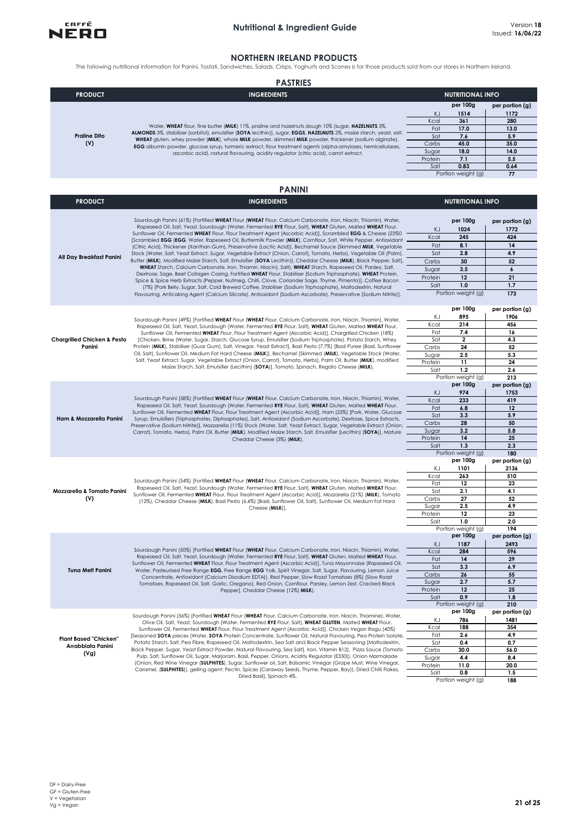

#### **NORTHERN IRELAND PRODUCTS**

The following nutritional information for Panini, Tostati, Sandwiches, Salads, Crisps, Yoghurts and Scones is for those products sold from our stores in Northern Ireland.

| <b>PASTRIES</b>            |                                                                                                                                                                                                                                                                                                                                                                                                                                                             |         |                         |                 |  |
|----------------------------|-------------------------------------------------------------------------------------------------------------------------------------------------------------------------------------------------------------------------------------------------------------------------------------------------------------------------------------------------------------------------------------------------------------------------------------------------------------|---------|-------------------------|-----------------|--|
| <b>PRODUCT</b>             | <b>INGREDIENTS</b>                                                                                                                                                                                                                                                                                                                                                                                                                                          |         | <b>NUTRITIONAL INFO</b> |                 |  |
|                            |                                                                                                                                                                                                                                                                                                                                                                                                                                                             |         | per 100g                | per portion (g) |  |
|                            |                                                                                                                                                                                                                                                                                                                                                                                                                                                             | ΚJ      | 1514                    | 1172            |  |
| <b>Praline Dito</b><br>(V) | Water, WHEAT flour, fine butter (MILK) 11%, praline and hazelnuts dough 10% (sugar, HAZELNUTS 3%,<br>ALMONDS 3%, stabilizer (sorbitol), emulsifier (SOYA lecithin)), sugar, EGGS, HAZELNUTS 3%, maize starch, yeast, salt,<br>WHEAT gluten, whey powder (MILK), whole MILK powder, skimmed MILK powder, thickener (sodium alginate),<br><b>EGG</b> albumin powder, glucose syrup, turmeric extract, flour treatment agents (alpha-amylases, hemicellulases, | Kcal    | 361                     | 280             |  |
|                            |                                                                                                                                                                                                                                                                                                                                                                                                                                                             | Fat     | 17.0                    | 13.0            |  |
|                            |                                                                                                                                                                                                                                                                                                                                                                                                                                                             | Sat     | 7.6                     | 5.9             |  |
|                            |                                                                                                                                                                                                                                                                                                                                                                                                                                                             | Carbs   | 45.0                    | 35.0            |  |
|                            | ascorbic acid), natural flavouring, acidity regulator (citric acid), carrot extract.                                                                                                                                                                                                                                                                                                                                                                        | Sugar   | 18.0                    | 14.0            |  |
|                            |                                                                                                                                                                                                                                                                                                                                                                                                                                                             | Protein | 7.1                     | 5.5             |  |
|                            |                                                                                                                                                                                                                                                                                                                                                                                                                                                             | Salt    | 0.83                    | 0.64            |  |
|                            |                                                                                                                                                                                                                                                                                                                                                                                                                                                             |         | Portion weight (g)      | 77              |  |

|                                                           | <b>PANINI</b>                                                                                                                                                                                                                                                                                                                                                                                                                                                                                                                                                                                                                                                                                                                                                                                                                                                                                                                                                                                                                                                                                                                                                                                                                                                                                                                                                                                            |                                                                |                                                                                              |                                                                                   |
|-----------------------------------------------------------|----------------------------------------------------------------------------------------------------------------------------------------------------------------------------------------------------------------------------------------------------------------------------------------------------------------------------------------------------------------------------------------------------------------------------------------------------------------------------------------------------------------------------------------------------------------------------------------------------------------------------------------------------------------------------------------------------------------------------------------------------------------------------------------------------------------------------------------------------------------------------------------------------------------------------------------------------------------------------------------------------------------------------------------------------------------------------------------------------------------------------------------------------------------------------------------------------------------------------------------------------------------------------------------------------------------------------------------------------------------------------------------------------------|----------------------------------------------------------------|----------------------------------------------------------------------------------------------|-----------------------------------------------------------------------------------|
| <b>PRODUCT</b>                                            | <b>INGREDIENTS</b>                                                                                                                                                                                                                                                                                                                                                                                                                                                                                                                                                                                                                                                                                                                                                                                                                                                                                                                                                                                                                                                                                                                                                                                                                                                                                                                                                                                       |                                                                | <b>NUTRITIONAL INFO</b>                                                                      |                                                                                   |
| All Day Breakfast Panini                                  | Sourdough Panini (61%) [Fortified WHEAT Flour (WHEAT Flour, Calcium Carbonate, Iron, Niacin, Thiamin), Water,<br>Rapeseed Oil, Salt, Yeast, Sourdough (Water, Fermented RYE Flour, Salt), WHEAT Gluten, Malted WHEAT Flour,<br>Sunflower Oil, Fermented WHEAT Flour, Flour Treatment Agent (Ascorbic Acid)], Scrambled EGG & Cheese (23%0<br>[Scrambled EGG (EGG, Water, Rapeseed Oil, Buttermilk Powder (MILK), Cornflour, Salt, White Pepper, Antioxidant<br>(Citric Acid), Thickener (Xanthan Gum), Preservative (Lactic Acid)), Bechamel Sauce (Skimmed MILK, Vegetable<br>Stock (Water, Salt, Yeast Extract, Sugar, Vegetable Extract (Onion, Carrot), Tomato, Herbs), Vegetable Oil (Palm),<br>Butter (MILK), Modified Maize Starch, Salt, Emulsifier (SOYA Lecithin)), Cheddar Cheese (MILK), Black Pepper, Salt],<br>WHEAT Starch, Calcium Carbonate, Iron, Thiamin, Niacin), Salt), WHEAT Starch, Rapeseed Oil, Parsley, Salt,<br>Dextrose, Sage, Beef Collagen Casing, Fortified WHEAT Flour, Stabiliser (Sodium Triphosphate), WHEAT Protein,<br>Spice & Spice Herb Extracts (Pepper, Nutmeg, Chilli, Clove, Coriander Sage, Thyme, Pimento)], Coffee Bacon<br>(7%) [Pork Belly, Sugar, Salt, Cold Brewed Coffee, Stabiliser (Sodium Triphosphate), Maltodextrin, Natural<br>Flavouring, Anticaking Agent (Calcium Silicate), Antioxidant (Sodium Ascorbate), Preservative (Sodium Nitrite)]. | KJ<br>Kcal<br>Fat<br>Sat<br>Carbs<br>Sugar<br>Protein<br>Salt  | per 100g<br>1024<br>245<br>8.1<br>2.8<br>30<br>3.5<br>12<br>1.0<br>Portion weight (g)        | per portion (g)<br>1772<br>424<br>14<br>4.9<br>52<br>6<br>21<br>1.7<br>173        |
| Chargrilled Chicken & Pesto<br>Panini                     | Sourdough Panini (49%) [Fortified WHEAT Flour (WHEAT Flour, Calcium Carbonate, Iron, Niacin, Thiamin), Water,<br>Rapeseed Oil, Salt, Yeast, Sourdough (Water, Fermented RYE Flour, Salt), WHEAT Gluten, Malted WHEAT Flour,<br>Sunflower Oil, Fermented WHEAT Flour, Flour Treatment Agent (Ascorbic Acid)], Chargrilled Chicken (18%)<br>[Chicken, Brine (Water, Sugar, Starch, Glucose Syrup, Emulsifier (Sodium Triphosphate), Potato Starch, Whey<br>Protein (MILK), Stabiliser (Guar Gum), Salt, Vinegar, Yeast Extract], Basil Pesto (7.7%) [Basil Puree (Basil, Sunflower<br>Oil, Salt), Sunflower Oil, Medium Fat Hard Cheese (MILK)], Bechamel [Skimmed (MILK), Vegetable Stock (Water,<br>Salt, Yeast Extract, Sugar, Vegetable Extract (Onion, Carrot), Tomato, Herbs), Palm Oil, Butter (MILK), modified<br>Maize Starch, Salt, Emulsifier (Lecithin) (SOYA)], Tomato, Spinach, Regato Cheese (MILK).                                                                                                                                                                                                                                                                                                                                                                                                                                                                                        | KΙ<br>Kcal<br>Fat<br>Sat<br>Carbs<br>Sugar<br>Protein<br>Salt  | per 100g<br>895<br>214<br>7.4<br>$\mathbf 2$<br>24<br>2.5<br>11<br>1.2<br>Portion weight (g) | per portion (g)<br>1906<br>456<br>16<br>4.3<br>52<br>5.3<br>24<br>2.6<br>213      |
| Ham & Mozzarella Panini                                   | Sourdough Panini (58%) [Fortified WHEAT Flour (WHEAT Flour, Calcium Carbonate, Iron, Niacin, Thiamin), Water,<br>Rapeseed Oil, Salt, Yeast, Sourdough (Water, Fermented RYE Flour, Salt), WHEAT Gluten, Malted WHEAT Flour,<br>Sunflower Oil, Fermented WHEAT Flour, Flour Treatment Agent (Ascorbic Acid)], Ham (22%) [Pork, Water, Glucose<br>Syrup, Emulsifiers (Triphosphates, Diphosphates), Salt, Antioxidant (Sodium Ascorbate), Dextrose, Spice Extracts,<br>Preservative (Sodium Nitrite)], Mozzarella (11%) Stock (Water, Salt, Yeast Extract, Sugar, Vegetable Extract (Onion,<br>Carrot), Tomato, Herbs), Palm Oil, Butter (MILK), Modified Maize Starch, Salt, Emulsifier (Lecithin) (SOYA)], Mature<br>Cheddar Cheese (3%) (MILK).                                                                                                                                                                                                                                                                                                                                                                                                                                                                                                                                                                                                                                                         | K.I<br>Kcal<br>Fat<br>Sat<br>Carbs<br>Sugar<br>Protein<br>Salt | per 100g<br>974<br>233<br>6.8<br>3.3<br>28<br>3.2<br>14<br>1.3<br>Portion weight (g)         | per portion (g)<br>1753<br>419<br>12<br>5.9<br>50<br>5.8<br>25<br>2.3<br>180      |
| Mozzarella & Tomato Panini<br>(V)                         | Sourdough Panini (54%) [Fortified WHEAT Flour (WHEAT Flour, Calcium Carbonate, Iron, Niacin, Thiamin), Water,<br>Rapeseed Oil, Salt, Yeast, Sourdough (Water, Fermented RYE Flour, Salt), WHEAT Gluten, Malted WHEAT Flour,<br>Sunflower Oil, Fermented WHEAT Flour, Flour Treatment Agent (Ascorbic Acid)], Mozzarella (21%) (MILK), Tomato<br>(12%), Cheddar Cheese (MILK), Basil Pesto (6.4%) [Basil, Sunflower Oil, Salt), Sunflower Oil, Medium Fat Hard<br>Cheese (MILK)].                                                                                                                                                                                                                                                                                                                                                                                                                                                                                                                                                                                                                                                                                                                                                                                                                                                                                                                         | ΚJ<br>Kcal<br>Fat<br>Sat<br>Carbs<br>Sugar<br>Protein<br>Salt  | per 100g<br>1101<br>263<br>12<br>2.1<br>27<br>2.5<br>12<br>1.0<br>Portion weight (g)         | per portion (g)<br>2136<br>510<br>23<br>4.1<br>52<br>4.9<br>23<br>2.0<br>194      |
| <b>Tuna Melt Panini</b>                                   | Sourdough Panini (50%) [Fortified WHEAT Flour (WHEAT Flour, Calcium Carbonate, Iron, Niacin, Thiamin), Water,<br>Rapeseed Oil, Salt, Yeast, Sourdough (Water, Fermented RYE Flour, Salt), WHEAT Gluten, Malted WHEAT Flour,<br>Sunflower Oil, Fermented WHEAT Flour, Flour Treatment Agent (Ascorbic Acid)], Tuna Mayonnaise (Rapeseed Oil,<br>Water, Pasteurised Free Range EGG, Free Range EGG Yolk, Spirit Vinegar, Salt, Sugar, Flavouring, Lemon Juice<br>Concentrate, Antioxidant (Calcium Disodium EDTA)), Red Pepper, Slow Roast Tomatoes (8%) (Slow Roast<br>Tomatoes, Rapeseed Oil, Salt, Garlic, Oregano), Red Onion, Cornflour, Parsley, Lemon Zest, Cracked Black<br>Pepper], Cheddar Cheese (12%) MILK).                                                                                                                                                                                                                                                                                                                                                                                                                                                                                                                                                                                                                                                                                   | KJ<br>Kcal<br>Fat<br>Sat<br>Carbs<br>Sugar<br>Protein<br>Salt  | per 100g<br>1187<br>284<br>14<br>3.3<br>26<br>2.7<br>12<br>0.9<br>Portion weight (g)         | per portion (g)<br>2493<br>596<br>29<br>6.9<br>55<br>5.7<br>25<br>1.8<br>210      |
| <b>Plant Based "Chicken"</b><br>Arrabbiata Panini<br>(Vg) | Sourdough Panini (56%) [Fortified WHEAT Flour (WHEAT Flour, Calcium Carbonate, Iron, Niacin, Thiamine), Water,<br>Olive Oil, Salt, Yeast, Sourdough (Water, Fermented RYE Flour, Salt), WHEAT GLUTEN, Malted WHEAT Flour,<br>Sunflower Oil, Fermented WHEAT Flour, Flour Treatment Agent (Ascorbic Acid)], Chicken Vegan Ragu (40%)<br>[Seasoned SOYA pieces (Water, SOYA Protein Concentrate, Sunflower Oil, Natural Flavouring, Pea Protein Isolate,<br>Potato Starch, Salt, Pea Fibre, Rapeseed Oil, Maltodextrin, Sea Salt and Black Pepper Seasoning [Maltodextrin,<br>Black Pepper, Sugar, Yeast Extract Powder, Natural Flavouring, Sea Salt], Iron, Vitamin B12), Pizza Sauce (Tomato<br>Pulp, Salt, Sunflower Oil, Sugar, Marjoram, Basil, Pepper, Onions, Acidity Regulator (E330)), Onion Marmalade<br>(Onion, Red Wine Vinegar (SULPHITES), Sugar, Sunflower oil, Salt, Balsamic Vinegar (Grape Must, Wine Vinegar,<br>Caramel, (SULPHITES)), gelling agent: Pectin, Spices (Caraway Seeds, Thyme, Pepper, Bay)), Dried Chilli Flakes,<br>Dried Basil], Spinach 4%.                                                                                                                                                                                                                                                                                                                          | ΚJ<br>Kcal<br>Fat<br>Sat<br>Carbs<br>Sugar<br>Protein<br>Salt  | per 100g<br>786<br>188<br>2.6<br>0.4<br>30.0<br>4.4<br>11.0<br>0.8<br>Portion weight (g)     | per portion (g)<br>1481<br>354<br>4.9<br>0.7<br>56.0<br>8.4<br>20.0<br>1.5<br>188 |

**1.5**<br> **1.5**<br> **1.5**<br> **1.5**<br> **1.5**<br> **1.5**<br> **1.5** 

NERO

**188**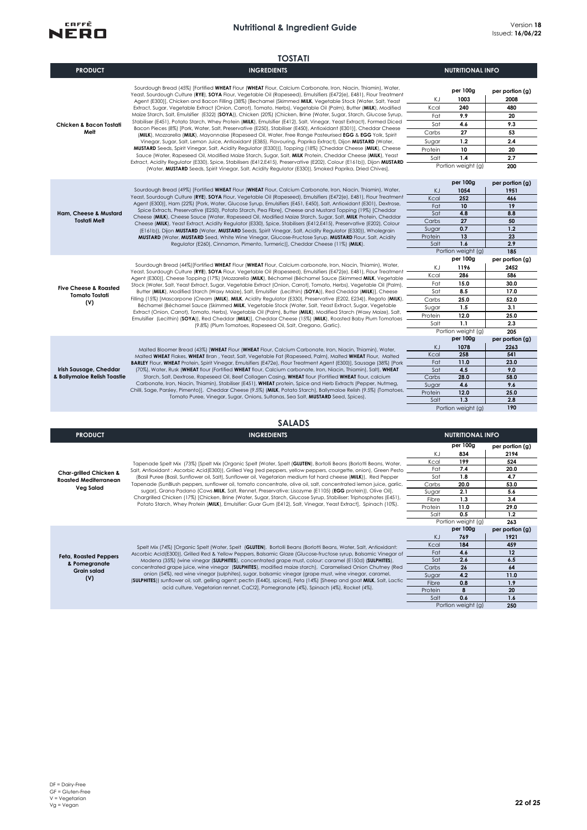

|                                                                            | <b>TOSTATI</b>                                                                                                                                                                                                                                                                                                                                                                                                                                                                                                                                                                                                                                                                                                                                                                                                                                                                                                                                                                                                                                                                                                                                                                                                                                                                                                                                                                                                                                                                                                                          |                                                                        |                                                                                                             |                                                                                                              |
|----------------------------------------------------------------------------|-----------------------------------------------------------------------------------------------------------------------------------------------------------------------------------------------------------------------------------------------------------------------------------------------------------------------------------------------------------------------------------------------------------------------------------------------------------------------------------------------------------------------------------------------------------------------------------------------------------------------------------------------------------------------------------------------------------------------------------------------------------------------------------------------------------------------------------------------------------------------------------------------------------------------------------------------------------------------------------------------------------------------------------------------------------------------------------------------------------------------------------------------------------------------------------------------------------------------------------------------------------------------------------------------------------------------------------------------------------------------------------------------------------------------------------------------------------------------------------------------------------------------------------------|------------------------------------------------------------------------|-------------------------------------------------------------------------------------------------------------|--------------------------------------------------------------------------------------------------------------|
| <b>PRODUCT</b>                                                             | <b>INGREDIENTS</b>                                                                                                                                                                                                                                                                                                                                                                                                                                                                                                                                                                                                                                                                                                                                                                                                                                                                                                                                                                                                                                                                                                                                                                                                                                                                                                                                                                                                                                                                                                                      |                                                                        | <b>NUTRITIONAL INFO</b>                                                                                     |                                                                                                              |
| Chicken & Bacon Tostati<br>Melt                                            | Sourdough Bread (45%) [Fortified WHEAT Flour (WHEAT Flour, Calcium Carbonate, Iron, Niacin, Thiamin), Water,<br>Yeast, Sourdough Culture (RYE), SOYA Flour, Vegetable Oil (Rapeseed), Emulsifiers (E472(e), E481), Flour Treatment<br>Agent (E300)], Chicken and Bacon Filling (38%) [Bechamel (Skimmed MILK, Vegetable Stock (Water, Salt, Yeast<br>Extract, Sugar, Vegetable Extract (Onion, Carrot), Tomato, Herbs), Vegetable Oil (Palm), Butter (MILK), Modified<br>Maize Starch, Salt, Emulsifier (E322) (SOYA)), Chicken (20%) (Chicken, Brine (Water, Sugar, Starch, Glucose Syrup,<br>Stabiliser (E451), Potato Starch, Whey Protein (MILK), Emulsifier (E412), Salt, Vinegar, Yeast Extract), Formed Diced<br>Bacon Pieces (8%) [Pork, Water, Salt, Preservative (E250), Stabiliser (E450), Antioxidant (E301)], Cheddar Cheese<br>(MILK), Mozzarella (MILK), Mayonnaise (Rapeseed Oil, Water, Free Range Pasteurised EGG & EGG Yolk, Spirit<br>Vinegar, Sugar, Salt, Lemon Juice, Antioxidant (E385), Flavouring, Paprika Extract), Dijon MUSTARD (Water,<br>MUSTARD Seeds, Spirit Vinegar, Salt, Acidity Regulator (E330))], Topping (18%) [Cheddar Cheese (MILK), Cheese<br>Sauce (Water, Rapeseed Oil, Modified Maize Starch, Sugar, Salt, MILK Protein, Cheddar Cheese (MILK), Yeast<br>Extract, Acidity Regulator (E330), Spice, Stabilisers (E412,E415), Preservative (E202), Colour (E161b)), Dijon MUSTARD<br>(Water, MUSTARD Seeds, Spirit Vinegar, Salt, Acidity Regulator (E330)), Smoked Paprika, Dried Chives]. | KJ<br>Kcal<br>Fat<br>Sat<br>Carbs<br>Sugar<br>Protein<br>Salt          | per 100g<br>1003<br>240<br>9.9<br>4.6<br>27<br>1.2<br>10<br>1.4<br>Portion weight (g)                       | per portion (g)<br>2008<br>480<br>20<br>9.3<br>53<br>2.4<br>20<br>2.7<br>200                                 |
| Ham, Cheese & Mustard<br><b>Tostati Melt</b>                               | Sourdough Bread (49%) [Fortified WHEAT Flour (WHEAT Flour, Calcium Carbonate, Iron, Niacin, Thiamin), Water,<br>Yeast, Sourdough Culture (RYE), SOYA Flour, Vegetable Oil (Rapeseed), Emulsifiers (E472(e), E481), Flour Treatment<br>Agent (E300)], Ham (22%) [Pork, Water, Glucose Syrup, Emulsifiers (E451, E450), Salt, Antioxidant (E301), Dextrose,<br>Spice Extracts, Preservative (E250), Potato Starch, Pea Fibre], Cheese and Mustard Topping (19%) [Cheddar<br>Cheese (MILK), Cheese Sauce (Water, Rapeseed Oil, Modified Maize Starch, Sugar, Salt, MILK Protein, Cheddar<br>Cheese (MILK), Yeast Extract, Acidity Regulator (E330), Spice, Stabilisers (E412,E415), Preservative (E202), Colour<br>(E161b)), Dijon MUSTARD (Water, MUSTARD Seeds, Spirit Vinegar, Salt, Acidity Regulator (E330)), Wholegrain<br>MUSTARD (Water, MUSTARD Seed, White Wine Vinegar, Glucose-Fructose Syrup, MUSTARD Flour, Salt, Acidity<br>Regulator (E260), Cinnamon, Pimento, Turmeric)], Cheddar Cheese (11%) (MILK).                                                                                                                                                                                                                                                                                                                                                                                                                                                                                                                   | KJ<br>Kcal<br>Fat<br>Sat<br>Carbs<br>Sugar<br>Protein<br>Salt          | per 100g<br>1054<br>252<br>10<br>4.8<br>27<br>0.7<br>13<br>1.6<br>Portion weight (g)                        | per portion (g)<br>1951<br>466<br>19<br>8.8<br>50<br>1.2<br>23<br>2.9<br>185                                 |
| <b>Five Cheese &amp; Roasted</b><br><b>Tomato Tostati</b><br>(V)           | Sourdough Bread (44%) [Fortified WHEAT Flour (WHEAT Flour, Calcium carbonate, Iron, Niacin, Thiamin), Water,<br>Yeast, Sourdough Culture (RYE), SOYA Flour, Vegetable Oil (Rapeseed), Emulsifiers (E472(e), E481), Flour Treatment<br>Agent (E300)], Cheese Topping (17%) [Mozzarella (MILK), Béchamel (Béchamel Sauce (Skimmed MILK, Vegetable -<br>Stock (Water, Salt, Yeast Extract, Sugar, Vegetable Extract (Onion, Carrot), Tomato, Herbs), Vegetable Oil (Palm),<br>Butter (MILK), Modified Starch (Waxy Maize), Salt, Emulsifier (Lecithin) (SOYA)), Red Cheddar (MILK)], Cheese<br>Filling (15%) [Mascarpone (Cream (MILK), MILK, Acidity Regulator (E330), Preservative (E202, E234)), Regato (MILK),<br>Béchamel (Béchamel Sauce (Skimmed MILK, Vegetable Stock (Water, Salt, Yeast Extract, Sugar, Vegetable<br>Extract (Onion, Carrot), Tomato, Herbs), Vegetable Oil (Palm), Butter (MILK), Modified Starch (Waxy Maize), Salt,<br>Emulsifier (Lecithin) (SOYA)), Red Cheddar (MILK)], Cheddar Cheese (15%) (MILK), Roasted Baby Plum Tomatoes<br>(9.8%) (Plum Tomatoes, Rapeseed Oil, Salt, Oregano, Garlic).                                                                                                                                                                                                                                                                                                                                                                                                            | ΚJ<br>Kcal<br>Fat<br>Sat<br>Carbs<br>Sugar<br>Protein<br>Salt          | per 100g<br>1196<br>286<br>15.0<br>8.5<br>25.0<br>1.5<br>12.0<br>1.1<br>Portion weight (g)                  | per portion (g)<br>2452<br>586<br>30.0<br>17.0<br>52.0<br>3.1<br>25.0<br>2.3<br>205                          |
| Irish Sausage, Cheddar<br>& Ballymaloe Relish Toastie                      | Malted Bloomer Bread (43%) [WHEAT Flour (WHEAT Flour, Calcium Carbonate, Iron, Niacin, Thiamin), Water,<br>Malted WHEAT Flakes, WHEAT Bran, Yeast, Salt, Vegetable Fat (Rapeseed, Palm), Malted WHEAT Flour, Malted<br>BARLEY Flour, WHEAT Protein, Spirit Vinegar, Emulsifiers (E472e), Flour Treatment Agent (E300)], Sausage (38%) [Pork<br>(70%), Water, Rusk (WHEAT flour (Fortified WHEAT flour, Calcium carbonate, Iron, Niacin, Thiamin), Salt), WHEAT<br>Starch, Salt, Dextrose, Rapeseed Oil, Beef Collagen Casing, WHEAT flour (Fortified WHEAT flour, calcium<br>Carbonate, Iron, Niacin, Thiamin), Stabiliser (E451), WHEAT protein, Spice and Herb Extracts (Pepper, Nutmeg,<br>Chilli, Sage, Parsley, Pimento)], Cheddar Cheese (9.5%) (MILK, Potato Starch), Ballymaloe Relish (9.5%) (Tomatoes,<br>Tomato Puree, Vinegar, Sugar, Onions, Sultanas, Sea Salt, MUSTARD Seed, Spices).                                                                                                                                                                                                                                                                                                                                                                                                                                                                                                                                                                                                                                    | KJ<br>Kcal<br>Fat<br>Sat<br>Carbs<br>Sugar<br>Protein<br>Salt          | per 100g<br>1078<br>258<br>11.0<br>4.5<br>28.0<br>4.6<br>12.0<br>1.3<br>Portion weight (g)                  | per portion (g)<br>2263<br>541<br>23.0<br>9.0<br>58.0<br>9.6<br>25.0<br>2.8<br>190                           |
|                                                                            | <b>SALADS</b>                                                                                                                                                                                                                                                                                                                                                                                                                                                                                                                                                                                                                                                                                                                                                                                                                                                                                                                                                                                                                                                                                                                                                                                                                                                                                                                                                                                                                                                                                                                           |                                                                        |                                                                                                             |                                                                                                              |
| <b>PRODUCT</b>                                                             | <b>INGREDIENTS</b>                                                                                                                                                                                                                                                                                                                                                                                                                                                                                                                                                                                                                                                                                                                                                                                                                                                                                                                                                                                                                                                                                                                                                                                                                                                                                                                                                                                                                                                                                                                      |                                                                        | <b>NUTRITIONAL INFO</b>                                                                                     |                                                                                                              |
| Char-grilled Chicken &<br><b>Roasted Mediterranean</b><br><b>Veg Salad</b> | Tapenade Spelt Mix (73%) [Spelt Mix (Organic Spelt (Water, Spelt (GLUTEN), Bortolli Beans (Borlotti Beans, Water,<br>Salt, Antioxidant: Ascorbic Acid(E300)), Grilled Veg (red peppers, yellow peppers, courgette, onion), Green Pesto<br>(Basil Puree (Basil, Sunflower oil, Salt), Sunflower oil, Vegetarian medium fat hard cheese (MILK)), Red Pepper<br>Tapenade (SunBlush peppers, sunflower oil, tomato concentrate, olive oil, salt, concentrated lemon juice, garlic,<br>sugar), Grana Padano (Cows MILK, Salt, Rennet, Preservative: Lisozyme (E1105) (EGG protein)), Olive Oil],<br>Chargrilled Chicken (17%) [Chicken, Brine (Water, Sugar, Starch, Glucose Syrup, Stabiliser: Triphosphates (E451),<br>Potato Starch, Whey Protein (MILK), Emulsifier: Guar Gum (E412), Salt, Vinegar, Yeast Extract], Spinach (10%).                                                                                                                                                                                                                                                                                                                                                                                                                                                                                                                                                                                                                                                                                                      | KJ<br>Kcal<br>Fat<br>Sat<br>Carbs<br>Sugar<br>Fibre<br>Protein<br>Salt | per 100g<br>834<br>199<br>7.4<br>1.8<br>20.0<br>2.1<br>1.3<br>11.0<br>0.5<br>Portion weight (g)<br>per 100g | per portion (g)<br>2194<br>524<br>20.0<br>4.7<br>53.0<br>5.6<br>3.4<br>29.0<br>1.2<br>263<br>per portion (g) |

**Feta, Roasted Peppers & Pomegranate Grain salad (V)**

Spelt Mix (74%) [Organic Spelt (Water, Spelt (**GLUTEN**), Bortolli Beans (Borlotti Beans, Water, Salt, Antioxidant:<br>Ascorbic Acid(E300)), Grilled Red & Yellow Peppers, Balsamic Glaze (Glucose-fructose syrup, Balsamic Vinega

KJ **769 1921**

Fat **4.6 12** Sat **2.6 6.5** Carbs 26 64<br>Sugar 4.2 11.0

Fibre **0.8 1.9** Protein **8 20**<br>Salt **0.6 1.6** Salt **0.6 1.6**

Portion weight (g)

**250**

Kcal **184 459**

Sugar **4.2 11.0**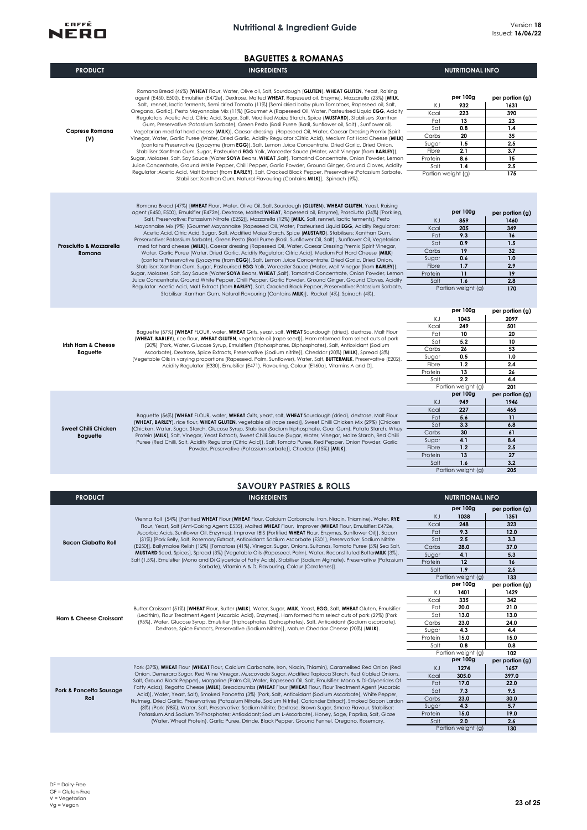

|  | <b>BAGUETTES &amp; ROMANAS</b> |  |  |  |
|--|--------------------------------|--|--|--|
|  |                                |  |  |  |

|                                   | <b>BAGUETTES &amp; ROMANAS</b>                                                                                                                                                                                                   |                  |                           |                 |
|-----------------------------------|----------------------------------------------------------------------------------------------------------------------------------------------------------------------------------------------------------------------------------|------------------|---------------------------|-----------------|
| <b>PRODUCT</b>                    | <b>INGREDIENTS</b>                                                                                                                                                                                                               |                  | <b>NUTRITIONAL INFO</b>   |                 |
|                                   |                                                                                                                                                                                                                                  |                  |                           |                 |
|                                   | Romana Bread (46%) [WHEAT Flour, Water, Olive oil, Salt, Sourdough (GLUTEN), WHEAT GLUTEN, Yeast, Raising<br>agent (E450, E500), Emulsifier (E472e), Dextrose, Malted WHEAT, Rapeseed oil, Enzyme], Mozzarella (23%) [MILK,      |                  | per 100g                  | per portion (g) |
|                                   | Salt, rennet, lactic ferments, Semi dried Tomato (11%) [Semi dried baby plum Tomatoes, Rapeseed oil, Salt,                                                                                                                       | ΚJ               | 932                       | 1631            |
|                                   | Oregano, Garlic], Pesto Mayonnaise Mix (11%) [Gourmet A (Rapeseed Oil, Water, Pasteurised Liquid EGG, Acidity                                                                                                                    | Kcal             | 223                       | 390             |
|                                   | Regulators :Acetic Acid, Citric Acid, Sugar, Salt, Modified Maize Starch, Spice (MUSTARD), Stabilisers :Xanthan                                                                                                                  | Fat              | 13                        | 23              |
| Caprese Romana                    | Gum, Preservative :Potassium Sorbate), Green Pesto (Basil Puree (Basil, Sunflower oil, Salt), Sunflower oil,<br>Vegetarian med fat hard cheese (MILK)), Caesar dressing (Rapeseed Oil, Water, Caesar Dressing Premix (Spirit     | Sat              | 0.8                       | 1.4             |
| (V)                               | Vinegar, Water, Garlic Puree (Water, Dried Garlic, Acidity Regulator :Citric Acid), Medium Fat Hard Cheese (MILK)                                                                                                                | Carbs            | 20                        | 35              |
|                                   | (contains Preservative (Lysozyme (from EGG)), Salt, Lemon Juice Concentrate, Dried Garlic, Dried Onion,                                                                                                                          | Sugar            | 1.5                       | 2.5             |
|                                   | Stabiliser: Xanthan Gum, Sugar, Pasteurised EGG Yolk, Worcester Sauce (Water, Malt Vinegar (from BARLEY)),<br>Sugar, Molasses, Salt, Soy Sauce (Water SOYA Beans, WHEAT ,Salt), Tamarind Concentrate, Onion Powder, Lemon        | Fibre            | 2.1                       | 3.7             |
|                                   | Juice Concentrate, Ground White Pepper, Chilli Pepper, Garlic Powder, Ground Ginger, Ground Cloves, Acidity                                                                                                                      | Protein<br>Salt  | 8.6<br>1.4                | 15<br>2.5       |
|                                   | Regulator : Acetic Acid, Malt Extract (from BARLEY), Salt, Cracked Black Pepper, Preservative : Potassium Sorbate,                                                                                                               |                  | Portion weight (g)        | 175             |
|                                   | Stabiliser: Xanthan Gum, Natural Flavouring (Contains MILK)], Spinach (9%).                                                                                                                                                      |                  |                           |                 |
|                                   |                                                                                                                                                                                                                                  |                  |                           |                 |
|                                   | Romana Bread (47%) [WHEAT Flour, Water, Olive Oil, Salt, Sourdough (GLUTEN), WHEAT GLUTEN, Yeast, Raising<br>agent (E450, E500), Emulsifier (E472e), Dextrose, Malted WHEAT, Rapeseed oil, Enzyme], Prosciutto (24%) [Pork leg,  |                  | per 100g                  | per portion (g) |
|                                   | Salt, Preservative: Potassium Nitrate (E252)], Mozzarella (12%) [MILK, Salt, rennet, lactic ferments], Pesto                                                                                                                     | ΚJ               | 859                       | 1460            |
|                                   | Mayonnaise Mix (9%) [Gourmet Mayonnaise (Rapeseed Oil, Water, Pasteurised Liquid EGG, Acidity Regulators:                                                                                                                        | Kcal             | 205                       | 349             |
|                                   | Acetic Acid, Citric Acid, Sugar, Salt, Modified Maize Starch, Spice (MUSTARD), Stabilisers: Xanthan Gum,                                                                                                                         | Fat              | 9.3                       | 16              |
| Prosciutto & Mozzarella           | Preservative: Potassium Sorbate), Green Pesto (Basil Puree (Basil, Sunflower Oil, Salt), Sunflower Oil, Vegetarian                                                                                                               | Sat              | 0.9                       | 1.5             |
| Romana                            | med fat hard cheese (MILK)), Caesar dressing (Rapeseed Oil, Water, Caesar Dressing Premix (Spirit Vinegar,<br>Water, Garlic Puree (Water, Dried Garlic, Acidity Regulator: Citric Acid), Medium Fat Hard Cheese (MILK)           | Carbs            | 19                        | 32              |
|                                   | (contains Preservative (Lysozyme (from EGG)), Salt, Lemon Juice Concentrate, Dried Garlic, Dried Onion,                                                                                                                          | Sugar            | 0.6                       | 1.0             |
|                                   | Stabiliser: Xanthan Gum, Sugar, Pasteurised EGG Yolk, Worcester Sauce (Water, Malt Vinegar (from BARLEY)),                                                                                                                       | Fibre            | 1.7                       | 2.9             |
|                                   | Sugar, Molasses, Salt, Soy Sauce (Water SOYA Beans, WHEAT ,Salt), Tamarind Concentrate, Onion Powder, Lemon                                                                                                                      | Protein          | 11                        | 19              |
|                                   | Juice Concentrate, Ground White Pepper, Chilli Pepper, Garlic Powder, Ground Ginger, Ground Cloves, Acidity                                                                                                                      | Salt             | 1.6                       | 2.8             |
|                                   | Regulator : Acetic Acid, Malt Extract (from BARLEY), Salt, Cracked Black Pepper, Preservative: Potassium Sorbate,<br>Stabiliser: Xanthan Gum, Natural Flavouring (Contains MILK)], Rocket (4%), Spinach (4%).                    |                  | Portion weight (g)        | 170             |
|                                   |                                                                                                                                                                                                                                  |                  | per 100g                  | per portion (g) |
|                                   |                                                                                                                                                                                                                                  | ΚJ               | 1043                      | 2097            |
|                                   |                                                                                                                                                                                                                                  | Kcal             | 249                       | 501             |
|                                   | Baguette (57%) [WHEAT FLOUR, water, WHEAT Grits, yeast, salt, WHEAT Sourdough (dried), dextrose, Malt Flour<br>(WHEAT, BARLEY), rice flour, WHEAT GLUTEN, vegetable oil (rape seed)], Ham reformed from select cuts of pork      | Fat              | 10                        | 20              |
| Irish Ham & Cheese                | (20%) [Pork, Water, Glucose Syrup, Emulsifiers (Triphosphates, Diphosphates), Salt, Antioxidant (Sodium                                                                                                                          | Sat              | 5.2                       | 10              |
| Baguette                          | Ascorbate), Dextrose, Spice Extracts, Preservative (Sodium nitrite)], Cheddar (20%) [MILK], Spread (3%)                                                                                                                          | Carbs            | 26                        | 53              |
|                                   | [Vegetable Oils in varying proportions (Rapeseed, Palm, Sunflower), Water, Salt, BUTTERMILK, Preservative (E202),                                                                                                                | Sugar            | 0.5                       | 1.0             |
|                                   | Acidity Regulator (E330), Emulsifier (E471), Flavouring, Colour (E160a), Vitamins A and D].                                                                                                                                      | Fibre<br>Protein | 1.2<br>13                 | 2.4<br>26       |
|                                   |                                                                                                                                                                                                                                  | Salt             | 2.2                       | 4.4             |
|                                   |                                                                                                                                                                                                                                  |                  | Portion weight (g)        | 201             |
|                                   |                                                                                                                                                                                                                                  |                  | per 100g                  | per portion (g) |
|                                   |                                                                                                                                                                                                                                  | ΚJ               | 949                       | 1946            |
|                                   |                                                                                                                                                                                                                                  | Kcal             | 227                       | 465             |
|                                   | Baguette (56%) [WHEAT FLOUR, water, WHEAT Grits, yeast, salt, WHEAT Sourdough (dried), dextrose, Malt Flour                                                                                                                      | Fat              | 5.6                       | 11              |
| Sweet Chilli Chicken              | (WHEAT, BARLEY), rice flour, WHEAT GLUTEN, vegetable oil (rape seed)], Sweet Chilli Chicken Mix (29%) [Chicken<br>(Chicken, Water, Sugar, Starch, Glucose Syrup, Stabiliser (Sodium triphosphate, Guar Gum), Potato Starch, Whey | Sat              | 3.3                       | 6.8             |
| <b>Baguette</b>                   | Protein (MILK), Salt, Vinegar, Yeast Extract), Sweet Chilli Sauce (Sugar, Water, Vinegar, Maize Starch, Red Chilli                                                                                                               | Carbs            | 30                        | 61              |
|                                   | Puree (Red Chilli, Salt, Acidity Regulator (Citric Acid)), Salt, Tomato Puree, Red Pepper, Onion Powder, Garlic                                                                                                                  | Sugar            | 4.1                       | 8.4             |
|                                   | Powder, Preservative (Potassium sorbate)], Cheddar (15%) [MILK].                                                                                                                                                                 | Fibre            | 1.2                       | 2.5             |
|                                   |                                                                                                                                                                                                                                  | Protein          | 13                        | 27              |
|                                   |                                                                                                                                                                                                                                  | Salt             | 1.6<br>Portion weight (g) | 3.2<br>205      |
|                                   |                                                                                                                                                                                                                                  |                  |                           |                 |
|                                   | <b>SAVOURY PASTRIES &amp; ROLLS</b>                                                                                                                                                                                              |                  |                           |                 |
| <b>PRODUCT</b>                    | <b>INGREDIENTS</b>                                                                                                                                                                                                               |                  | <b>NUTRITIONAL INFO</b>   |                 |
|                                   |                                                                                                                                                                                                                                  |                  | per 100g                  | per portion (g) |
|                                   | Vienna Roll (54%) [Fortified WHEAT Flour (WHEAT Flour, Calcium Carbonate, Iron, Niacin, Thiamine), Water, RYE                                                                                                                    | ΚJ               | 1038                      | 1351            |
|                                   | Flour, Yeast, Salt (Anti-Caking Agent: E535), Malted WHEAT Flour, Improver (WHEAT Flour, Emulsifier: E472e,                                                                                                                      | Kcal             | 248                       | 323             |
|                                   | Ascorbic Acids, Sunflower Oil, Enzymes), Improver IBIS (Fortified WHEAT Flour, Enzymes, Sunflower Oil)], Bacon                                                                                                                   | Fat              | 9.3                       | 12.0            |
| <b>Bacon Ciabatta Roll</b>        | (31%) [Pork Belly, Salt, Rosemary Extract, Antioxidant: Sodium Ascorbate (E301), Preservative: Sodium Nitrite                                                                                                                    | Sat              | 2.5                       | 3.3             |
|                                   | (E250)], Ballymaloe Relish (12%) [Tomatoes (41%), Vinegar, Sugar, Onions, Sultanas, Tomato Puree (5%) Sea Salt,<br>MUSTARD Seed, Spices], Spread (3%) [Vegetable Oils (Rapeseed, Palm), Water, Reconstituted ButterMILK (3%),    | Carbs            | 28.0                      | 37.0            |
|                                   | Salt (1.5%), Emulsifier (Mono and Di Glyceride of Fatty Acids), Stabiliser (Sodium Alginate), Preservative (Potassium                                                                                                            | Sugar            | 4.1                       | 5.3             |
|                                   | Sorbate), Vitamin A & D, Flavouring, Colour (Carotenes)].                                                                                                                                                                        | Protein          | 12                        | 16              |
|                                   |                                                                                                                                                                                                                                  | Salt             | 1.9<br>Portion weight (g) | 2.5<br>133      |
|                                   |                                                                                                                                                                                                                                  |                  | per 100g                  | per portion (g) |
|                                   |                                                                                                                                                                                                                                  | ΚJ               | 1401                      | 1429            |
|                                   |                                                                                                                                                                                                                                  | Kcal             | 335                       | 342             |
|                                   | Butter Croissant (51%) [WHEAT Flour, Butter (MILK), Water, Sugar, MILK, Yeast, EGG, Salt, WHEAT Gluten, Emulsifier                                                                                                               | Fat              | 20.0                      | 21.0            |
|                                   | (Lecithin), Flour Treatment Agent (Ascorbic Acid), Enzymes], Ham formed from select cuts of pork (29%) [Pork                                                                                                                     | Sat              | 13.0                      | 13.0            |
| <b>Ham &amp; Cheese Croissant</b> | (95%), Water, Glucose Syrup, Emulsifier (Triphosphates, Diphosphates), Salt, Antioxidant (Sodium ascorbate),                                                                                                                     | Carbs            | 23.0                      | 24.0            |
|                                   | Dextrose, Spice Extracts, Preservative (Sodium Nitrite)], Mature Cheddar Cheese (20%) (MILK).                                                                                                                                    | Sugar            | 4.3                       | 4.4             |

Pork (37%), **WHEAT** Flour (**WHEAT** Flour, Calcium Carbonate, Iron, Niacin, Thiamin), Caramelised Red Onion (Red

Onion, Demerara Sugar, Red Wine Vinegar, Muscovado Sugar, Modified Tapioca Starch, Red Kibbled Onions,<br>Salt, Ground Black Pepper), Margarien (Plam Oil, Water, Rapeseed Oil, Salt, Emulsifier: Mono & Di-Glycerides Of<br>Hyd, Re

**Pork & Pancetta Sausage Roll**

Protein **15.0 15.0** Salt **0.8 0.8**

Portion weight (g)

**102**

**130**

**per 100g per portion (g)** KJ **1274 1657** Kcal **305.0 397.0** Fat 17.0 22.0<br>Sat 7.3 9.5 Sat **7.3 9.5** Carbs **23.0 30.0**<br>Sugar **4.3** 5.7 Sugar **4.3 5.7** Protein **15.0 19.0** Salt **2.0 2.6** Portion weight (g)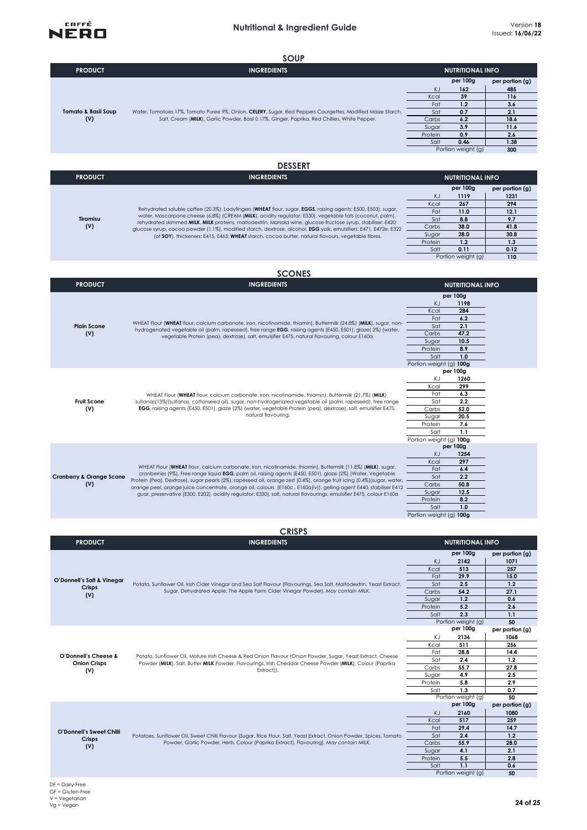

| <u>JUUI</u>                |                                                                                                                                                                                                            |                         |                    |                 |  |
|----------------------------|------------------------------------------------------------------------------------------------------------------------------------------------------------------------------------------------------------|-------------------------|--------------------|-----------------|--|
| <b>PRODUCT</b>             | <b>INGREDIENTS</b>                                                                                                                                                                                         | <b>NUTRITIONAL INFO</b> |                    |                 |  |
|                            |                                                                                                                                                                                                            |                         | per 100g           | per portion (g) |  |
|                            |                                                                                                                                                                                                            | KJ                      | 162                | 485             |  |
|                            |                                                                                                                                                                                                            | Kcal                    | 39                 | 116             |  |
|                            |                                                                                                                                                                                                            | Fat                     | 1.2                | 3.6             |  |
| Tomato & Basil Soup<br>(V) | Water, Tomatoes 17%, Tomato Puree 9%, Onion, CELERY, Sugar, Red Peppers Courgettes, Modified Maize Starch,<br>Salt, Cream (MILK), Garlic Powder, Basil 0.17%, Ginger, Paprika, Red Chillies, White Pepper. | Sat                     | 0.7                | 2.1             |  |
|                            |                                                                                                                                                                                                            | Carbs                   | 6.2                | 18.6            |  |
|                            |                                                                                                                                                                                                            | Sugar                   | 3.9                | 11.6            |  |
|                            |                                                                                                                                                                                                            | Protein                 | 0.9                | 2.6             |  |
|                            |                                                                                                                                                                                                            | Salt                    | 0.46               | 1.38            |  |
|                            |                                                                                                                                                                                                            |                         | Portion weight (g) | 300             |  |
|                            |                                                                                                                                                                                                            |                         |                    |                 |  |

#### **DESSERT**

| <b>PRODUCT</b>  | <b>INGREDIENTS</b>                                                                                                                                                                                                                                                                                                                                                                                                                                                                                                                                                  | <b>NUTRITIONAL INFO</b> |                    |                     |
|-----------------|---------------------------------------------------------------------------------------------------------------------------------------------------------------------------------------------------------------------------------------------------------------------------------------------------------------------------------------------------------------------------------------------------------------------------------------------------------------------------------------------------------------------------------------------------------------------|-------------------------|--------------------|---------------------|
|                 |                                                                                                                                                                                                                                                                                                                                                                                                                                                                                                                                                                     |                         | per 100g           | $per$ portion $(g)$ |
| Tiramisu<br>(V) | Rehydrated soluble coffee (20.3%), Ladyfingers (WHEAT flour, sugar, EGGS, raising agents: E500, E503), sugar,<br>water, Mascarpone cheese (6.8%) (CREAM (MILK), acidity regulator: E330), vegetable fats (coconut, palm),<br>rehydrated skimmed MILK, MILK proteins, maltodextrin, Marsala wine, glucose-fructose syrup, stabiliser: E420;<br>glucose syrup, cocoa powder (1.1%), modified starch, dextrose, alcohol, EGG yolk, emulsifiers: E471, E472e, E322<br>(of SOY), thickeners: E415, E463; WHEAT starch, cocoa butter, natural flavours, vegetable fibres. | ΚJ                      | 1119               | 1231                |
|                 |                                                                                                                                                                                                                                                                                                                                                                                                                                                                                                                                                                     | Kcal                    | 267                | 294                 |
|                 |                                                                                                                                                                                                                                                                                                                                                                                                                                                                                                                                                                     | Fat                     | 11.0               | 12.1                |
|                 |                                                                                                                                                                                                                                                                                                                                                                                                                                                                                                                                                                     | Sat                     | 8.8                | 97                  |
|                 |                                                                                                                                                                                                                                                                                                                                                                                                                                                                                                                                                                     | Carbs                   | 38.0               | 41.8                |
|                 |                                                                                                                                                                                                                                                                                                                                                                                                                                                                                                                                                                     | Sugar                   | 28.0               | 30.8                |
|                 |                                                                                                                                                                                                                                                                                                                                                                                                                                                                                                                                                                     | Protein                 | 1.2                |                     |
|                 |                                                                                                                                                                                                                                                                                                                                                                                                                                                                                                                                                                     | Salt                    | 0.11               | 0.12                |
|                 |                                                                                                                                                                                                                                                                                                                                                                                                                                                                                                                                                                     |                         | Portion weight (g) | 110                 |

# **SCONES**

| <b>PRODUCT</b>                             | <b>INGREDIENTS</b>                                                                                                                                                                                                                                                                                                                                                                                                                                                                                                                                                                                  | <b>NUTRITIONAL INFO</b>                                                                                                                                         |  |  |
|--------------------------------------------|-----------------------------------------------------------------------------------------------------------------------------------------------------------------------------------------------------------------------------------------------------------------------------------------------------------------------------------------------------------------------------------------------------------------------------------------------------------------------------------------------------------------------------------------------------------------------------------------------------|-----------------------------------------------------------------------------------------------------------------------------------------------------------------|--|--|
| <b>Plain Scone</b><br>(V)                  | WHEAT Flour (WHEAT flour, calcium carbonate, iron, nicotinamide, thiamin), Buttermilk (24.8%) (MILK), sugar, non-<br>hydrogenated vegetable oil (palm, rapeseed), free range <b>EGG</b> , raising agents (E450, E501), glaze(2%) (water,<br>vegetable Protein (pea), dextrose), salt, emulsifier E475, natural flavouring, colour E160a.                                                                                                                                                                                                                                                            | per 100g<br>KJ<br>1198<br>284<br>Kcal<br>6.2<br>Fat<br>2.1<br>Sat<br>47.2<br>Carbs<br>10.5<br>Sugar<br>8.9<br>Protein<br>Salt<br>1.0<br>Portion weight (g) 100g |  |  |
| <b>Fruit Scone</b><br>(V)                  | WHEAT Flour (WHEAT flour, calcium carbonate, iron, nicotinamide, thiamin), Buttermilk (21.7%) (MILK),<br>sultanas(13%)(sultanas, cottonseed oil), sugar, non-hydrogenated vegetable oil (palm, rapeseed), free range<br>EGG, raising agents (E450, E501), glaze (2%) (water, vegetable Protein (pea), dextrose), salt, emulsifier E475,<br>natural flavouring.                                                                                                                                                                                                                                      | per 100g<br>1260<br>ΚJ<br>299<br>Kcal<br>6.3<br>Fat<br>2.2<br>Sat<br>52.0<br>Carbs<br>20.5<br>Sugar<br>7.6<br>Protein<br>1.1<br>Salt<br>Portion weight (g) 100g |  |  |
| <b>Cranberry &amp; Orange Scone</b><br>(V) | WHEAT Flour (WHEAT flour, calcium carbonate, iron, nicotinamide, thiamin), Buttermilk (11.8%) (MILK), sugar,<br>cranberries (9%), Free range liquid EGG, palm oil, raising agents (E450, E501), glaze (2%) (Water, Vegetable<br>Protein (Pea), Dextrose), sugar pearls (2%), rapeseed oil, orange zest (0.4%), orange fruit icing (0.4%)(sugar, water,<br>orange peel, orange juice concentrate, orange oil, colours (E160c, E160a(iv)), gelling agent E440, stabiliser E412<br>guar, preservative (E300, E202), acidity regulator: E330), salt, natural flavourings, emulsifier E475, colour E160a | per 100g<br>KJ<br>1254<br>297<br>Kcal<br>Fat<br>6.4<br>2.2<br>Sat<br>50.8<br>Carbs<br>12.5<br>Sugar<br>8.2<br>Protein<br>Salt<br>1.0<br>Portion weight (g) 100g |  |  |

#### **CRISPS**

| <b>CRISPS</b>                               |                                                                                                                                                                                                                                       |                         |                    |                 |
|---------------------------------------------|---------------------------------------------------------------------------------------------------------------------------------------------------------------------------------------------------------------------------------------|-------------------------|--------------------|-----------------|
| <b>PRODUCT</b>                              | <b>INGREDIENTS</b>                                                                                                                                                                                                                    | <b>NUTRITIONAL INFO</b> |                    |                 |
| O'Donnell's Salt & Vinegar<br>Crisps<br>(V) |                                                                                                                                                                                                                                       |                         | per 100g           | per portion (g) |
|                                             |                                                                                                                                                                                                                                       | KJ                      | 2142               | 1071            |
|                                             |                                                                                                                                                                                                                                       | Kcal                    | 513                | 257             |
|                                             |                                                                                                                                                                                                                                       | Fat                     | 29.9               | 15.0            |
|                                             | Potato, Sunflower Oil, Irish Cider Vinegar and Sea Salt Flavour (Flavourings, Sea Salt, Maltodextrin, Yeast Extract,<br>Sugar, Dehydrated Apple, The Apple Farm Cider Vinegar Powder). May contain MILK.                              | Sat                     | 2.5                | 1.2             |
|                                             |                                                                                                                                                                                                                                       | Carbs                   | 54.2               | 27.1            |
|                                             |                                                                                                                                                                                                                                       | Sugar                   | 1.2                | 0.6             |
|                                             |                                                                                                                                                                                                                                       | Protein                 | 5.2                | 2.6             |
|                                             |                                                                                                                                                                                                                                       | Salt                    | 2.3                | 1.1             |
|                                             |                                                                                                                                                                                                                                       | Portion weight (g)      |                    | 50              |
|                                             |                                                                                                                                                                                                                                       |                         | per 100g           | per portion (g) |
|                                             |                                                                                                                                                                                                                                       | KJ                      | 2136               | 1068            |
|                                             |                                                                                                                                                                                                                                       | Kcal                    | 511                | 256             |
| O'Donnell's Cheese &                        | Potato, Sunflower Oil, Mature Irish Cheese & Red Onion Flavour (Onion Powder, Sugar, Yeast Extract, Cheese<br>Powder (MILK), Salt, Butter MILK Powder, Flavourings, Irish Cheddar Cheese Powder (MILK), Colour (Paprika<br>Extract)). | Fat                     | 28.8               | 14.4            |
| <b>Onion Crisps</b>                         |                                                                                                                                                                                                                                       | Sat                     | 2.4                | 1.2             |
| (V)                                         |                                                                                                                                                                                                                                       | Carbs                   | 55.7               | 27.8            |
|                                             |                                                                                                                                                                                                                                       | Sugar                   | 4.9                | 2.5             |
|                                             |                                                                                                                                                                                                                                       | Protein                 | 5.8                | 2.9             |
|                                             |                                                                                                                                                                                                                                       | Salt                    | 1.3                | 0.7             |
|                                             |                                                                                                                                                                                                                                       | Portion weight (g)      |                    | 50              |
|                                             |                                                                                                                                                                                                                                       |                         | per 100g           | per portion (g) |
|                                             |                                                                                                                                                                                                                                       | KJ                      | 2160               | 1080            |
|                                             |                                                                                                                                                                                                                                       | Kcal                    | 517                | 259             |
| O'Donnell's Sweet Chilli                    |                                                                                                                                                                                                                                       | Fat                     | 29.4               | 14.7            |
| Crisps                                      | Potatoes, Sunflower Oil, Sweet Chilli Flavour (Sugar, Rice Flour, Salt, Yeast Extract, Onion Powder, Spices, Tomato                                                                                                                   | Sat                     | 2.4                | 1.2             |
| (V)                                         | Powder, Garlic Powder, Herb, Colour (Paprika Extract), Flavouring). May contain MILK.                                                                                                                                                 | Carbs                   | 55.9               | 28.0            |
|                                             |                                                                                                                                                                                                                                       | Sugar                   | 4.1                | 2.1             |
|                                             |                                                                                                                                                                                                                                       | Protein                 | 5.5                | 2.8             |
|                                             |                                                                                                                                                                                                                                       | Salt                    | 1.1                | 0.6             |
|                                             |                                                                                                                                                                                                                                       |                         | Portion weight (g) | 50              |